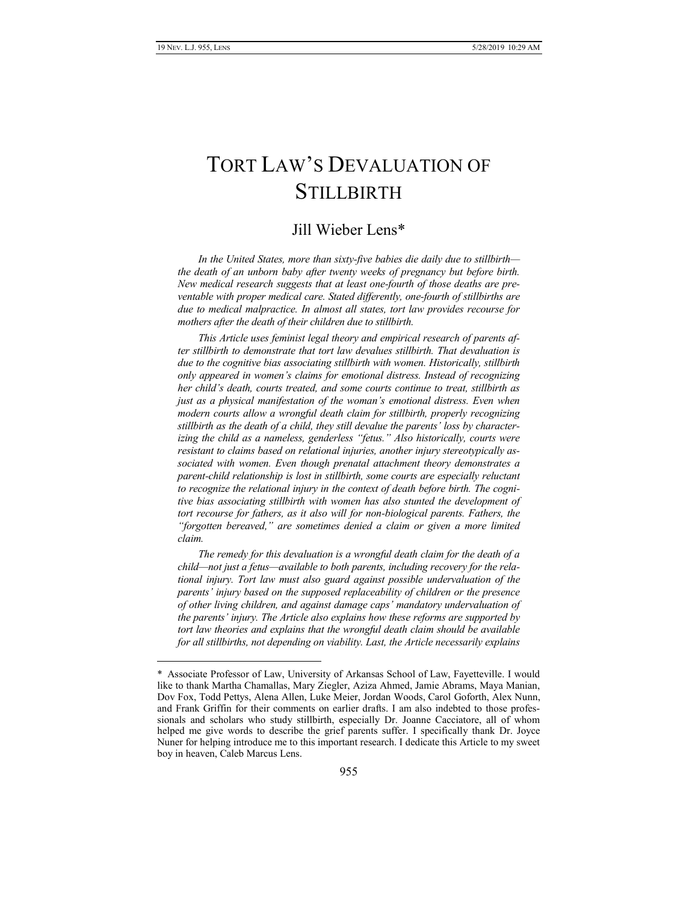# TORT LAW'S DEVALUATION OF **STILLBIRTH**

# Jill Wieber Lens\*

*In the United States, more than sixty-five babies die daily due to stillbirth the death of an unborn baby after twenty weeks of pregnancy but before birth. New medical research suggests that at least one-fourth of those deaths are preventable with proper medical care. Stated differently, one-fourth of stillbirths are due to medical malpractice. In almost all states, tort law provides recourse for mothers after the death of their children due to stillbirth.*

*This Article uses feminist legal theory and empirical research of parents after stillbirth to demonstrate that tort law devalues stillbirth. That devaluation is due to the cognitive bias associating stillbirth with women. Historically, stillbirth only appeared in women's claims for emotional distress. Instead of recognizing her child's death, courts treated, and some courts continue to treat, stillbirth as just as a physical manifestation of the woman's emotional distress. Even when modern courts allow a wrongful death claim for stillbirth, properly recognizing stillbirth as the death of a child, they still devalue the parents' loss by characterizing the child as a nameless, genderless "fetus." Also historically, courts were resistant to claims based on relational injuries, another injury stereotypically associated with women. Even though prenatal attachment theory demonstrates a parent-child relationship is lost in stillbirth, some courts are especially reluctant to recognize the relational injury in the context of death before birth. The cognitive bias associating stillbirth with women has also stunted the development of tort recourse for fathers, as it also will for non-biological parents. Fathers, the "forgotten bereaved," are sometimes denied a claim or given a more limited claim.*

*The remedy for this devaluation is a wrongful death claim for the death of a child—not just a fetus—available to both parents, including recovery for the relational injury. Tort law must also guard against possible undervaluation of the parents' injury based on the supposed replaceability of children or the presence of other living children, and against damage caps' mandatory undervaluation of the parents' injury. The Article also explains how these reforms are supported by tort law theories and explains that the wrongful death claim should be available for all stillbirths, not depending on viability. Last, the Article necessarily explains* 

Associate Professor of Law, University of Arkansas School of Law, Fayetteville. I would like to thank Martha Chamallas, Mary Ziegler, Aziza Ahmed, Jamie Abrams, Maya Manian, Dov Fox, Todd Pettys, Alena Allen, Luke Meier, Jordan Woods, Carol Goforth, Alex Nunn, and Frank Griffin for their comments on earlier drafts. I am also indebted to those professionals and scholars who study stillbirth, especially Dr. Joanne Cacciatore, all of whom helped me give words to describe the grief parents suffer. I specifically thank Dr. Joyce Nuner for helping introduce me to this important research. I dedicate this Article to my sweet boy in heaven, Caleb Marcus Lens.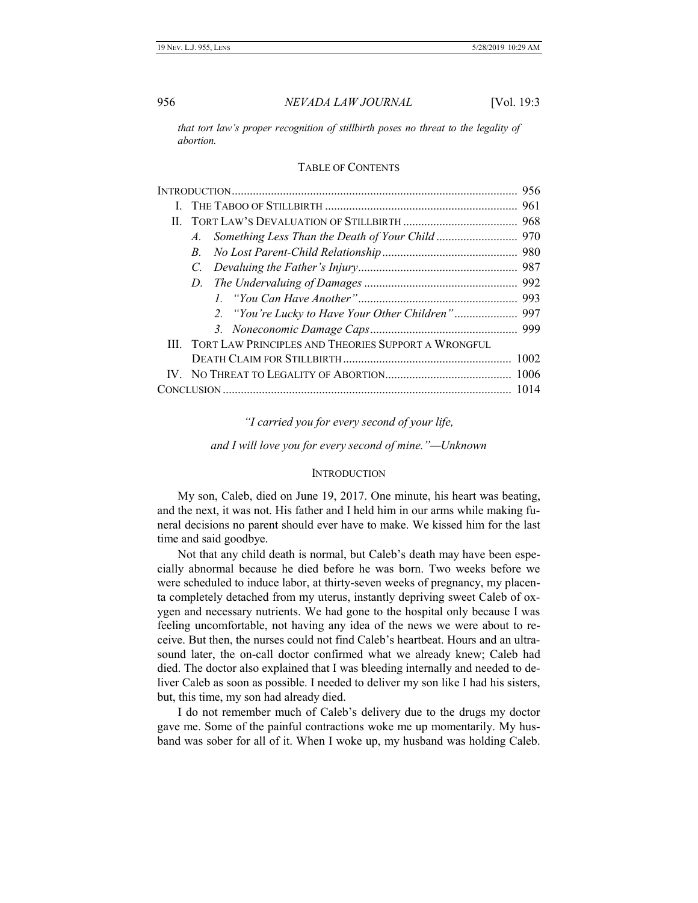*that tort law's proper recognition of stillbirth poses no threat to the legality of abortion.*

#### TABLE OF CONTENTS

| II. |                                                            |  |
|-----|------------------------------------------------------------|--|
|     | $A_{\cdot}$                                                |  |
|     | B.                                                         |  |
|     | C.                                                         |  |
|     | D.                                                         |  |
|     |                                                            |  |
|     | 2. "You're Lucky to Have Your Other Children" 997          |  |
|     |                                                            |  |
|     | <b>TORT LAW PRINCIPLES AND THEORIES SUPPORT A WRONGFUL</b> |  |
|     |                                                            |  |
|     |                                                            |  |
|     |                                                            |  |

*"I carried you for every second of your life,*

*and I will love you for every second of mine."—Unknown*

#### **INTRODUCTION**

<span id="page-1-0"></span>My son, Caleb, died on June 19, 2017. One minute, his heart was beating, and the next, it was not. His father and I held him in our arms while making funeral decisions no parent should ever have to make. We kissed him for the last time and said goodbye.

Not that any child death is normal, but Caleb's death may have been especially abnormal because he died before he was born. Two weeks before we were scheduled to induce labor, at thirty-seven weeks of pregnancy, my placenta completely detached from my uterus, instantly depriving sweet Caleb of oxygen and necessary nutrients. We had gone to the hospital only because I was feeling uncomfortable, not having any idea of the news we were about to receive. But then, the nurses could not find Caleb's heartbeat. Hours and an ultrasound later, the on-call doctor confirmed what we already knew; Caleb had died. The doctor also explained that I was bleeding internally and needed to deliver Caleb as soon as possible. I needed to deliver my son like I had his sisters, but, this time, my son had already died.

I do not remember much of Caleb's delivery due to the drugs my doctor gave me. Some of the painful contractions woke me up momentarily. My husband was sober for all of it. When I woke up, my husband was holding Caleb.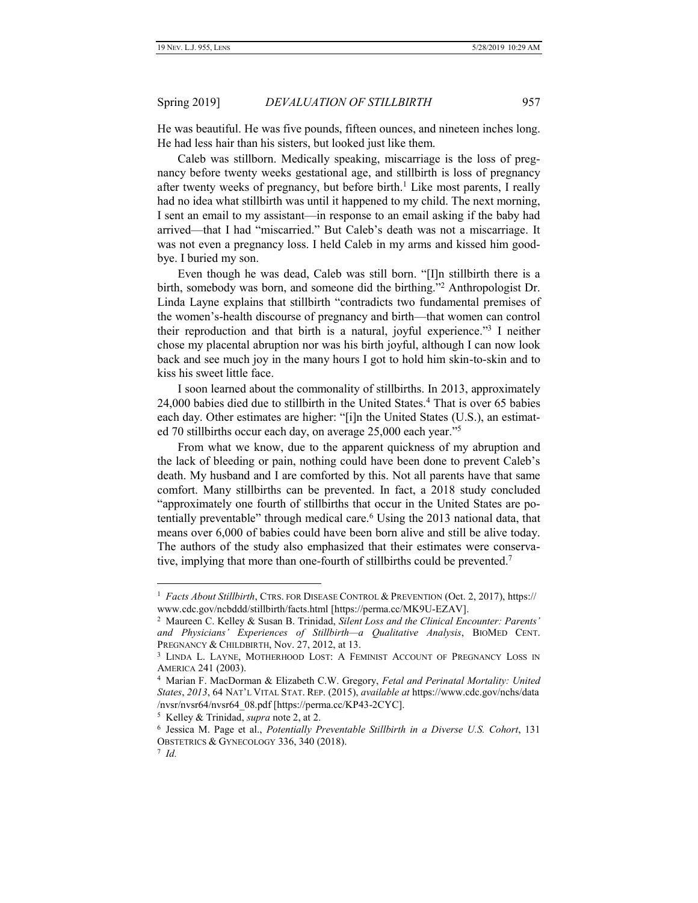He was beautiful. He was five pounds, fifteen ounces, and nineteen inches long. He had less hair than his sisters, but looked just like them.

Caleb was stillborn. Medically speaking, miscarriage is the loss of pregnancy before twenty weeks gestational age, and stillbirth is loss of pregnancy after twenty weeks of pregnancy, but before birth.<sup>1</sup> Like most parents, I really had no idea what stillbirth was until it happened to my child. The next morning, I sent an email to my assistant—in response to an email asking if the baby had arrived—that I had "miscarried." But Caleb's death was not a miscarriage. It was not even a pregnancy loss. I held Caleb in my arms and kissed him goodbye. I buried my son.

Even though he was dead, Caleb was still born. "[I]n stillbirth there is a birth, somebody was born, and someone did the birthing."<sup>2</sup> Anthropologist Dr. Linda Layne explains that stillbirth "contradicts two fundamental premises of the women's-health discourse of pregnancy and birth—that women can control their reproduction and that birth is a natural, joyful experience."<sup>3</sup> I neither chose my placental abruption nor was his birth joyful, although I can now look back and see much joy in the many hours I got to hold him skin-to-skin and to kiss his sweet little face.

I soon learned about the commonality of stillbirths. In 2013, approximately 24,000 babies died due to stillbirth in the United States.<sup>4</sup> That is over 65 babies each day. Other estimates are higher: "[i]n the United States (U.S.), an estimated 70 stillbirths occur each day, on average 25,000 each year."<sup>5</sup>

From what we know, due to the apparent quickness of my abruption and the lack of bleeding or pain, nothing could have been done to prevent Caleb's death. My husband and I are comforted by this. Not all parents have that same comfort. Many stillbirths can be prevented. In fact, a 2018 study concluded "approximately one fourth of stillbirths that occur in the United States are potentially preventable" through medical care.<sup>6</sup> Using the 2013 national data, that means over 6,000 of babies could have been born alive and still be alive today. The authors of the study also emphasized that their estimates were conservative, implying that more than one-fourth of stillbirths could be prevented.<sup>7</sup>

5 Kelley & Trinidad, *supra* note [2,](#page-2-0) at 2.

<span id="page-2-1"></span><span id="page-2-0"></span>

<sup>&</sup>lt;sup>1</sup> Facts About Stillbirth, CTRS. FOR DISEASE CONTROL & PREVENTION (Oct. 2, 2017), https:// www.cdc.gov/ncbddd/stillbirth/facts.html [https://perma.cc/MK9U-EZAV].

<sup>2</sup> Maureen C. Kelley & Susan B. Trinidad, *Silent Loss and the Clinical Encounter: Parents' and Physicians' Experiences of Stillbirth—a Qualitative Analysis*, BIOMED CENT. PREGNANCY & CHILDBIRTH, Nov. 27, 2012, at 13.

<sup>&</sup>lt;sup>3</sup> LINDA L. LAYNE, MOTHERHOOD LOST: A FEMINIST ACCOUNT OF PREGNANCY LOSS IN AMERICA 241 (2003).

<sup>4</sup> Marian F. MacDorman & Elizabeth C.W. Gregory, *Fetal and Perinatal Mortality: United States*, *2013*, 64 NAT'L VITAL STAT. REP. (2015), *available at* https://www.cdc.gov/nchs/data /nvsr/nvsr64/nvsr64\_08.pdf [https://perma.cc/KP43-2CYC].

<sup>6</sup> Jessica M. Page et al., *Potentially Preventable Stillbirth in a Diverse U.S. Cohort*, 131 OBSTETRICS & GYNECOLOGY 336, 340 (2018).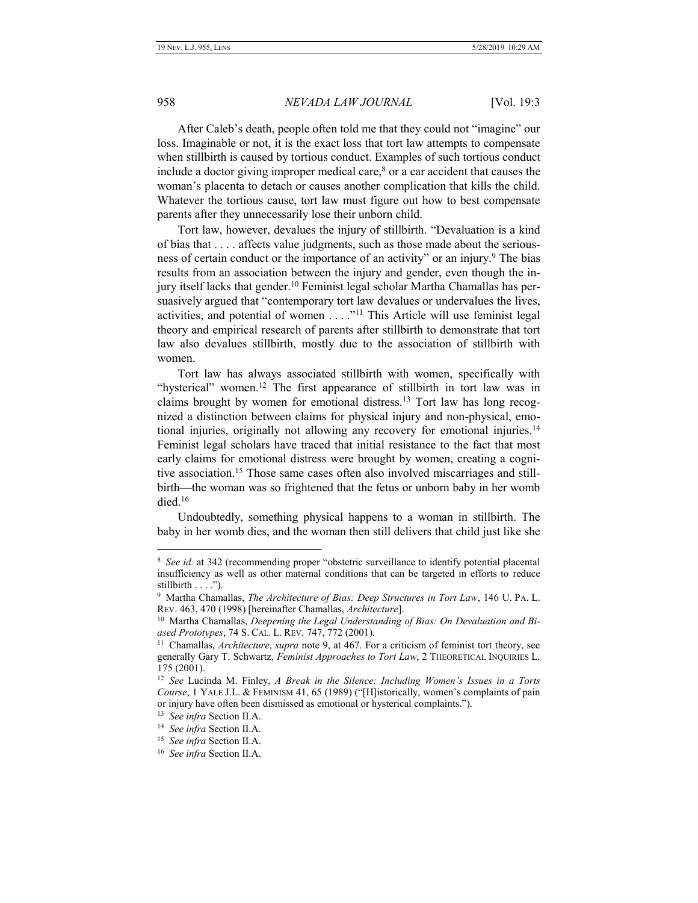After Caleb's death, people often told me that they could not "imagine" our loss. Imaginable or not, it is the exact loss that tort law attempts to compensate when stillbirth is caused by tortious conduct. Examples of such tortious conduct include a doctor giving improper medical care, $\delta$  or a car accident that causes the woman's placenta to detach or causes another complication that kills the child. Whatever the tortious cause, tort law must figure out how to best compensate parents after they unnecessarily lose their unborn child.

<span id="page-3-0"></span>Tort law, however, devalues the injury of stillbirth. "Devaluation is a kind of bias that . . . . affects value judgments, such as those made about the seriousness of certain conduct or the importance of an activity" or an injury.<sup>9</sup> The bias results from an association between the injury and gender, even though the injury itself lacks that gender.<sup>10</sup> Feminist legal scholar Martha Chamallas has persuasively argued that "contemporary tort law devalues or undervalues the lives, activities, and potential of women  $\dots$ ."<sup>11</sup> This Article will use feminist legal theory and empirical research of parents after stillbirth to demonstrate that tort law also devalues stillbirth, mostly due to the association of stillbirth with women.

Tort law has always associated stillbirth with women, specifically with "hysterical" women.<sup>12</sup> The first appearance of stillbirth in tort law was in claims brought by women for emotional distress.<sup>13</sup> Tort law has long recognized a distinction between claims for physical injury and non-physical, emotional injuries, originally not allowing any recovery for emotional injuries.<sup>14</sup> Feminist legal scholars have traced that initial resistance to the fact that most early claims for emotional distress were brought by women, creating a cognitive association.<sup>15</sup> Those same cases often also involved miscarriages and stillbirth—the woman was so frightened that the fetus or unborn baby in her womb died.<sup>16</sup>

Undoubtedly, something physical happens to a woman in stillbirth. The baby in her womb dies, and the woman then still delivers that child just like she

<sup>&</sup>lt;sup>8</sup> See id. at 342 (recommending proper "obstetric surveillance to identify potential placental insufficiency as well as other maternal conditions that can be targeted in efforts to reduce stillbirth . . . .").

<sup>9</sup> Martha Chamallas, *The Architecture of Bias: Deep Structures in Tort Law*, 146 U. PA. L. REV. 463, 470 (1998) [hereinafter Chamallas, *Architecture*].

<sup>&</sup>lt;sup>10</sup> Martha Chamallas, *Deepening the Legal Understanding of Bias: On Devaluation and Biased Prototypes*, 74 S. CAL. L. REV. 747, 772 (2001).

<sup>11</sup> Chamallas, *Architecture*, *supra* note [9,](#page-3-0) at 467. For a criticism of feminist tort theory, see generally Gary T. Schwartz, *Feminist Approaches to Tort Law*, 2 THEORETICAL INQUIRIES L. 175 (2001).

<sup>12</sup> *See* Lucinda M. Finley, *A Break in the Silence: Including Women's Issues in a Torts Course*, 1 YALE J.L. & FEMINISM 41, 65 (1989) ("[H]istorically, women's complaints of pain or injury have often been dismissed as emotional or hysterical complaints.").

<sup>13</sup> *See infra* Section II.A.

<sup>14</sup> *See infra* Section II.A.

<sup>15</sup> *See infra* Section II.A.

<sup>16</sup> *See infra* Section II.A.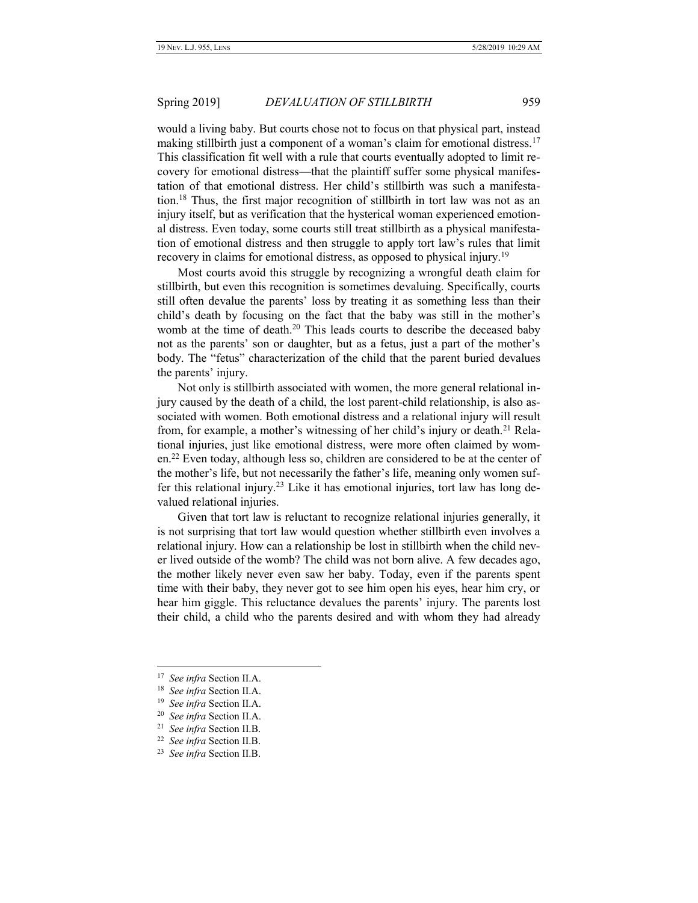would a living baby. But courts chose not to focus on that physical part, instead making stillbirth just a component of a woman's claim for emotional distress.<sup>17</sup> This classification fit well with a rule that courts eventually adopted to limit recovery for emotional distress—that the plaintiff suffer some physical manifestation of that emotional distress. Her child's stillbirth was such a manifestation.<sup>18</sup> Thus, the first major recognition of stillbirth in tort law was not as an injury itself, but as verification that the hysterical woman experienced emotional distress. Even today, some courts still treat stillbirth as a physical manifestation of emotional distress and then struggle to apply tort law's rules that limit recovery in claims for emotional distress, as opposed to physical injury.<sup>19</sup>

Most courts avoid this struggle by recognizing a wrongful death claim for stillbirth, but even this recognition is sometimes devaluing. Specifically, courts still often devalue the parents' loss by treating it as something less than their child's death by focusing on the fact that the baby was still in the mother's womb at the time of death.<sup>20</sup> This leads courts to describe the deceased baby not as the parents' son or daughter, but as a fetus, just a part of the mother's body. The "fetus" characterization of the child that the parent buried devalues the parents' injury.

Not only is stillbirth associated with women, the more general relational injury caused by the death of a child, the lost parent-child relationship, is also associated with women. Both emotional distress and a relational injury will result from, for example, a mother's witnessing of her child's injury or death.<sup>21</sup> Relational injuries, just like emotional distress, were more often claimed by women.<sup>22</sup> Even today, although less so, children are considered to be at the center of the mother's life, but not necessarily the father's life, meaning only women suffer this relational injury.<sup>23</sup> Like it has emotional injuries, tort law has long devalued relational injuries.

Given that tort law is reluctant to recognize relational injuries generally, it is not surprising that tort law would question whether stillbirth even involves a relational injury. How can a relationship be lost in stillbirth when the child never lived outside of the womb? The child was not born alive. A few decades ago, the mother likely never even saw her baby. Today, even if the parents spent time with their baby, they never got to see him open his eyes, hear him cry, or hear him giggle. This reluctance devalues the parents' injury. The parents lost their child, a child who the parents desired and with whom they had already

<sup>17</sup> *See infra* Section II.A.

<sup>18</sup> *See infra* Section II.A.

<sup>19</sup> *See infra* Section II.A.

<sup>20</sup> *See infra* Section II.A.

<sup>21</sup> *See infra* Section II.B.

<sup>22</sup> *See infra* Section II.B.

<sup>23</sup> *See infra* Section II.B.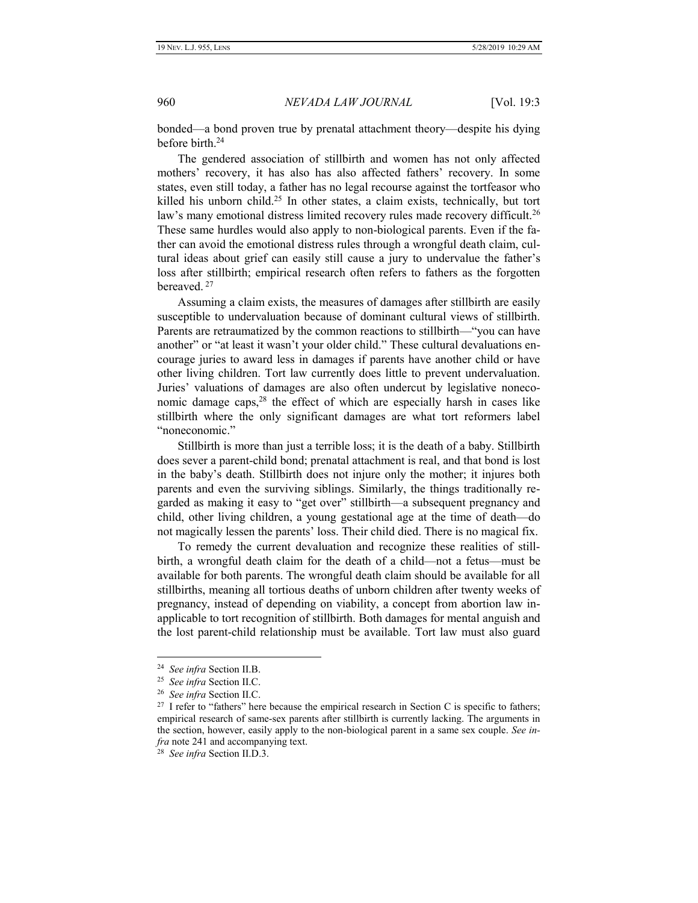bonded—a bond proven true by prenatal attachment theory—despite his dying before birth.<sup>24</sup>

The gendered association of stillbirth and women has not only affected mothers' recovery, it has also has also affected fathers' recovery. In some states, even still today, a father has no legal recourse against the tortfeasor who killed his unborn child.<sup>25</sup> In other states, a claim exists, technically, but tort law's many emotional distress limited recovery rules made recovery difficult.<sup>26</sup> These same hurdles would also apply to non-biological parents. Even if the father can avoid the emotional distress rules through a wrongful death claim, cultural ideas about grief can easily still cause a jury to undervalue the father's loss after stillbirth; empirical research often refers to fathers as the forgotten bereaved. <sup>27</sup>

Assuming a claim exists, the measures of damages after stillbirth are easily susceptible to undervaluation because of dominant cultural views of stillbirth. Parents are retraumatized by the common reactions to stillbirth—"you can have another" or "at least it wasn't your older child." These cultural devaluations encourage juries to award less in damages if parents have another child or have other living children. Tort law currently does little to prevent undervaluation. Juries' valuations of damages are also often undercut by legislative noneconomic damage caps, $28$  the effect of which are especially harsh in cases like stillbirth where the only significant damages are what tort reformers label "noneconomic."

Stillbirth is more than just a terrible loss; it is the death of a baby. Stillbirth does sever a parent-child bond; prenatal attachment is real, and that bond is lost in the baby's death. Stillbirth does not injure only the mother; it injures both parents and even the surviving siblings. Similarly, the things traditionally regarded as making it easy to "get over" stillbirth—a subsequent pregnancy and child, other living children, a young gestational age at the time of death—do not magically lessen the parents' loss. Their child died. There is no magical fix.

To remedy the current devaluation and recognize these realities of stillbirth, a wrongful death claim for the death of a child—not a fetus—must be available for both parents. The wrongful death claim should be available for all stillbirths, meaning all tortious deaths of unborn children after twenty weeks of pregnancy, instead of depending on viability, a concept from abortion law inapplicable to tort recognition of stillbirth. Both damages for mental anguish and the lost parent-child relationship must be available. Tort law must also guard

<sup>24</sup> *See infra* Section II.B.

<sup>25</sup> *See infra* Section II.C.

<sup>26</sup> *See infra* Section II.C.

 $27$  I refer to "fathers" here because the empirical research in Section [C](#page-32-0) is specific to fathers; empirical research of same-sex parents after stillbirth is currently lacking. The arguments in the section, however, easily apply to the non-biological parent in a same sex couple. *See infra* note 241 and accompanying text.

<sup>28</sup> *See infra* Section II.D.3.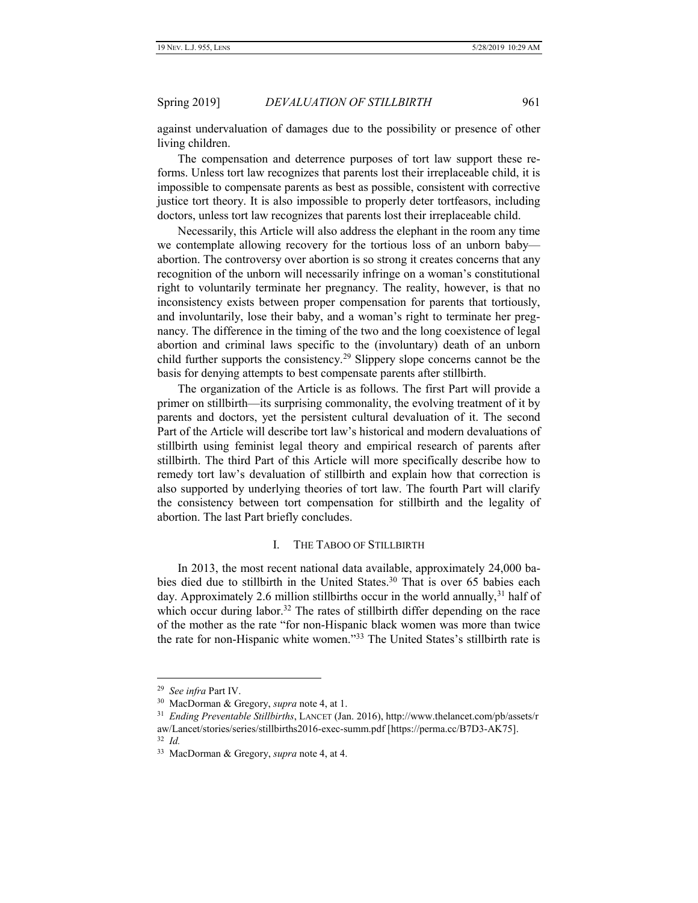against undervaluation of damages due to the possibility or presence of other living children.

The compensation and deterrence purposes of tort law support these reforms. Unless tort law recognizes that parents lost their irreplaceable child, it is impossible to compensate parents as best as possible, consistent with corrective justice tort theory. It is also impossible to properly deter tortfeasors, including doctors, unless tort law recognizes that parents lost their irreplaceable child.

Necessarily, this Article will also address the elephant in the room any time we contemplate allowing recovery for the tortious loss of an unborn baby abortion. The controversy over abortion is so strong it creates concerns that any recognition of the unborn will necessarily infringe on a woman's constitutional right to voluntarily terminate her pregnancy. The reality, however, is that no inconsistency exists between proper compensation for parents that tortiously, and involuntarily, lose their baby, and a woman's right to terminate her pregnancy. The difference in the timing of the two and the long coexistence of legal abortion and criminal laws specific to the (involuntary) death of an unborn child further supports the consistency.<sup>29</sup> Slippery slope concerns cannot be the basis for denying attempts to best compensate parents after stillbirth.

The organization of the Article is as follows. The first Part will provide a primer on stillbirth—its surprising commonality, the evolving treatment of it by parents and doctors, yet the persistent cultural devaluation of it. The second Part of the Article will describe tort law's historical and modern devaluations of stillbirth using feminist legal theory and empirical research of parents after stillbirth. The third Part of this Article will more specifically describe how to remedy tort law's devaluation of stillbirth and explain how that correction is also supported by underlying theories of tort law. The fourth Part will clarify the consistency between tort compensation for stillbirth and the legality of abortion. The last Part briefly concludes.

### I. THE TABOO OF STILLBIRTH

<span id="page-6-0"></span>In 2013, the most recent national data available, approximately 24,000 babies died due to stillbirth in the United States.<sup>30</sup> That is over 65 babies each day. Approximately 2.6 million stillbirths occur in the world annually,<sup>31</sup> half of which occur during labor.<sup>32</sup> The rates of stillbirth differ depending on the race of the mother as the rate "for non-Hispanic black women was more than twice the rate for non-Hispanic white women."33 The United States's stillbirth rate is

<sup>29</sup> *See infra* Part IV.

<sup>30</sup> MacDorman & Gregory, *supra* note 4, at 1.

<sup>31</sup> *Ending Preventable Stillbirths*, LANCET (Jan. 2016), http://www.thelancet.com/pb/assets/r aw/Lancet/stories/series/stillbirths2016-exec-summ.pdf [https://perma.cc/B7D3-AK75].

<sup>32</sup> *Id.*

<sup>33</sup> MacDorman & Gregory, *supra* note 4, at 4.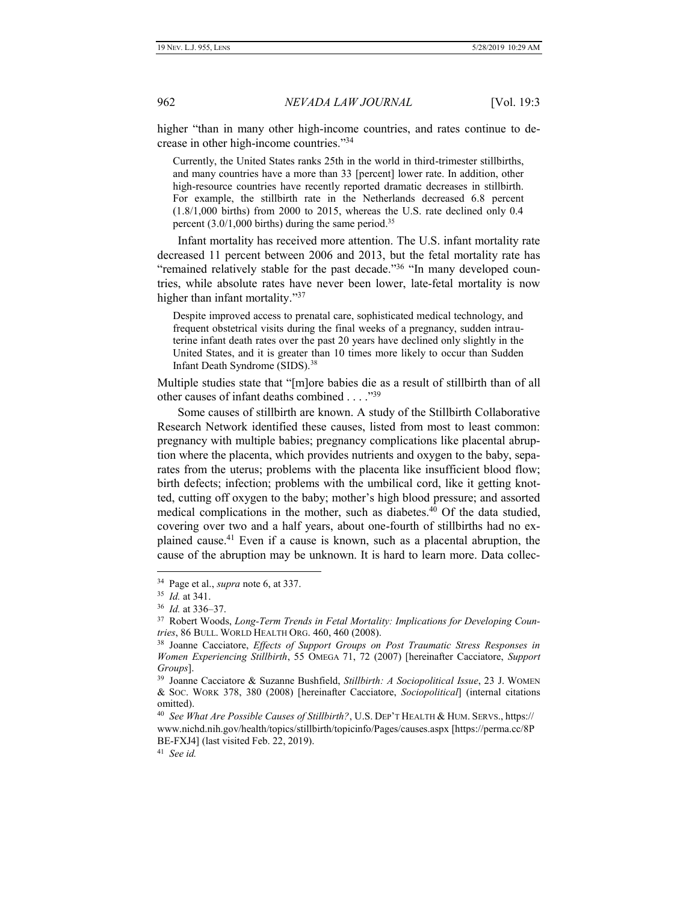higher "than in many other high-income countries, and rates continue to decrease in other high-income countries."<sup>34</sup>

Currently, the United States ranks 25th in the world in third-trimester stillbirths, and many countries have a more than 33 [percent] lower rate. In addition, other high-resource countries have recently reported dramatic decreases in stillbirth. For example, the stillbirth rate in the Netherlands decreased 6.8 percent (1.8/1,000 births) from 2000 to 2015, whereas the U.S. rate declined only 0.4 percent  $(3.0/1,000$  births) during the same period.<sup>35</sup>

Infant mortality has received more attention. The U.S. infant mortality rate decreased 11 percent between 2006 and 2013, but the fetal mortality rate has "remained relatively stable for the past decade."<sup>36</sup> "In many developed countries, while absolute rates have never been lower, late-fetal mortality is now higher than infant mortality."<sup>37</sup>

Despite improved access to prenatal care, sophisticated medical technology, and frequent obstetrical visits during the final weeks of a pregnancy, sudden intrauterine infant death rates over the past 20 years have declined only slightly in the United States, and it is greater than 10 times more likely to occur than Sudden Infant Death Syndrome (SIDS).<sup>38</sup>

Multiple studies state that "[m]ore babies die as a result of stillbirth than of all other causes of infant deaths combined . . . . "39

Some causes of stillbirth are known. A study of the Stillbirth Collaborative Research Network identified these causes, listed from most to least common: pregnancy with multiple babies; pregnancy complications like placental abruption where the placenta, which provides nutrients and oxygen to the baby, separates from the uterus; problems with the placenta like insufficient blood flow; birth defects; infection; problems with the umbilical cord, like it getting knotted, cutting off oxygen to the baby; mother's high blood pressure; and assorted medical complications in the mother, such as diabetes.<sup>40</sup> Of the data studied, covering over two and a half years, about one-fourth of stillbirths had no explained cause. <sup>41</sup> Even if a cause is known, such as a placental abruption, the cause of the abruption may be unknown. It is hard to learn more. Data collec-

 $\overline{a}$ 

41 *See id.*

<sup>34</sup> Page et al., *supra* note 6, at 337.

<sup>35</sup> *Id.* at 341.

<sup>36</sup> *Id.* at 336–37.

<sup>37</sup> Robert Woods, *Long-Term Trends in Fetal Mortality: Implications for Developing Countries*, 86 BULL. WORLD HEALTH ORG. 460, 460 (2008).

<sup>38</sup> Joanne Cacciatore, *Effects of Support Groups on Post Traumatic Stress Responses in Women Experiencing Stillbirth*, 55 OMEGA 71, 72 (2007) [hereinafter Cacciatore, *Support Groups*].

<sup>39</sup> Joanne Cacciatore & Suzanne Bushfield, *Stillbirth: A Sociopolitical Issue*, 23 J. WOMEN & SOC. WORK 378, 380 (2008) [hereinafter Cacciatore, *Sociopolitical*] (internal citations omitted).

<sup>40</sup> *See What Are Possible Causes of Stillbirth?*, U.S. DEP'T HEALTH & HUM. SERVS., https:// www.nichd.nih.gov/health/topics/stillbirth/topicinfo/Pages/causes.aspx [https://perma.cc/8P BE-FXJ4] (last visited Feb. 22, 2019).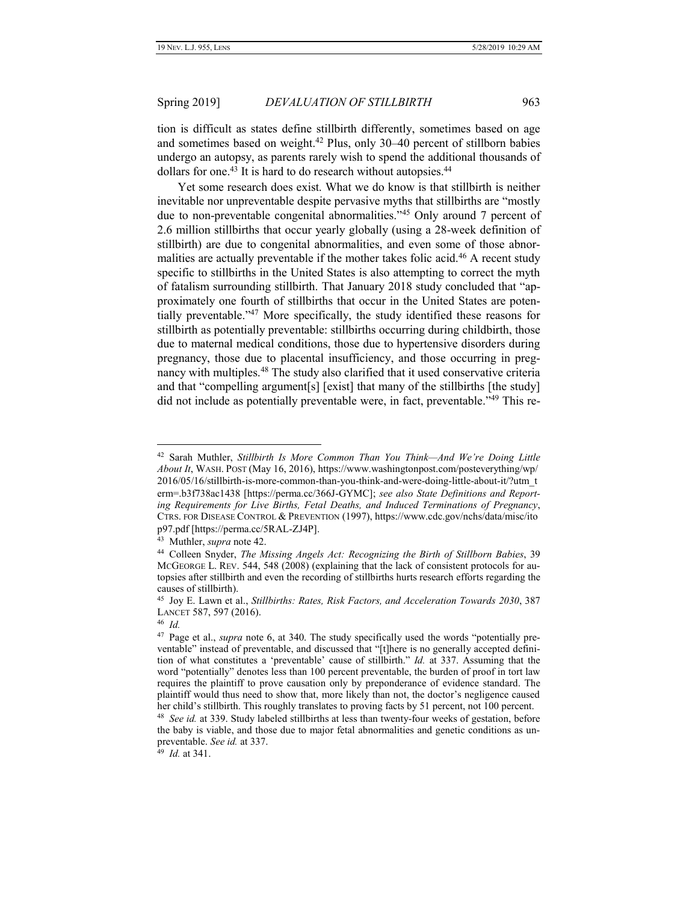<span id="page-8-0"></span>tion is difficult as states define stillbirth differently, sometimes based on age and sometimes based on weight.<sup>42</sup> Plus, only 30–40 percent of stillborn babies undergo an autopsy, as parents rarely wish to spend the additional thousands of dollars for one.<sup>43</sup> It is hard to do research without autopsies.<sup>44</sup>

Yet some research does exist. What we do know is that stillbirth is neither inevitable nor unpreventable despite pervasive myths that stillbirths are "mostly due to non-preventable congenital abnormalities."<sup>45</sup> Only around 7 percent of 2.6 million stillbirths that occur yearly globally (using a 28-week definition of stillbirth) are due to congenital abnormalities, and even some of those abnormalities are actually preventable if the mother takes folic acid.<sup>46</sup> A recent study specific to stillbirths in the United States is also attempting to correct the myth of fatalism surrounding stillbirth. That January 2018 study concluded that "approximately one fourth of stillbirths that occur in the United States are potentially preventable." <sup>47</sup> More specifically, the study identified these reasons for stillbirth as potentially preventable: stillbirths occurring during childbirth, those due to maternal medical conditions, those due to hypertensive disorders during pregnancy, those due to placental insufficiency, and those occurring in pregnancy with multiples.<sup>48</sup> The study also clarified that it used conservative criteria and that "compelling argument[s] [exist] that many of the stillbirths [the study] did not include as potentially preventable were, in fact, preventable."<sup>49</sup> This re-

 $\overline{a}$ 

49 *Id.* at 341.

<sup>42</sup> Sarah Muthler, *Stillbirth Is More Common Than You Think—And We're Doing Little About It*, WASH. POST (May 16, 2016), https://www.washingtonpost.com/posteverything/wp/ 2016/05/16/stillbirth-is-more-common-than-you-think-and-were-doing-little-about-it/?utm\_t erm=.b3f738ac1438 [https://perma.cc/366J-GYMC]; *see also State Definitions and Reporting Requirements for Live Births, Fetal Deaths, and Induced Terminations of Pregnancy*, CTRS. FOR DISEASE CONTROL & PREVENTION (1997), https://www.cdc.gov/nchs/data/misc/ito p97.pdf [https://perma.cc/5RAL-ZJ4P].

<sup>43</sup> Muthler, *supra* note 42.

<sup>44</sup> Colleen Snyder, *The Missing Angels Act: Recognizing the Birth of Stillborn Babies*, 39 MCGEORGE L. REV. 544, 548 (2008) (explaining that the lack of consistent protocols for autopsies after stillbirth and even the recording of stillbirths hurts research efforts regarding the causes of stillbirth).

<sup>45</sup> Joy E. Lawn et al., *Stillbirths: Rates, Risk Factors, and Acceleration Towards 2030*, 387 LANCET 587, 597 (2016).

<sup>46</sup> *Id.*

<sup>47</sup> Page et al., *supra* note 6, at 340. The study specifically used the words "potentially preventable" instead of preventable, and discussed that "[t]here is no generally accepted definition of what constitutes a 'preventable' cause of stillbirth." *Id.* at 337. Assuming that the word "potentially" denotes less than 100 percent preventable, the burden of proof in tort law requires the plaintiff to prove causation only by preponderance of evidence standard. The plaintiff would thus need to show that, more likely than not, the doctor's negligence caused her child's stillbirth. This roughly translates to proving facts by 51 percent, not 100 percent.

<sup>48</sup> *See id.* at 339. Study labeled stillbirths at less than twenty-four weeks of gestation, before the baby is viable, and those due to major fetal abnormalities and genetic conditions as unpreventable. *See id.* at 337.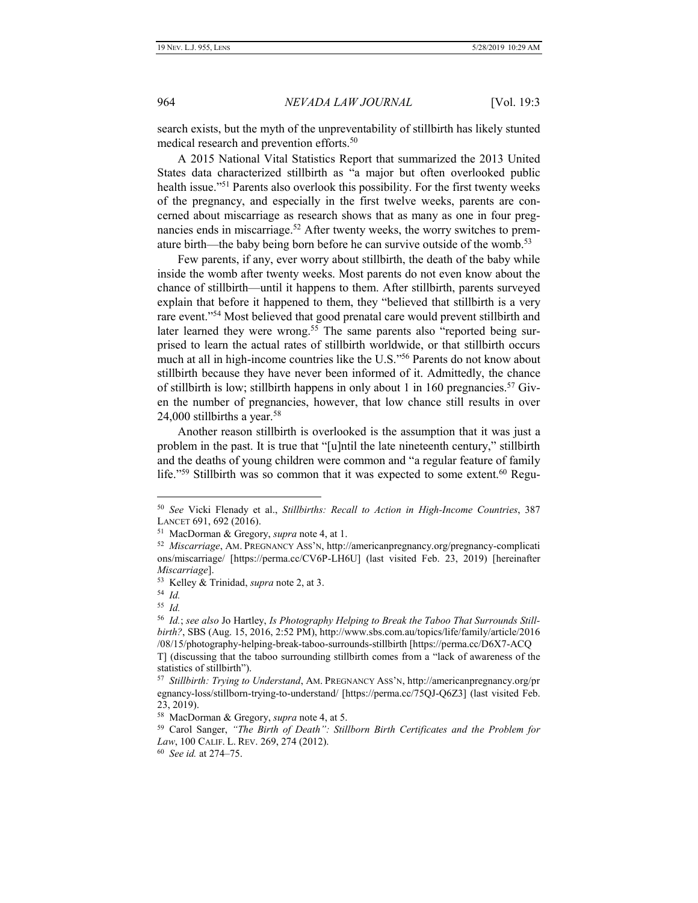search exists, but the myth of the unpreventability of stillbirth has likely stunted medical research and prevention efforts.<sup>50</sup>

A 2015 National Vital Statistics Report that summarized the 2013 United States data characterized stillbirth as "a major but often overlooked public health issue."<sup>51</sup> Parents also overlook this possibility. For the first twenty weeks of the pregnancy, and especially in the first twelve weeks, parents are concerned about miscarriage as research shows that as many as one in four pregnancies ends in miscarriage.<sup>52</sup> After twenty weeks, the worry switches to premature birth—the baby being born before he can survive outside of the womb.<sup>53</sup>

<span id="page-9-0"></span>Few parents, if any, ever worry about stillbirth, the death of the baby while inside the womb after twenty weeks. Most parents do not even know about the chance of stillbirth—until it happens to them. After stillbirth, parents surveyed explain that before it happened to them, they "believed that stillbirth is a very rare event."<sup>54</sup> Most believed that good prenatal care would prevent stillbirth and later learned they were wrong.<sup>55</sup> The same parents also "reported being surprised to learn the actual rates of stillbirth worldwide, or that stillbirth occurs much at all in high-income countries like the U.S." <sup>56</sup> Parents do not know about stillbirth because they have never been informed of it. Admittedly, the chance of stillbirth is low; stillbirth happens in only about 1 in 160 pregnancies.<sup>57</sup> Given the number of pregnancies, however, that low chance still results in over 24,000 stillbirths a year.<sup>58</sup>

Another reason stillbirth is overlooked is the assumption that it was just a problem in the past. It is true that "[u]ntil the late nineteenth century," stillbirth and the deaths of young children were common and "a regular feature of family life."<sup>59</sup> Stillbirth was so common that it was expected to some extent.<sup>60</sup> Regu-

<sup>50</sup> *See* Vicki Flenady et al., *Stillbirths: Recall to Action in High-Income Countries*, 387 LANCET 691, 692 (2016).

<sup>51</sup> MacDorman & Gregory, *supra* note 4, at 1.

<sup>52</sup> *Miscarriage*, AM. PREGNANCY ASS'N, http://americanpregnancy.org/pregnancy-complicati ons/miscarriage/ [https://perma.cc/CV6P-LH6U] (last visited Feb. 23, 2019) [hereinafter *Miscarriage*].

<sup>53</sup> Kelley & Trinidad, *supra* note [2,](#page-2-0) at 3.

<sup>54</sup> *Id.*

<sup>55</sup> *Id.*

<sup>56</sup> *Id.*; *see also* Jo Hartley, *Is Photography Helping to Break the Taboo That Surrounds Stillbirth?*, SBS (Aug. 15, 2016, 2:52 PM), http://www.sbs.com.au/topics/life/family/article/2016 /08/15/photography-helping-break-taboo-surrounds-stillbirth [https://perma.cc/D6X7-ACQ

T] (discussing that the taboo surrounding stillbirth comes from a "lack of awareness of the statistics of stillbirth").

<sup>57</sup> *Stillbirth: Trying to Understand*, AM. PREGNANCY ASS'N, http://americanpregnancy.org/pr egnancy-loss/stillborn-trying-to-understand/ [https://perma.cc/75QJ-Q6Z3] (last visited Feb. 23, 2019).

<sup>58</sup> MacDorman & Gregory, *supra* note 4, at 5.

<sup>59</sup> Carol Sanger, *"The Birth of Death": Stillborn Birth Certificates and the Problem for Law*, 100 CALIF. L. REV. 269, 274 (2012).

<sup>60</sup> *See id.* at 274–75.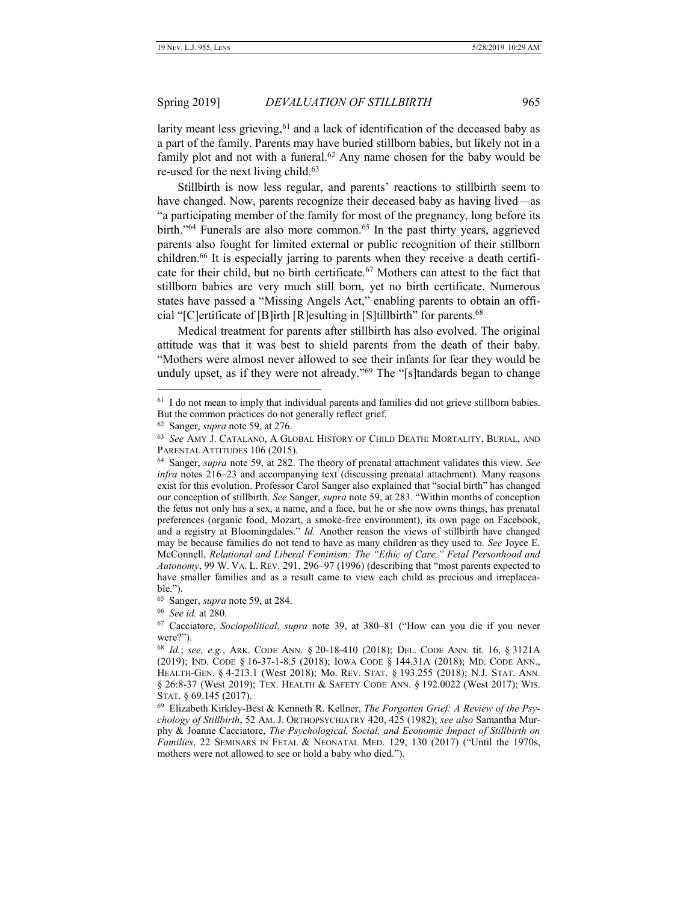larity meant less grieving,  $61$  and a lack of identification of the deceased baby as a part of the family. Parents may have buried stillborn babies, but likely not in a family plot and not with a funeral.<sup>62</sup> Any name chosen for the baby would be re-used for the next living child. $63$ 

Stillbirth is now less regular, and parents' reactions to stillbirth seem to have changed. Now, parents recognize their deceased baby as having lived—as "a participating member of the family for most of the pregnancy, long before its birth."<sup>64</sup> Funerals are also more common.<sup>65</sup> In the past thirty years, aggrieved parents also fought for limited external or public recognition of their stillborn children.<sup>66</sup> It is especially jarring to parents when they receive a death certificate for their child, but no birth certificate.<sup>67</sup> Mothers can attest to the fact that stillborn babies are very much still born, yet no birth certificate. Numerous states have passed a "Missing Angels Act," enabling parents to obtain an official "[C]ertificate of [B]irth [R]esulting in [S]tillbirth" for parents.<sup>68</sup>

Medical treatment for parents after stillbirth has also evolved. The original attitude was that it was best to shield parents from the death of their baby. "Mothers were almost never allowed to see their infants for fear they would be unduly upset, as if they were not already."<sup>69</sup> The "[s]tandards began to change

 $\overline{a}$ 

65 Sanger, *supra* note 59, at 284.

66 *See id.* at 280.

<sup>&</sup>lt;sup>61</sup> I do not mean to imply that individual parents and families did not grieve stillborn babies. But the common practices do not generally reflect grief.

<sup>62</sup> Sanger, *supra* note 59, at 276.

<sup>63</sup> *See* AMY J. CATALANO, A GLOBAL HISTORY OF CHILD DEATH: MORTALITY, BURIAL, AND PARENTAL ATTITUDES 106 (2015).

<sup>64</sup> Sanger, *supra* note 59, at 282. The theory of prenatal attachment validates this view. *See infra* notes 216–23 and accompanying text (discussing prenatal attachment). Many reasons exist for this evolution. Professor Carol Sanger also explained that "social birth" has changed our conception of stillbirth. *See* Sanger, *supra* note 59, at 283. "Within months of conception the fetus not only has a sex, a name, and a face, but he or she now owns things, has prenatal preferences (organic food, Mozart, a smoke-free environment), its own page on Facebook, and a registry at Bloomingdales." *Id.* Another reason the views of stillbirth have changed may be because families do not tend to have as many children as they used to. *See* Joyce E. McConnell, *Relational and Liberal Feminism: The "Ethic of Care," Fetal Personhood and Autonomy*, 99 W. VA. L. REV. 291, 296–97 (1996) (describing that "most parents expected to have smaller families and as a result came to view each child as precious and irreplaceable.").

<sup>67</sup> Cacciatore, *Sociopolitical*, *supra* note 39, at 380–81 ("How can you die if you never were?").

<sup>68</sup> *Id.*; *see, e.g.*, ARK. CODE ANN. § 20-18-410 (2018); DEL. CODE ANN. tit. 16, § 3121A (2019); IND. CODE § 16-37-1-8.5 (2018); IOWA CODE § 144.31A (2018); MD. CODE ANN., HEALTH-GEN. § 4-213.1 (West 2018); Mo. REV. STAT. § 193.255 (2018); N.J. STAT. ANN. § 26:8-37 (West 2019); TEX. HEALTH & SAFETY CODE ANN. § 192.0022 (West 2017); WIS. STAT. § 69.145 (2017).

<sup>69</sup> Elizabeth Kirkley-Best & Kenneth R. Kellner, *The Forgotten Grief: A Review of the Psychology of Stillbirth*, 52 AM. J. ORTHOPSYCHIATRY 420, 425 (1982); *see also* Samantha Murphy & Joanne Cacciatore, *The Psychological, Social, and Economic Impact of Stillbirth on Families*, 22 SEMINARS IN FETAL & NEONATAL MED. 129, 130 (2017) ("Until the 1970s, mothers were not allowed to see or hold a baby who died.").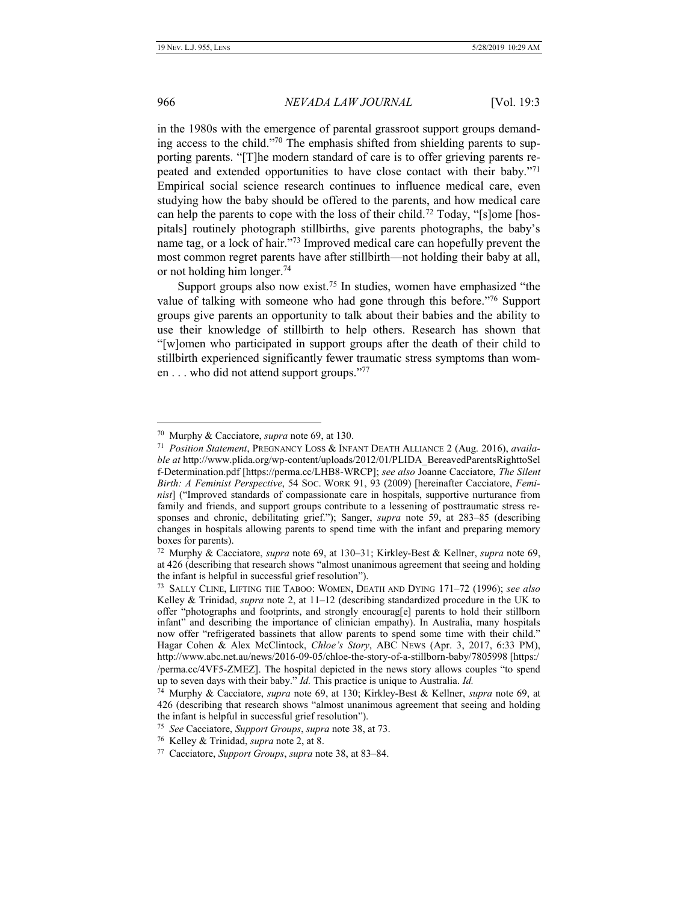### 966 *NEVADA LAW JOURNAL* [Vol. 19:3

in the 1980s with the emergence of parental grassroot support groups demanding access to the child."<sup>70</sup> The emphasis shifted from shielding parents to supporting parents. "[T]he modern standard of care is to offer grieving parents repeated and extended opportunities to have close contact with their baby."<sup>71</sup> Empirical social science research continues to influence medical care, even studying how the baby should be offered to the parents, and how medical care can help the parents to cope with the loss of their child.<sup>72</sup> Today, "[s]ome [hospitals] routinely photograph stillbirths, give parents photographs, the baby's name tag, or a lock of hair." <sup>73</sup> Improved medical care can hopefully prevent the most common regret parents have after stillbirth—not holding their baby at all, or not holding him longer.<sup>74</sup>

Support groups also now exist.<sup>75</sup> In studies, women have emphasized "the value of talking with someone who had gone through this before."<sup>76</sup> Support groups give parents an opportunity to talk about their babies and the ability to use their knowledge of stillbirth to help others. Research has shown that "[w]omen who participated in support groups after the death of their child to stillbirth experienced significantly fewer traumatic stress symptoms than women . . . who did not attend support groups."<sup>77</sup>

<sup>70</sup> Murphy & Cacciatore, *supra* note 69, at 130.

<sup>71</sup> *Position Statement*, PREGNANCY LOSS & INFANT DEATH ALLIANCE 2 (Aug. 2016), *available at* http://www.plida.org/wp-content/uploads/2012/01/PLIDA\_BereavedParentsRighttoSel f-Determination.pdf [https://perma.cc/LHB8-WRCP]; *see also* Joanne Cacciatore, *The Silent Birth: A Feminist Perspective*, 54 SOC. WORK 91, 93 (2009) [hereinafter Cacciatore, *Feminist*] ("Improved standards of compassionate care in hospitals, supportive nurturance from family and friends, and support groups contribute to a lessening of posttraumatic stress responses and chronic, debilitating grief."); Sanger, *supra* note 59, at 283–85 (describing changes in hospitals allowing parents to spend time with the infant and preparing memory boxes for parents).

<sup>72</sup> Murphy & Cacciatore, *supra* note 69, at 130–31; Kirkley-Best & Kellner, *supra* note 69, at 426 (describing that research shows "almost unanimous agreement that seeing and holding the infant is helpful in successful grief resolution").

<sup>73</sup> SALLY CLINE, LIFTING THE TABOO: WOMEN, DEATH AND DYING 171–72 (1996); *see also*  Kelley & Trinidad, *supra* note [2,](#page-2-0) at 11–12 (describing standardized procedure in the UK to offer "photographs and footprints, and strongly encourag[e] parents to hold their stillborn infant" and describing the importance of clinician empathy). In Australia, many hospitals now offer "refrigerated bassinets that allow parents to spend some time with their child." Hagar Cohen & Alex McClintock, *Chloe's Story*, ABC NEWS (Apr. 3, 2017, 6:33 PM), http://www.abc.net.au/news/2016-09-05/chloe-the-story-of-a-stillborn-baby/7805998 [https:/ /perma.cc/4VF5-ZMEZ]. The hospital depicted in the news story allows couples "to spend up to seven days with their baby." *Id.* This practice is unique to Australia. *Id.*

<sup>74</sup> Murphy & Cacciatore, *supra* note 69, at 130; Kirkley-Best & Kellner, *supra* note 69, at 426 (describing that research shows "almost unanimous agreement that seeing and holding the infant is helpful in successful grief resolution").

<sup>75</sup> *See* Cacciatore, *Support Groups*, *supra* note 38, at 73.

<sup>76</sup> Kelley & Trinidad, *supra* note [2,](#page-2-0) at 8.

<sup>77</sup> Cacciatore, *Support Groups*, *supra* note 38, at 83–84.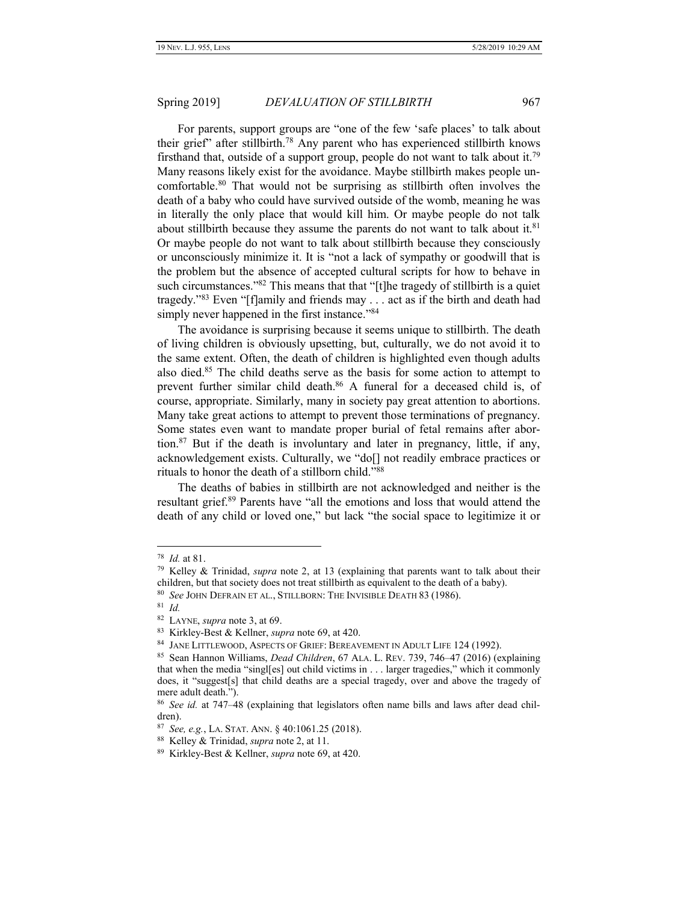<span id="page-12-0"></span>For parents, support groups are "one of the few 'safe places' to talk about their grief" after stillbirth.<sup>78</sup> Any parent who has experienced stillbirth knows firsthand that, outside of a support group, people do not want to talk about it.<sup>79</sup> Many reasons likely exist for the avoidance. Maybe stillbirth makes people uncomfortable.<sup>80</sup> That would not be surprising as stillbirth often involves the death of a baby who could have survived outside of the womb, meaning he was in literally the only place that would kill him. Or maybe people do not talk about stillbirth because they assume the parents do not want to talk about it.<sup>81</sup> Or maybe people do not want to talk about stillbirth because they consciously or unconsciously minimize it. It is "not a lack of sympathy or goodwill that is the problem but the absence of accepted cultural scripts for how to behave in such circumstances."<sup>82</sup> This means that that "[t]he tragedy of stillbirth is a quiet tragedy."<sup>83</sup> Even "[f]amily and friends may . . . act as if the birth and death had simply never happened in the first instance."<sup>84</sup>

The avoidance is surprising because it seems unique to stillbirth. The death of living children is obviously upsetting, but, culturally, we do not avoid it to the same extent. Often, the death of children is highlighted even though adults also died.<sup>85</sup> The child deaths serve as the basis for some action to attempt to prevent further similar child death.<sup>86</sup> A funeral for a deceased child is, of course, appropriate. Similarly, many in society pay great attention to abortions. Many take great actions to attempt to prevent those terminations of pregnancy. Some states even want to mandate proper burial of fetal remains after abortion.<sup>87</sup> But if the death is involuntary and later in pregnancy, little, if any, acknowledgement exists. Culturally, we "do[] not readily embrace practices or rituals to honor the death of a stillborn child."<sup>88</sup>

The deaths of babies in stillbirth are not acknowledged and neither is the resultant grief.<sup>89</sup> Parents have "all the emotions and loss that would attend the death of any child or loved one," but lack "the social space to legitimize it or

<sup>78</sup> *Id.* at 81.

<sup>79</sup> Kelley & Trinidad, *supra* note [2,](#page-2-0) at 13 (explaining that parents want to talk about their children, but that society does not treat stillbirth as equivalent to the death of a baby).

<sup>80</sup> *See* JOHN DEFRAIN ET AL., STILLBORN: THE INVISIBLE DEATH 83 (1986).

<sup>81</sup> *Id.*

<sup>82</sup> LAYNE, *supra* not[e 3,](#page-2-1) at 69.

<sup>83</sup> Kirkley-Best & Kellner, *supra* note 69, at 420.

<sup>84</sup> JANE LITTLEWOOD, ASPECTS OF GRIEF: BEREAVEMENT IN ADULT LIFE 124 (1992).

<sup>85</sup> Sean Hannon Williams, *Dead Children*, 67 ALA. L. REV. 739, 746–47 (2016) (explaining that when the media "singl[es] out child victims in . . . larger tragedies," which it commonly does, it "suggest[s] that child deaths are a special tragedy, over and above the tragedy of mere adult death.").

<sup>86</sup> *See id.* at 747–48 (explaining that legislators often name bills and laws after dead children).

<sup>87</sup> *See, e.g.*, LA. STAT. ANN. § 40:1061.25 (2018).

<sup>88</sup> Kelley & Trinidad, *supra* note [2,](#page-2-0) at 11.

<sup>89</sup> Kirkley-Best & Kellner, *supra* note 69, at 420.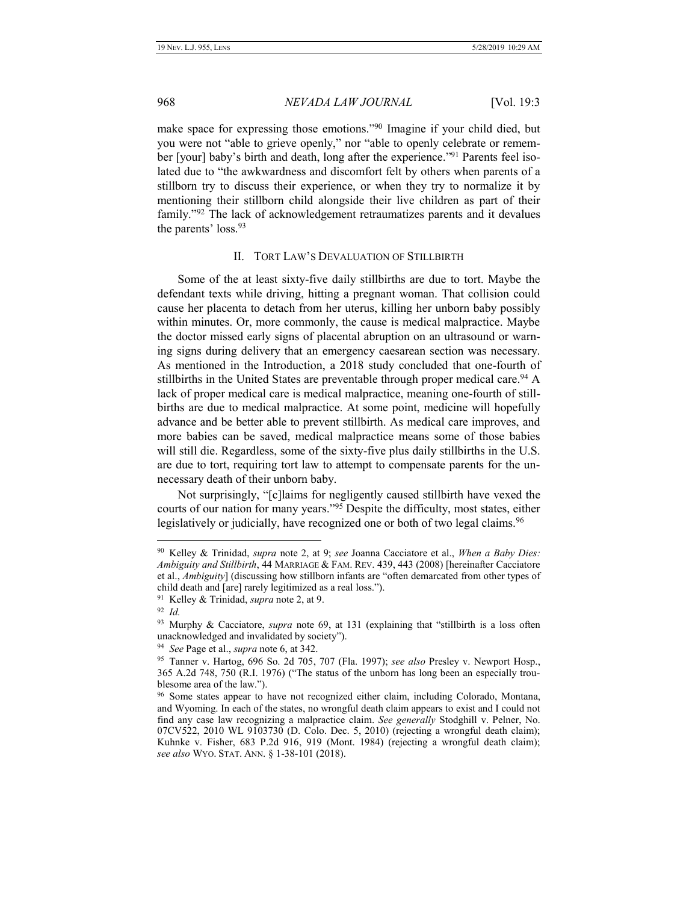<span id="page-13-1"></span>

make space for expressing those emotions."<sup>90</sup> Imagine if your child died, but you were not "able to grieve openly," nor "able to openly celebrate or remember [your] baby's birth and death, long after the experience."<sup>91</sup> Parents feel isolated due to "the awkwardness and discomfort felt by others when parents of a stillborn try to discuss their experience, or when they try to normalize it by mentioning their stillborn child alongside their live children as part of their family."<sup>92</sup> The lack of acknowledgement retraumatizes parents and it devalues the parents' loss.<sup>93</sup>

# II. TORT LAW'S DEVALUATION OF STILLBIRTH

<span id="page-13-0"></span>Some of the at least sixty-five daily stillbirths are due to tort. Maybe the defendant texts while driving, hitting a pregnant woman. That collision could cause her placenta to detach from her uterus, killing her unborn baby possibly within minutes. Or, more commonly, the cause is medical malpractice. Maybe the doctor missed early signs of placental abruption on an ultrasound or warning signs during delivery that an emergency caesarean section was necessary. As mentioned in the Introduction, a 2018 study concluded that one-fourth of stillbirths in the United States are preventable through proper medical care.<sup>94</sup> A lack of proper medical care is medical malpractice, meaning one-fourth of stillbirths are due to medical malpractice. At some point, medicine will hopefully advance and be better able to prevent stillbirth. As medical care improves, and more babies can be saved, medical malpractice means some of those babies will still die. Regardless, some of the sixty-five plus daily stillbirths in the U.S. are due to tort, requiring tort law to attempt to compensate parents for the unnecessary death of their unborn baby.

Not surprisingly, "[c]laims for negligently caused stillbirth have vexed the courts of our nation for many years."<sup>95</sup> Despite the difficulty, most states, either legislatively or judicially, have recognized one or both of two legal claims.<sup>96</sup>

<sup>90</sup> Kelley & Trinidad, *supra* note [2,](#page-2-0) at 9; *see* Joanna Cacciatore et al., *When a Baby Dies: Ambiguity and Stillbirth*, 44 MARRIAGE & FAM. REV. 439, 443 (2008) [hereinafter Cacciatore et al., *Ambiguity*] (discussing how stillborn infants are "often demarcated from other types of child death and [are] rarely legitimized as a real loss.").

<sup>91</sup> Kelley & Trinidad, *supra* note [2,](#page-2-0) at 9.

<sup>92</sup> *Id.*

<sup>93</sup> Murphy & Cacciatore, *supra* note 69, at 131 (explaining that "stillbirth is a loss often unacknowledged and invalidated by society").

<sup>94</sup> *See* Page et al., *supra* note 6, at 342.

<sup>95</sup> Tanner v. Hartog, 696 So. 2d 705, 707 (Fla. 1997); *see also* Presley v. Newport Hosp., 365 A.2d 748, 750 (R.I. 1976) ("The status of the unborn has long been an especially troublesome area of the law.").

<sup>&</sup>lt;sup>96</sup> Some states appear to have not recognized either claim, including Colorado, Montana, and Wyoming. In each of the states, no wrongful death claim appears to exist and I could not find any case law recognizing a malpractice claim. *See generally* Stodghill v. Pelner, No. 07CV522, 2010 WL 9103730 (D. Colo. Dec. 5, 2010) (rejecting a wrongful death claim); Kuhnke v. Fisher, 683 P.2d 916, 919 (Mont. 1984) (rejecting a wrongful death claim); *see also* WYO. STAT. ANN. § 1-38-101 (2018).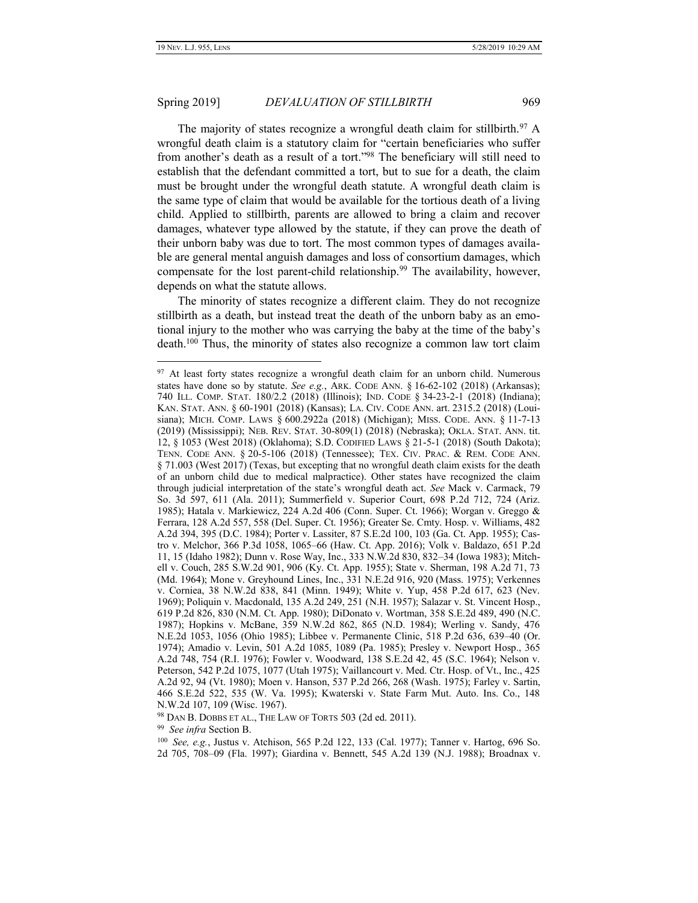#### Spring 2019] *DEVALUATION OF STILLBIRTH* 969

<span id="page-14-0"></span>The majority of states recognize a wrongful death claim for stillbirth.<sup>97</sup> A wrongful death claim is a statutory claim for "certain beneficiaries who suffer from another's death as a result of a tort."<sup>98</sup> The beneficiary will still need to establish that the defendant committed a tort, but to sue for a death, the claim must be brought under the wrongful death statute. A wrongful death claim is the same type of claim that would be available for the tortious death of a living child. Applied to stillbirth, parents are allowed to bring a claim and recover damages, whatever type allowed by the statute, if they can prove the death of their unborn baby was due to tort. The most common types of damages available are general mental anguish damages and loss of consortium damages, which compensate for the lost parent-child relationship.<sup>99</sup> The availability, however, depends on what the statute allows.

The minority of states recognize a different claim. They do not recognize stillbirth as a death, but instead treat the death of the unborn baby as an emotional injury to the mother who was carrying the baby at the time of the baby's death.<sup>100</sup> Thus, the minority of states also recognize a common law tort claim

<sup>98</sup> DAN B. DOBBS ET AL., THE LAW OF TORTS 503 (2d ed. 2011).

99 *See infra* Sectio[n B.](#page-25-0)

<sup>&</sup>lt;sup>97</sup> At least forty states recognize a wrongful death claim for an unborn child. Numerous states have done so by statute. *See e.g.*, ARK. CODE ANN. § 16-62-102 (2018) (Arkansas); 740 ILL. COMP. STAT. 180/2.2 (2018) (Illinois); IND. CODE § 34-23-2-1 (2018) (Indiana); KAN. STAT. ANN. § 60-1901 (2018) (Kansas); LA. CIV. CODE ANN. art. 2315.2 (2018) (Louisiana); MICH. COMP. LAWS § 600.2922a (2018) (Michigan); MISS. CODE. ANN. § 11-7-13 (2019) (Mississippi); NEB. REV. STAT. 30-809(1) (2018) (Nebraska); OKLA. STAT. ANN. tit. 12, § 1053 (West 2018) (Oklahoma); S.D. CODIFIED LAWS § 21-5-1 (2018) (South Dakota); TENN. CODE ANN. § 20-5-106 (2018) (Tennessee); TEX. CIV. PRAC. & REM. CODE ANN. § 71.003 (West 2017) (Texas, but excepting that no wrongful death claim exists for the death of an unborn child due to medical malpractice). Other states have recognized the claim through judicial interpretation of the state's wrongful death act. *See* Mack v. Carmack, 79 So. 3d 597, 611 (Ala. 2011); Summerfield v. Superior Court, 698 P.2d 712, 724 (Ariz. 1985); Hatala v. Markiewicz, 224 A.2d 406 (Conn. Super. Ct. 1966); Worgan v. Greggo & Ferrara, 128 A.2d 557, 558 (Del. Super. Ct. 1956); Greater Se. Cmty. Hosp. v. Williams, 482 A.2d 394, 395 (D.C. 1984); Porter v. Lassiter, 87 S.E.2d 100, 103 (Ga. Ct. App. 1955); Castro v. Melchor, 366 P.3d 1058, 1065–66 (Haw. Ct. App. 2016); Volk v. Baldazo, 651 P.2d 11, 15 (Idaho 1982); Dunn v. Rose Way, Inc., 333 N.W.2d 830, 832–34 (Iowa 1983); Mitchell v. Couch, 285 S.W.2d 901, 906 (Ky. Ct. App. 1955); State v. Sherman, 198 A.2d 71, 73 (Md. 1964); Mone v. Greyhound Lines, Inc., 331 N.E.2d 916, 920 (Mass. 1975); Verkennes v. Corniea, 38 N.W.2d 838, 841 (Minn. 1949); White v. Yup, 458 P.2d 617, 623 (Nev. 1969); Poliquin v. Macdonald, 135 A.2d 249, 251 (N.H. 1957); Salazar v. St. Vincent Hosp., 619 P.2d 826, 830 (N.M. Ct. App. 1980); DiDonato v. Wortman, 358 S.E.2d 489, 490 (N.C. 1987); Hopkins v. McBane, 359 N.W.2d 862, 865 (N.D. 1984); Werling v. Sandy, 476 N.E.2d 1053, 1056 (Ohio 1985); Libbee v. Permanente Clinic, 518 P.2d 636, 639–40 (Or. 1974); Amadio v. Levin, 501 A.2d 1085, 1089 (Pa. 1985); Presley v. Newport Hosp., 365 A.2d 748, 754 (R.I. 1976); Fowler v. Woodward, 138 S.E.2d 42, 45 (S.C. 1964); Nelson v. Peterson, 542 P.2d 1075, 1077 (Utah 1975); Vaillancourt v. Med. Ctr. Hosp. of Vt., Inc., 425 A.2d 92, 94 (Vt. 1980); Moen v. Hanson, 537 P.2d 266, 268 (Wash. 1975); Farley v. Sartin, 466 S.E.2d 522, 535 (W. Va. 1995); Kwaterski v. State Farm Mut. Auto. Ins. Co., 148 N.W.2d 107, 109 (Wisc. 1967).

<sup>100</sup> *See, e.g.*, Justus v. Atchison, 565 P.2d 122, 133 (Cal. 1977); Tanner v. Hartog, 696 So. 2d 705, 708–09 (Fla. 1997); Giardina v. Bennett, 545 A.2d 139 (N.J. 1988); Broadnax v.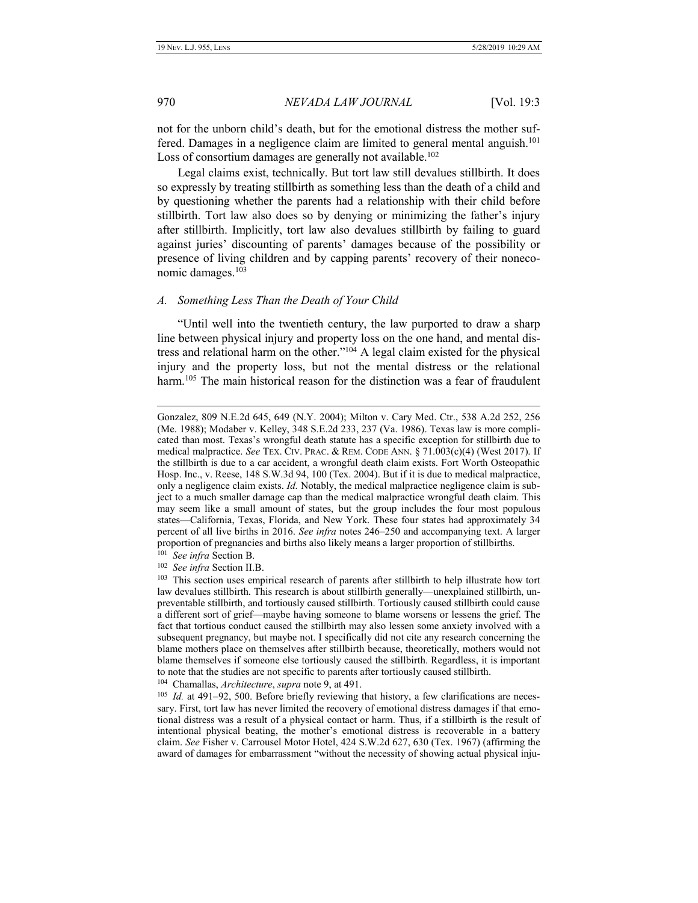970 *NEVADA LAW JOURNAL* [Vol. 19:3

not for the unborn child's death, but for the emotional distress the mother suffered. Damages in a negligence claim are limited to general mental anguish.<sup>101</sup> Loss of consortium damages are generally not available.<sup>102</sup>

Legal claims exist, technically. But tort law still devalues stillbirth. It does so expressly by treating stillbirth as something less than the death of a child and by questioning whether the parents had a relationship with their child before stillbirth. Tort law also does so by denying or minimizing the father's injury after stillbirth. Implicitly, tort law also devalues stillbirth by failing to guard against juries' discounting of parents' damages because of the possibility or presence of living children and by capping parents' recovery of their noneconomic damages.<sup>103</sup>

#### <span id="page-15-0"></span>*A. Something Less Than the Death of Your Child*

"Until well into the twentieth century, the law purported to draw a sharp line between physical injury and property loss on the one hand, and mental distress and relational harm on the other." <sup>104</sup> A legal claim existed for the physical injury and the property loss, but not the mental distress or the relational harm.<sup>105</sup> The main historical reason for the distinction was a fear of fraudulent

Gonzalez, 809 N.E.2d 645, 649 (N.Y. 2004); Milton v. Cary Med. Ctr., 538 A.2d 252, 256 (Me. 1988); Modaber v. Kelley, 348 S.E.2d 233, 237 (Va. 1986). Texas law is more complicated than most. Texas's wrongful death statute has a specific exception for stillbirth due to medical malpractice. *See* TEX. CIV. PRAC. & REM. CODE ANN. § 71.003(c)(4) (West 2017). If the stillbirth is due to a car accident, a wrongful death claim exists. Fort Worth Osteopathic Hosp. Inc., v. Reese, 148 S.W.3d 94, 100 (Tex. 2004). But if it is due to medical malpractice, only a negligence claim exists. *Id.* Notably, the medical malpractice negligence claim is subject to a much smaller damage cap than the medical malpractice wrongful death claim. This may seem like a small amount of states, but the group includes the four most populous states—California, Texas, Florida, and New York. These four states had approximately 34 percent of all live births in 2016. *See infra* notes 246–250 and accompanying text. A larger proportion of pregnancies and births also likely means a larger proportion of stillbirths. 101 *See infra* Sectio[n B.](#page-25-0)

<sup>102</sup> *See infra* Section II.B.

<sup>&</sup>lt;sup>103</sup> This section uses empirical research of parents after stillbirth to help illustrate how tort law devalues stillbirth. This research is about stillbirth generally—unexplained stillbirth, unpreventable stillbirth, and tortiously caused stillbirth. Tortiously caused stillbirth could cause a different sort of grief—maybe having someone to blame worsens or lessens the grief. The fact that tortious conduct caused the stillbirth may also lessen some anxiety involved with a subsequent pregnancy, but maybe not. I specifically did not cite any research concerning the blame mothers place on themselves after stillbirth because, theoretically, mothers would not blame themselves if someone else tortiously caused the stillbirth. Regardless, it is important to note that the studies are not specific to parents after tortiously caused stillbirth.

<sup>104</sup> Chamallas, *Architecture*, *supra* note [9,](#page-3-0) at 491.

<sup>&</sup>lt;sup>105</sup> *Id.* at 491-92, 500. Before briefly reviewing that history, a few clarifications are necessary. First, tort law has never limited the recovery of emotional distress damages if that emotional distress was a result of a physical contact or harm. Thus, if a stillbirth is the result of intentional physical beating, the mother's emotional distress is recoverable in a battery claim. *See* Fisher v. Carrousel Motor Hotel, 424 S.W.2d 627, 630 (Tex. 1967) (affirming the award of damages for embarrassment "without the necessity of showing actual physical inju-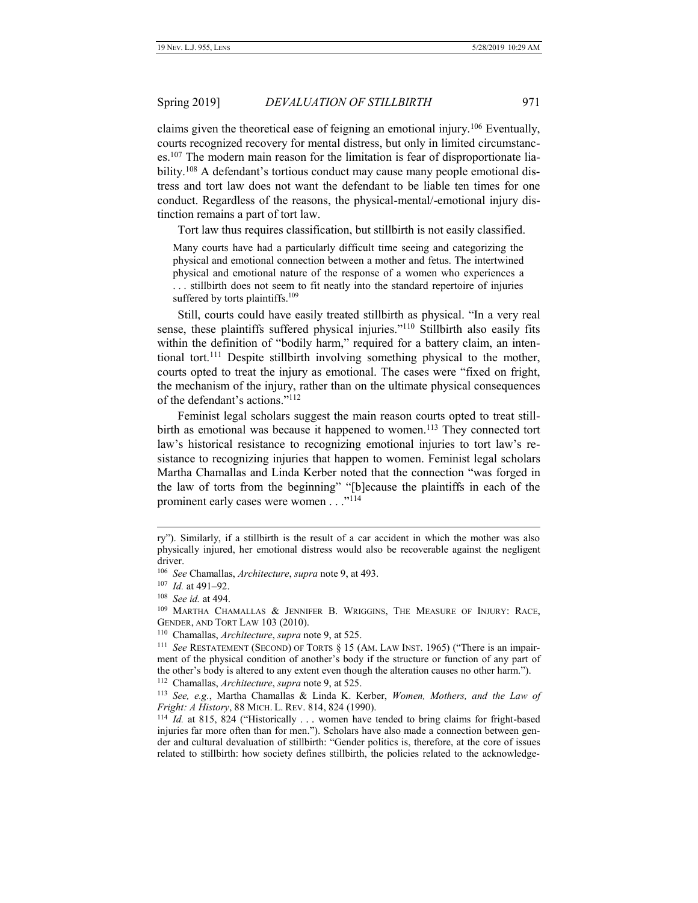claims given the theoretical ease of feigning an emotional injury.<sup>106</sup> Eventually, courts recognized recovery for mental distress, but only in limited circumstances.<sup>107</sup> The modern main reason for the limitation is fear of disproportionate liability.<sup>108</sup> A defendant's tortious conduct may cause many people emotional distress and tort law does not want the defendant to be liable ten times for one conduct. Regardless of the reasons, the physical-mental/-emotional injury distinction remains a part of tort law.

Tort law thus requires classification, but stillbirth is not easily classified.

Many courts have had a particularly difficult time seeing and categorizing the physical and emotional connection between a mother and fetus. The intertwined physical and emotional nature of the response of a women who experiences a . . . stillbirth does not seem to fit neatly into the standard repertoire of injuries suffered by torts plaintiffs.<sup>109</sup>

Still, courts could have easily treated stillbirth as physical. "In a very real sense, these plaintiffs suffered physical injuries."<sup>110</sup> Stillbirth also easily fits within the definition of "bodily harm," required for a battery claim, an intentional tort.<sup>111</sup> Despite stillbirth involving something physical to the mother, courts opted to treat the injury as emotional. The cases were "fixed on fright, the mechanism of the injury, rather than on the ultimate physical consequences of the defendant's actions." 112

Feminist legal scholars suggest the main reason courts opted to treat stillbirth as emotional was because it happened to women.<sup>113</sup> They connected tort law's historical resistance to recognizing emotional injuries to tort law's resistance to recognizing injuries that happen to women. Feminist legal scholars Martha Chamallas and Linda Kerber noted that the connection "was forged in the law of torts from the beginning" "[b]ecause the plaintiffs in each of the prominent early cases were women . . ."<sup>114</sup>

ry"). Similarly, if a stillbirth is the result of a car accident in which the mother was also physically injured, her emotional distress would also be recoverable against the negligent driver.

<sup>106</sup> *See* Chamallas, *Architecture*, *supra* note 9, at 493.

<sup>107</sup> *Id.* at 491–92.

<sup>108</sup> *See id.* at 494.

<sup>&</sup>lt;sup>109</sup> MARTHA CHAMALLAS & JENNIFER B. WRIGGINS, THE MEASURE OF INJURY: RACE, GENDER, AND TORT LAW 103 (2010).

<sup>110</sup> Chamallas, *Architecture*, *supra* note [9,](#page-3-0) at 525.

<sup>&</sup>lt;sup>111</sup> See RESTATEMENT (SECOND) OF TORTS § 15 (AM. LAW INST. 1965) ("There is an impairment of the physical condition of another's body if the structure or function of any part of the other's body is altered to any extent even though the alteration causes no other harm.").

<sup>112</sup> Chamallas, *Architecture*, *supra* note [9,](#page-3-0) at 525.

<sup>113</sup>  *See, e.g.*, Martha Chamallas & Linda K. Kerber, *Women, Mothers, and the Law of Fright: A History*, 88 MICH. L. REV. 814, 824 (1990).

<sup>&</sup>lt;sup>114</sup> *Id.* at 815, 824 ("Historically ... women have tended to bring claims for fright-based injuries far more often than for men."). Scholars have also made a connection between gender and cultural devaluation of stillbirth: "Gender politics is, therefore, at the core of issues related to stillbirth: how society defines stillbirth, the policies related to the acknowledge-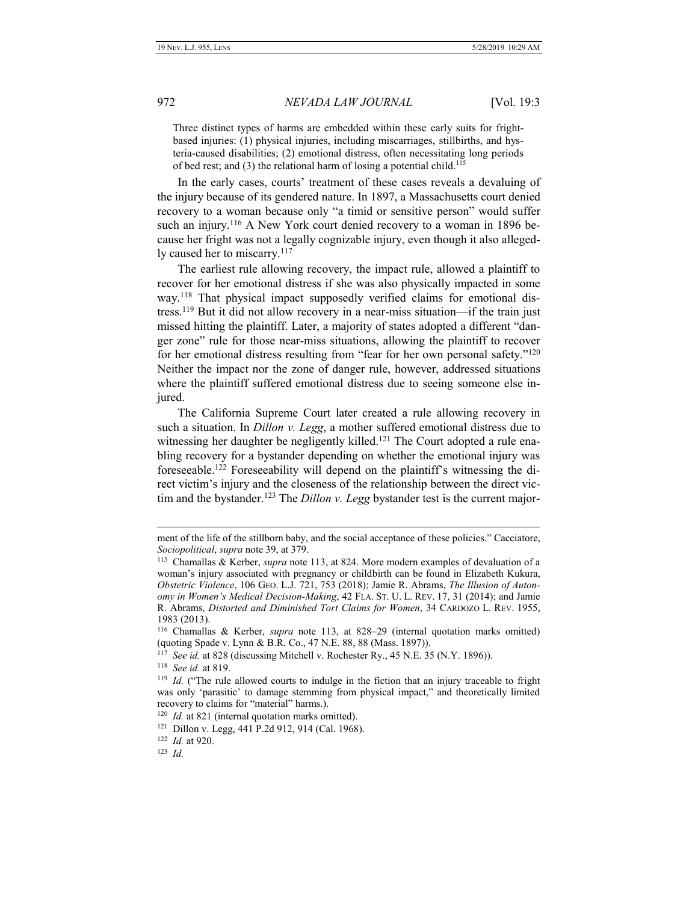Three distinct types of harms are embedded within these early suits for frightbased injuries: (1) physical injuries, including miscarriages, stillbirths, and hysteria-caused disabilities; (2) emotional distress, often necessitating long periods of bed rest; and (3) the relational harm of losing a potential child.<sup>115</sup>

In the early cases, courts' treatment of these cases reveals a devaluing of the injury because of its gendered nature. In 1897, a Massachusetts court denied recovery to a woman because only "a timid or sensitive person" would suffer such an injury.<sup>116</sup> A New York court denied recovery to a woman in 1896 because her fright was not a legally cognizable injury, even though it also allegedly caused her to miscarry.<sup>117</sup>

The earliest rule allowing recovery, the impact rule, allowed a plaintiff to recover for her emotional distress if she was also physically impacted in some way.<sup>118</sup> That physical impact supposedly verified claims for emotional distress.<sup>119</sup> But it did not allow recovery in a near-miss situation—if the train just missed hitting the plaintiff. Later, a majority of states adopted a different "danger zone" rule for those near-miss situations, allowing the plaintiff to recover for her emotional distress resulting from "fear for her own personal safety."<sup>120</sup> Neither the impact nor the zone of danger rule, however, addressed situations where the plaintiff suffered emotional distress due to seeing someone else injured.

The California Supreme Court later created a rule allowing recovery in such a situation. In *Dillon v. Legg*, a mother suffered emotional distress due to witnessing her daughter be negligently killed.<sup>121</sup> The Court adopted a rule enabling recovery for a bystander depending on whether the emotional injury was foreseeable.<sup>122</sup> Foreseeability will depend on the plaintiff's witnessing the direct victim's injury and the closeness of the relationship between the direct victim and the bystander.<sup>123</sup> The *Dillon v. Legg* bystander test is the current major-

118 *See id.* at 819.

ment of the life of the stillborn baby, and the social acceptance of these policies." Cacciatore, *Sociopolitical*, *supra* note 39, at 379.

<sup>115</sup> Chamallas & Kerber, *supra* note 113, at 824. More modern examples of devaluation of a woman's injury associated with pregnancy or childbirth can be found in Elizabeth Kukura, *Obstetric Violence*, 106 GEO. L.J. 721, 753 (2018); Jamie R. Abrams, *The Illusion of Autonomy in Women's Medical Decision-Making*, 42 FLA. ST. U. L. REV. 17, 31 (2014); and Jamie R. Abrams, *Distorted and Diminished Tort Claims for Women*, 34 CARDOZO L. REV. 1955, 1983 (2013).

<sup>116</sup> Chamallas & Kerber, *supra* note 113, at 828–29 (internal quotation marks omitted) (quoting Spade v. Lynn & B.R. Co., 47 N.E. 88, 88 (Mass. 1897)).

<sup>&</sup>lt;sup>117</sup> See id. at 828 (discussing Mitchell v. Rochester Ry., 45 N.E. 35 (N.Y. 1896)).

<sup>119</sup> *Id.* ("The rule allowed courts to indulge in the fiction that an injury traceable to fright was only 'parasitic' to damage stemming from physical impact," and theoretically limited recovery to claims for "material" harms.).

<sup>&</sup>lt;sup>120</sup> *Id.* at 821 (internal quotation marks omitted).

<sup>121</sup> Dillon v. Legg, 441 P.2d 912, 914 (Cal. 1968).

<sup>122</sup> *Id.* at 920.

<sup>123</sup> *Id.*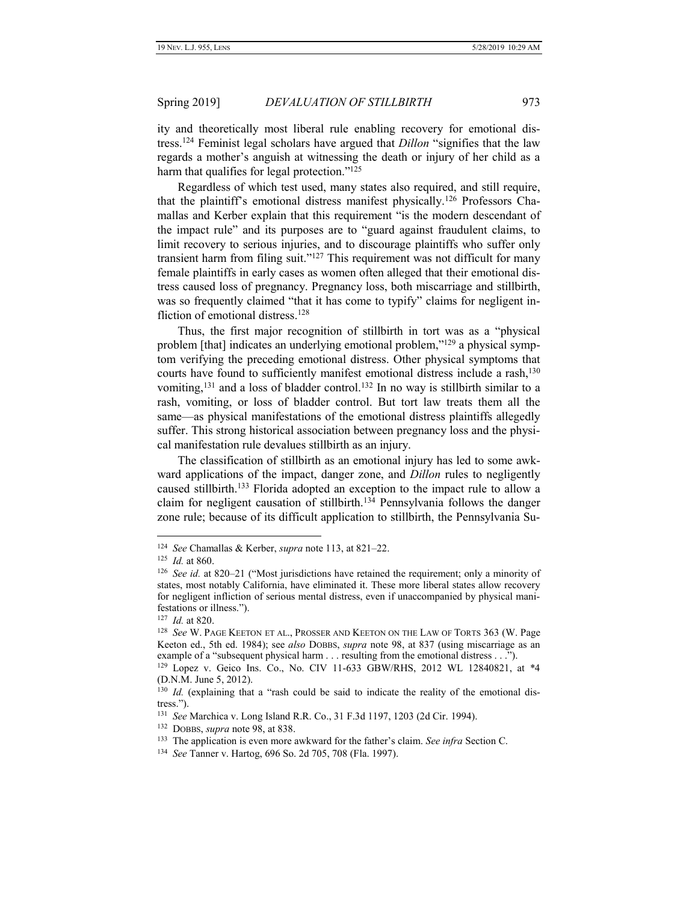ity and theoretically most liberal rule enabling recovery for emotional distress.<sup>124</sup> Feminist legal scholars have argued that *Dillon* "signifies that the law regards a mother's anguish at witnessing the death or injury of her child as a harm that qualifies for legal protection."<sup>125</sup>

Regardless of which test used, many states also required, and still require, that the plaintiff's emotional distress manifest physically.<sup>126</sup> Professors Chamallas and Kerber explain that this requirement "is the modern descendant of the impact rule" and its purposes are to "guard against fraudulent claims, to limit recovery to serious injuries, and to discourage plaintiffs who suffer only transient harm from filing suit."<sup>127</sup> This requirement was not difficult for many female plaintiffs in early cases as women often alleged that their emotional distress caused loss of pregnancy. Pregnancy loss, both miscarriage and stillbirth, was so frequently claimed "that it has come to typify" claims for negligent infliction of emotional distress.<sup>128</sup>

Thus, the first major recognition of stillbirth in tort was as a "physical problem [that] indicates an underlying emotional problem,"<sup>129</sup> a physical symptom verifying the preceding emotional distress. Other physical symptoms that courts have found to sufficiently manifest emotional distress include a rash,  $^{130}$ vomiting,<sup>131</sup> and a loss of bladder control.<sup>132</sup> In no way is stillbirth similar to a rash, vomiting, or loss of bladder control. But tort law treats them all the same—as physical manifestations of the emotional distress plaintiffs allegedly suffer. This strong historical association between pregnancy loss and the physical manifestation rule devalues stillbirth as an injury.

The classification of stillbirth as an emotional injury has led to some awkward applications of the impact, danger zone, and *Dillon* rules to negligently caused stillbirth.<sup>133</sup> Florida adopted an exception to the impact rule to allow a claim for negligent causation of stillbirth.<sup>134</sup> Pennsylvania follows the danger zone rule; because of its difficult application to stillbirth, the Pennsylvania Su-

<sup>124</sup> *See* Chamallas & Kerber, *supra* note 113, at 821–22.

<sup>125</sup> *Id.* at 860.

<sup>126</sup> *See id.* at 820–21 ("Most jurisdictions have retained the requirement; only a minority of states, most notably California, have eliminated it. These more liberal states allow recovery for negligent infliction of serious mental distress, even if unaccompanied by physical manifestations or illness.").

<sup>127</sup> *Id.* at 820.

<sup>128</sup> *See* W. PAGE KEETON ET AL., PROSSER AND KEETON ON THE LAW OF TORTS 363 (W. Page Keeton ed., 5th ed. 1984); see *also* DOBBS, *supra* note 98, at 837 (using miscarriage as an example of a "subsequent physical harm . . . resulting from the emotional distress . . .").

<sup>129</sup> Lopez v. Geico Ins. Co., No. CIV 11-633 GBW/RHS, 2012 WL 12840821, at \*4 (D.N.M. June 5, 2012).

<sup>&</sup>lt;sup>130</sup> Id. (explaining that a "rash could be said to indicate the reality of the emotional distress.").

<sup>131</sup> *See* Marchica v. Long Island R.R. Co., 31 F.3d 1197, 1203 (2d Cir. 1994).

<sup>132</sup> DOBBS, *supra* note 98, at 838.

<sup>133</sup> The application is even more awkward for the father's claim. *See infra* Sectio[n C.](#page-32-0)

<sup>134</sup> *See* Tanner v. Hartog, 696 So. 2d 705, 708 (Fla. 1997).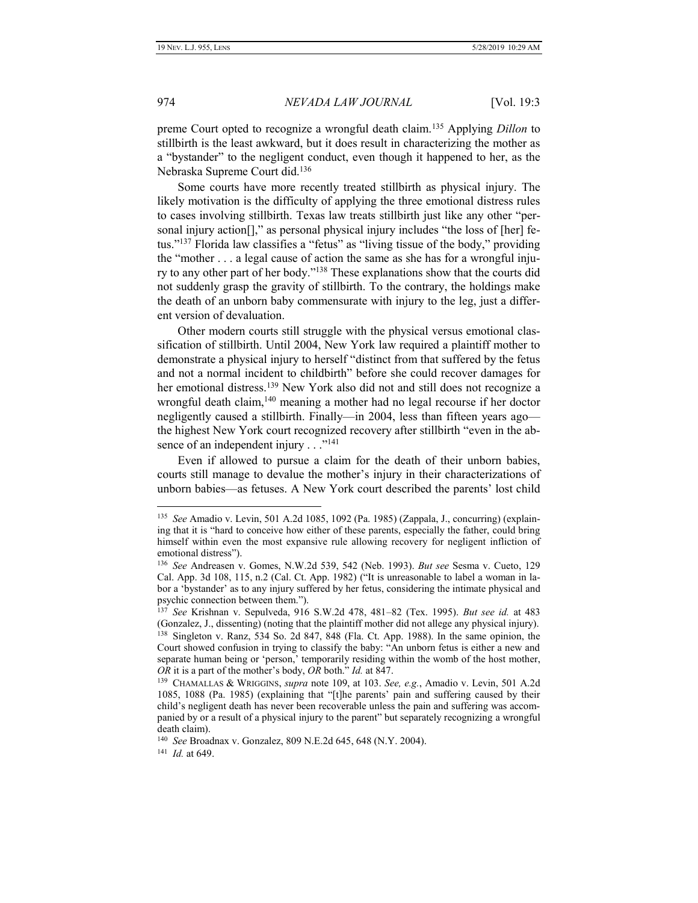preme Court opted to recognize a wrongful death claim.<sup>135</sup> Applying *Dillon* to stillbirth is the least awkward, but it does result in characterizing the mother as a "bystander" to the negligent conduct, even though it happened to her, as the Nebraska Supreme Court did.<sup>136</sup>

Some courts have more recently treated stillbirth as physical injury. The likely motivation is the difficulty of applying the three emotional distress rules to cases involving stillbirth. Texas law treats stillbirth just like any other "personal injury action<sup>[]</sup>," as personal physical injury includes "the loss of [her] fetus." <sup>137</sup> Florida law classifies a "fetus" as "living tissue of the body," providing the "mother . . . a legal cause of action the same as she has for a wrongful injury to any other part of her body."<sup>138</sup> These explanations show that the courts did not suddenly grasp the gravity of stillbirth. To the contrary, the holdings make the death of an unborn baby commensurate with injury to the leg, just a different version of devaluation.

Other modern courts still struggle with the physical versus emotional classification of stillbirth. Until 2004, New York law required a plaintiff mother to demonstrate a physical injury to herself "distinct from that suffered by the fetus and not a normal incident to childbirth" before she could recover damages for her emotional distress.<sup>139</sup> New York also did not and still does not recognize a wrongful death claim,<sup>140</sup> meaning a mother had no legal recourse if her doctor negligently caused a stillbirth. Finally—in 2004, less than fifteen years ago the highest New York court recognized recovery after stillbirth "even in the absence of an independent injury . . ."<sup>141</sup>

Even if allowed to pursue a claim for the death of their unborn babies, courts still manage to devalue the mother's injury in their characterizations of unborn babies—as fetuses. A New York court described the parents' lost child

<sup>135</sup> *See* Amadio v. Levin, 501 A.2d 1085, 1092 (Pa. 1985) (Zappala, J., concurring) (explaining that it is "hard to conceive how either of these parents, especially the father, could bring himself within even the most expansive rule allowing recovery for negligent infliction of emotional distress").

<sup>136</sup> *See* Andreasen v. Gomes, N.W.2d 539, 542 (Neb. 1993). *But see* Sesma v. Cueto, 129 Cal. App. 3d 108, 115, n.2 (Cal. Ct. App. 1982) ("It is unreasonable to label a woman in labor a 'bystander' as to any injury suffered by her fetus, considering the intimate physical and psychic connection between them.").

<sup>137</sup> *See* Krishnan v. Sepulveda, 916 S.W.2d 478, 481–82 (Tex. 1995). *But see id.* at 483 (Gonzalez, J., dissenting) (noting that the plaintiff mother did not allege any physical injury). 138 Singleton v. Ranz, 534 So. 2d 847, 848 (Fla. Ct. App. 1988). In the same opinion, the Court showed confusion in trying to classify the baby: "An unborn fetus is either a new and separate human being or 'person,' temporarily residing within the womb of the host mother, *OR* it is a part of the mother's body, *OR* both." *Id.* at 847.

<sup>139</sup> CHAMALLAS & WRIGGINS, *supra* note 109, at 103. *See, e.g.*, Amadio v. Levin, 501 A.2d 1085, 1088 (Pa. 1985) (explaining that "[t]he parents' pain and suffering caused by their child's negligent death has never been recoverable unless the pain and suffering was accompanied by or a result of a physical injury to the parent" but separately recognizing a wrongful death claim).

<sup>140</sup> *See* Broadnax v. Gonzalez, 809 N.E.2d 645, 648 (N.Y. 2004).

<sup>141</sup> *Id.* at 649.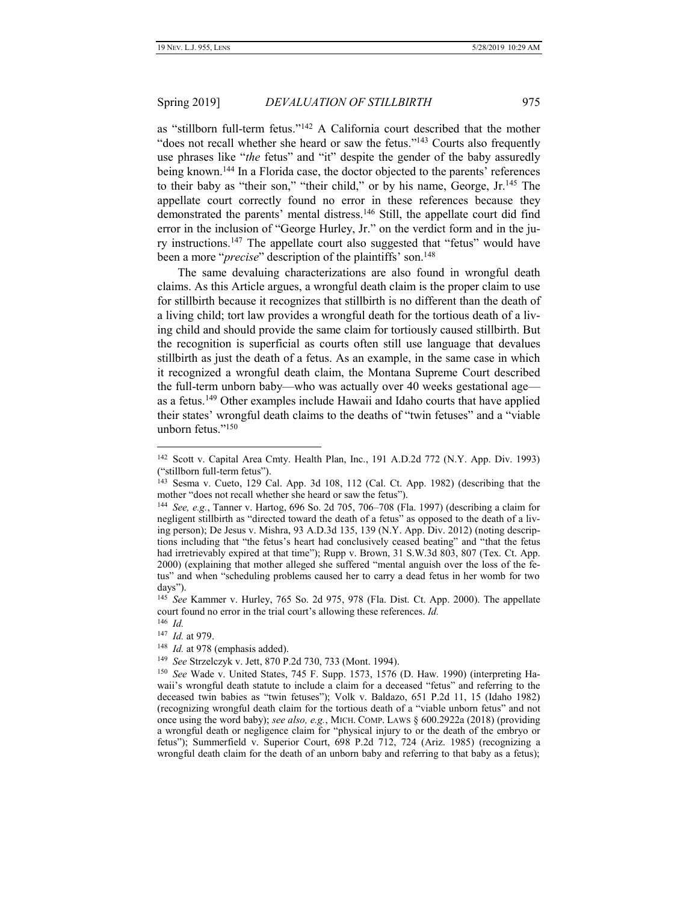as "stillborn full-term fetus."<sup>142</sup> A California court described that the mother "does not recall whether she heard or saw the fetus."<sup>143</sup> Courts also frequently use phrases like "*the* fetus" and "it" despite the gender of the baby assuredly being known.<sup>144</sup> In a Florida case, the doctor objected to the parents' references to their baby as "their son," "their child," or by his name, George, Jr.<sup>145</sup> The appellate court correctly found no error in these references because they demonstrated the parents' mental distress.<sup>146</sup> Still, the appellate court did find error in the inclusion of "George Hurley, Jr." on the verdict form and in the jury instructions.<sup>147</sup> The appellate court also suggested that "fetus" would have been a more "*precise*" description of the plaintiffs' son.<sup>148</sup>

The same devaluing characterizations are also found in wrongful death claims. As this Article argues, a wrongful death claim is the proper claim to use for stillbirth because it recognizes that stillbirth is no different than the death of a living child; tort law provides a wrongful death for the tortious death of a living child and should provide the same claim for tortiously caused stillbirth. But the recognition is superficial as courts often still use language that devalues stillbirth as just the death of a fetus. As an example, in the same case in which it recognized a wrongful death claim, the Montana Supreme Court described the full-term unborn baby—who was actually over 40 weeks gestational age as a fetus.<sup>149</sup> Other examples include Hawaii and Idaho courts that have applied their states' wrongful death claims to the deaths of "twin fetuses" and a "viable unborn fetus."<sup>150</sup>

 $\overline{a}$ 

149 *See* Strzelczyk v. Jett, 870 P.2d 730, 733 (Mont. 1994).

<sup>142</sup> Scott v. Capital Area Cmty. Health Plan, Inc., 191 A.D.2d 772 (N.Y. App. Div. 1993) ("stillborn full-term fetus").

<sup>143</sup> Sesma v. Cueto, 129 Cal. App. 3d 108, 112 (Cal. Ct. App. 1982) (describing that the mother "does not recall whether she heard or saw the fetus").

<sup>144</sup> *See, e.g.*, Tanner v. Hartog, 696 So. 2d 705, 706–708 (Fla. 1997) (describing a claim for negligent stillbirth as "directed toward the death of a fetus" as opposed to the death of a living person); De Jesus v. Mishra, 93 A.D.3d 135, 139 (N.Y. App. Div. 2012) (noting descriptions including that "the fetus's heart had conclusively ceased beating" and "that the fetus had irretrievably expired at that time"); Rupp v. Brown, 31 S.W.3d 803, 807 (Tex. Ct. App. 2000) (explaining that mother alleged she suffered "mental anguish over the loss of the fetus" and when "scheduling problems caused her to carry a dead fetus in her womb for two days").

<sup>145</sup> *See* Kammer v. Hurley, 765 So. 2d 975, 978 (Fla. Dist. Ct. App. 2000). The appellate court found no error in the trial court's allowing these references. *Id.*

<sup>146</sup> *Id.* 147 *Id.* at 979.

<sup>&</sup>lt;sup>148</sup> *Id.* at 978 (emphasis added).

<sup>150</sup> *See* Wade v. United States, 745 F. Supp. 1573, 1576 (D. Haw. 1990) (interpreting Hawaii's wrongful death statute to include a claim for a deceased "fetus" and referring to the deceased twin babies as "twin fetuses"); Volk v. Baldazo, 651 P.2d 11, 15 (Idaho 1982) (recognizing wrongful death claim for the tortious death of a "viable unborn fetus" and not once using the word baby); *see also, e.g.*, MICH. COMP. LAWS § 600.2922a (2018) (providing a wrongful death or negligence claim for "physical injury to or the death of the embryo or fetus"); Summerfield v. Superior Court, 698 P.2d 712, 724 (Ariz. 1985) (recognizing a wrongful death claim for the death of an unborn baby and referring to that baby as a fetus);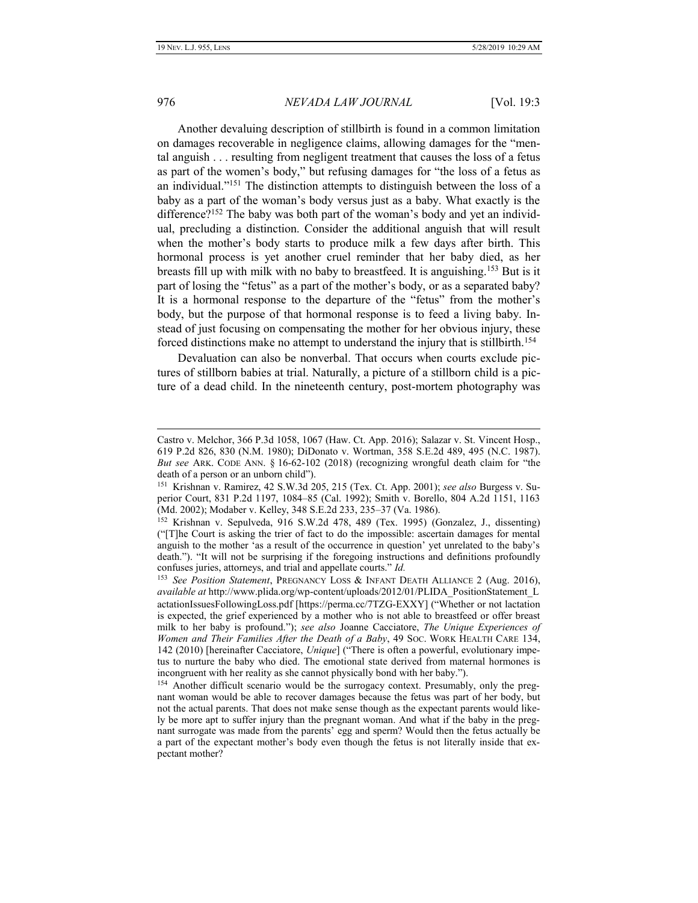### 976 *NEVADA LAW JOURNAL* [Vol. 19:3

<span id="page-21-0"></span>

Another devaluing description of stillbirth is found in a common limitation on damages recoverable in negligence claims, allowing damages for the "mental anguish . . . resulting from negligent treatment that causes the loss of a fetus as part of the women's body," but refusing damages for "the loss of a fetus as an individual."<sup>151</sup> The distinction attempts to distinguish between the loss of a baby as a part of the woman's body versus just as a baby. What exactly is the difference?<sup>152</sup> The baby was both part of the woman's body and yet an individual, precluding a distinction. Consider the additional anguish that will result when the mother's body starts to produce milk a few days after birth. This hormonal process is yet another cruel reminder that her baby died, as her breasts fill up with milk with no baby to breastfeed. It is anguishing.<sup>153</sup> But is it part of losing the "fetus" as a part of the mother's body, or as a separated baby? It is a hormonal response to the departure of the "fetus" from the mother's body, but the purpose of that hormonal response is to feed a living baby. Instead of just focusing on compensating the mother for her obvious injury, these forced distinctions make no attempt to understand the injury that is stillbirth.<sup>154</sup>

Devaluation can also be nonverbal. That occurs when courts exclude pictures of stillborn babies at trial. Naturally, a picture of a stillborn child is a picture of a dead child. In the nineteenth century, post-mortem photography was

Castro v. Melchor, 366 P.3d 1058, 1067 (Haw. Ct. App. 2016); Salazar v. St. Vincent Hosp., 619 P.2d 826, 830 (N.M. 1980); DiDonato v. Wortman, 358 S.E.2d 489, 495 (N.C. 1987). *But see* ARK. CODE ANN. § 16-62-102 (2018) (recognizing wrongful death claim for "the death of a person or an unborn child").

<sup>151</sup> Krishnan v. Ramirez, 42 S.W.3d 205, 215 (Tex. Ct. App. 2001); *see also* Burgess v. Superior Court, 831 P.2d 1197, 1084–85 (Cal. 1992); Smith v. Borello, 804 A.2d 1151, 1163 (Md. 2002); Modaber v. Kelley, 348 S.E.2d 233, 235–37 (Va. 1986).

<sup>152</sup> Krishnan v. Sepulveda, 916 S.W.2d 478, 489 (Tex. 1995) (Gonzalez, J., dissenting) ("[T]he Court is asking the trier of fact to do the impossible: ascertain damages for mental anguish to the mother 'as a result of the occurrence in question' yet unrelated to the baby's death."). "It will not be surprising if the foregoing instructions and definitions profoundly confuses juries, attorneys, and trial and appellate courts." *Id.*

<sup>153</sup> *See Position Statement*, PREGNANCY LOSS & INFANT DEATH ALLIANCE 2 (Aug. 2016), *available at* http://www.plida.org/wp-content/uploads/2012/01/PLIDA\_PositionStatement\_L actationIssuesFollowingLoss.pdf [https://perma.cc/7TZG-EXXY] ("Whether or not lactation is expected, the grief experienced by a mother who is not able to breastfeed or offer breast milk to her baby is profound."); *see also* Joanne Cacciatore, *The Unique Experiences of Women and Their Families After the Death of a Baby*, 49 SOC. WORK HEALTH CARE 134, 142 (2010) [hereinafter Cacciatore, *Unique*] ("There is often a powerful, evolutionary impetus to nurture the baby who died. The emotional state derived from maternal hormones is incongruent with her reality as she cannot physically bond with her baby.").

<sup>&</sup>lt;sup>154</sup> Another difficult scenario would be the surrogacy context. Presumably, only the pregnant woman would be able to recover damages because the fetus was part of her body, but not the actual parents. That does not make sense though as the expectant parents would likely be more apt to suffer injury than the pregnant woman. And what if the baby in the pregnant surrogate was made from the parents' egg and sperm? Would then the fetus actually be a part of the expectant mother's body even though the fetus is not literally inside that expectant mother?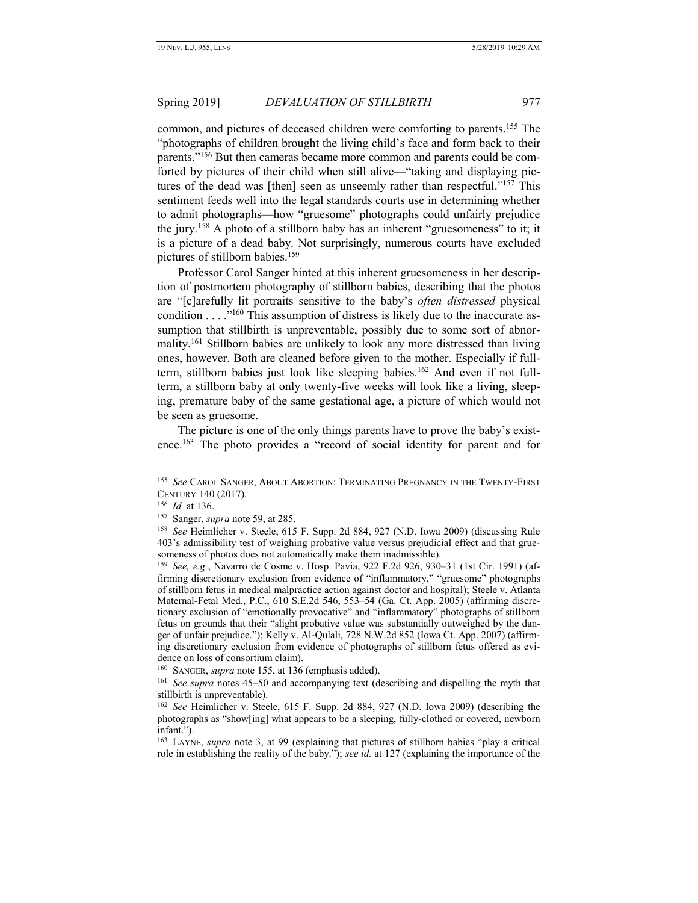<span id="page-22-0"></span>common, and pictures of deceased children were comforting to parents.<sup>155</sup> The "photographs of children brought the living child's face and form back to their parents."<sup>156</sup> But then cameras became more common and parents could be comforted by pictures of their child when still alive—"taking and displaying pictures of the dead was [then] seen as unseemly rather than respectful."<sup>157</sup> This sentiment feeds well into the legal standards courts use in determining whether to admit photographs—how "gruesome" photographs could unfairly prejudice the jury.<sup>158</sup> A photo of a stillborn baby has an inherent "gruesomeness" to it; it is a picture of a dead baby. Not surprisingly, numerous courts have excluded pictures of stillborn babies.<sup>159</sup>

Professor Carol Sanger hinted at this inherent gruesomeness in her description of postmortem photography of stillborn babies, describing that the photos are "[c]arefully lit portraits sensitive to the baby's *often distressed* physical condition  $\ldots$ ."<sup>160</sup> This assumption of distress is likely due to the inaccurate assumption that stillbirth is unpreventable, possibly due to some sort of abnormality.<sup>161</sup> Stillborn babies are unlikely to look any more distressed than living ones, however. Both are cleaned before given to the mother. Especially if fullterm, stillborn babies just look like sleeping babies.<sup>162</sup> And even if not fullterm, a stillborn baby at only twenty-five weeks will look like a living, sleeping, premature baby of the same gestational age, a picture of which would not be seen as gruesome.

The picture is one of the only things parents have to prove the baby's existence.<sup>163</sup> The photo provides a "record of social identity for parent and for

<sup>155</sup> *See* CAROL SANGER, ABOUT ABORTION: TERMINATING PREGNANCY IN THE TWENTY-FIRST CENTURY 140 (2017).

<sup>156</sup> *Id.* at 136.

<sup>157</sup> Sanger, *supra* note 59, at 285.

<sup>158</sup> *See* Heimlicher v. Steele, 615 F. Supp. 2d 884, 927 (N.D. Iowa 2009) (discussing Rule 403's admissibility test of weighing probative value versus prejudicial effect and that gruesomeness of photos does not automatically make them inadmissible).

<sup>159</sup> *See, e.g.*, Navarro de Cosme v. Hosp. Pavia, 922 F.2d 926, 930–31 (1st Cir. 1991) (affirming discretionary exclusion from evidence of "inflammatory," "gruesome" photographs of stillborn fetus in medical malpractice action against doctor and hospital); Steele v. Atlanta Maternal-Fetal Med., P.C., 610 S.E.2d 546, 553–54 (Ga. Ct. App. 2005) (affirming discretionary exclusion of "emotionally provocative" and "inflammatory" photographs of stillborn fetus on grounds that their "slight probative value was substantially outweighed by the danger of unfair prejudice."); Kelly v. Al-Qulali, 728 N.W.2d 852 (Iowa Ct. App. 2007) (affirming discretionary exclusion from evidence of photographs of stillborn fetus offered as evidence on loss of consortium claim).

<sup>&</sup>lt;sup>160</sup> SANGER, *supra* not[e 155,](#page-22-0) at 136 (emphasis added).

<sup>161</sup> *See supra* notes 45–50 and accompanying text (describing and dispelling the myth that stillbirth is unpreventable).

<sup>162</sup> *See* Heimlicher v. Steele, 615 F. Supp. 2d 884, 927 (N.D. Iowa 2009) (describing the photographs as "show[ing] what appears to be a sleeping, fully-clothed or covered, newborn infant.").

<sup>163</sup> LAYNE, *supra* note [3,](#page-2-1) at 99 (explaining that pictures of stillborn babies "play a critical role in establishing the reality of the baby."); *see id.* at 127 (explaining the importance of the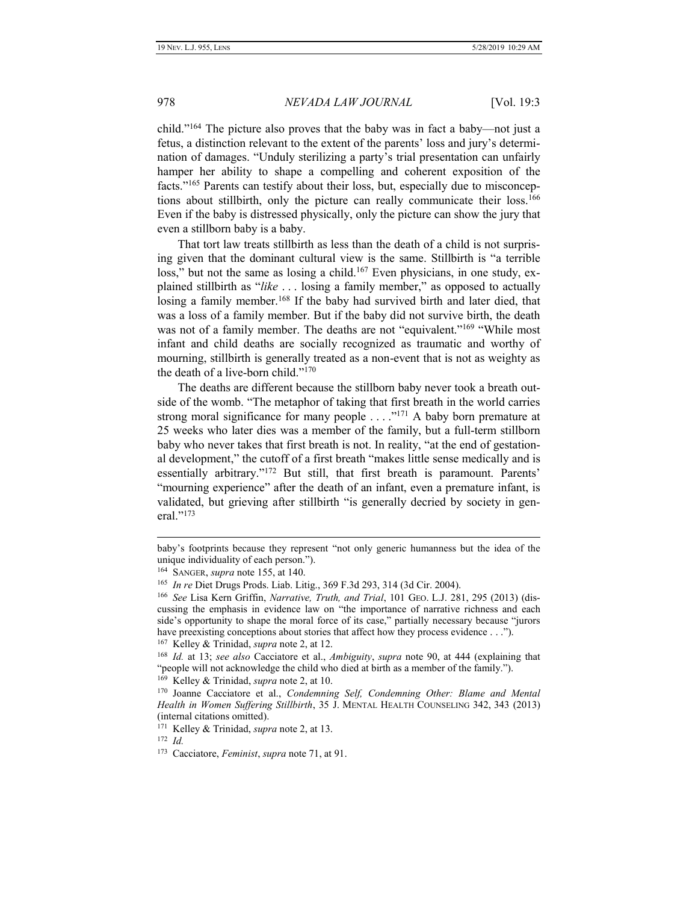child." <sup>164</sup> The picture also proves that the baby was in fact a baby—not just a fetus, a distinction relevant to the extent of the parents' loss and jury's determination of damages. "Unduly sterilizing a party's trial presentation can unfairly hamper her ability to shape a compelling and coherent exposition of the facts."<sup>165</sup> Parents can testify about their loss, but, especially due to misconceptions about stillbirth, only the picture can really communicate their loss.<sup>166</sup> Even if the baby is distressed physically, only the picture can show the jury that even a stillborn baby is a baby.

That tort law treats stillbirth as less than the death of a child is not surprising given that the dominant cultural view is the same. Stillbirth is "a terrible loss," but not the same as losing a child.<sup>167</sup> Even physicians, in one study, explained stillbirth as "*like* . . . losing a family member," as opposed to actually losing a family member.<sup>168</sup> If the baby had survived birth and later died, that was a loss of a family member. But if the baby did not survive birth, the death was not of a family member. The deaths are not "equivalent."<sup>169</sup> "While most infant and child deaths are socially recognized as traumatic and worthy of mourning, stillbirth is generally treated as a non-event that is not as weighty as the death of a live-born child."<sup>170</sup>

The deaths are different because the stillborn baby never took a breath outside of the womb. "The metaphor of taking that first breath in the world carries strong moral significance for many people  $\ldots$ ."<sup>171</sup> A baby born premature at 25 weeks who later dies was a member of the family, but a full-term stillborn baby who never takes that first breath is not. In reality, "at the end of gestational development," the cutoff of a first breath "makes little sense medically and is essentially arbitrary."<sup>172</sup> But still, that first breath is paramount. Parents' "mourning experience" after the death of an infant, even a premature infant, is validated, but grieving after stillbirth "is generally decried by society in general."<sup>173</sup>

baby's footprints because they represent "not only generic humanness but the idea of the unique individuality of each person.").

<sup>164</sup> SANGER, *supra* note 155, at 140.

<sup>165</sup> *In re* Diet Drugs Prods. Liab. Litig., 369 F.3d 293, 314 (3d Cir. 2004).

<sup>166</sup> *See* Lisa Kern Griffin, *Narrative, Truth, and Trial*, 101 GEO. L.J. 281, 295 (2013) (discussing the emphasis in evidence law on "the importance of narrative richness and each side's opportunity to shape the moral force of its case," partially necessary because "jurors have preexisting conceptions about stories that affect how they process evidence . . .").

<sup>167</sup> Kelley & Trinidad, *supra* note [2,](#page-2-0) at 12.

<sup>168</sup> *Id.* at 13; *see also* Cacciatore et al., *Ambiguity*, *supra* note [90,](#page-13-1) at 444 (explaining that "people will not acknowledge the child who died at birth as a member of the family.").

<sup>169</sup> Kelley & Trinidad, *supra* note [2,](#page-2-0) at 10.

<sup>170</sup> Joanne Cacciatore et al., *Condemning Self, Condemning Other: Blame and Mental Health in Women Suffering Stillbirth*, 35 J. MENTAL HEALTH COUNSELING 342, 343 (2013) (internal citations omitted).

<sup>171</sup> Kelley & Trinidad, *supra* note 2, at 13.

<sup>172</sup> *Id.*

<sup>173</sup> Cacciatore, *Feminist*, *supra* note 71, at 91.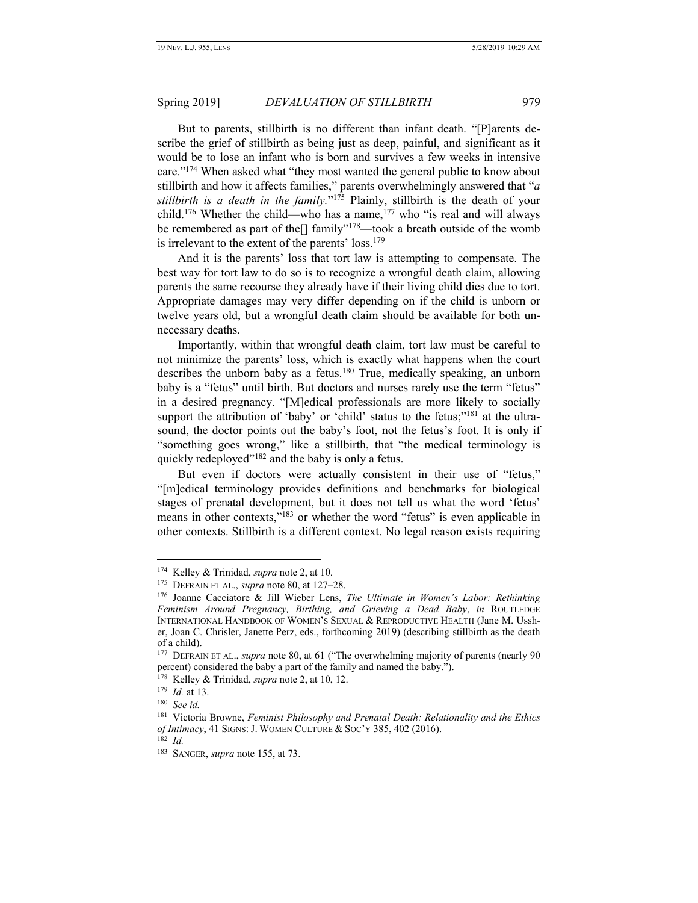But to parents, stillbirth is no different than infant death. "[P]arents describe the grief of stillbirth as being just as deep, painful, and significant as it would be to lose an infant who is born and survives a few weeks in intensive care."<sup>174</sup> When asked what "they most wanted the general public to know about stillbirth and how it affects families," parents overwhelmingly answered that "*a stillbirth is a death in the family.*" <sup>175</sup> Plainly, stillbirth is the death of your child.<sup>176</sup> Whether the child—who has a name,<sup>177</sup> who "is real and will always be remembered as part of the<sup>[]</sup> family"<sup>178</sup>—took a breath outside of the womb is irrelevant to the extent of the parents' loss.<sup>179</sup>

And it is the parents' loss that tort law is attempting to compensate. The best way for tort law to do so is to recognize a wrongful death claim, allowing parents the same recourse they already have if their living child dies due to tort. Appropriate damages may very differ depending on if the child is unborn or twelve years old, but a wrongful death claim should be available for both unnecessary deaths.

Importantly, within that wrongful death claim, tort law must be careful to not minimize the parents' loss, which is exactly what happens when the court describes the unborn baby as a fetus.<sup>180</sup> True, medically speaking, an unborn baby is a "fetus" until birth. But doctors and nurses rarely use the term "fetus" in a desired pregnancy. "[M]edical professionals are more likely to socially support the attribution of 'baby' or 'child' status to the fetus;"<sup>181</sup> at the ultrasound, the doctor points out the baby's foot, not the fetus's foot. It is only if "something goes wrong," like a stillbirth, that "the medical terminology is quickly redeployed"<sup>182</sup> and the baby is only a fetus.

But even if doctors were actually consistent in their use of "fetus," "[m]edical terminology provides definitions and benchmarks for biological stages of prenatal development, but it does not tell us what the word 'fetus' means in other contexts,"<sup>183</sup> or whether the word "fetus" is even applicable in other contexts. Stillbirth is a different context. No legal reason exists requiring

<sup>174</sup> Kelley & Trinidad, *supra* note [2,](#page-2-0) at 10.

<sup>175</sup> DEFRAIN ET AL., *supra* note [80,](#page-12-0) at 127–28.

<sup>176</sup> Joanne Cacciatore & Jill Wieber Lens, *The Ultimate in Women's Labor: Rethinking Feminism Around Pregnancy, Birthing, and Grieving a Dead Baby*, *in* ROUTLEDGE INTERNATIONAL HANDBOOK OF WOMEN'S SEXUAL & REPRODUCTIVE HEALTH (Jane M. Ussher, Joan C. Chrisler, Janette Perz, eds., forthcoming 2019) (describing stillbirth as the death of a child).

<sup>&</sup>lt;sup>177</sup> DEFRAIN ET AL., *supra* note [80,](#page-12-0) at 61 ("The overwhelming majority of parents (nearly 90) percent) considered the baby a part of the family and named the baby.").

<sup>178</sup> Kelley & Trinidad, *supra* note [2,](#page-2-0) at 10, 12.

<sup>179</sup> *Id.* at 13.

<sup>180</sup> *See id.*

<sup>181</sup> Victoria Browne, *Feminist Philosophy and Prenatal Death: Relationality and the Ethics of Intimacy*, 41 SIGNS: J. WOMEN CULTURE & SOC'Y 385, 402 (2016).

<sup>182</sup> *Id.*

<sup>183</sup> SANGER, *supra* note 155, at 73.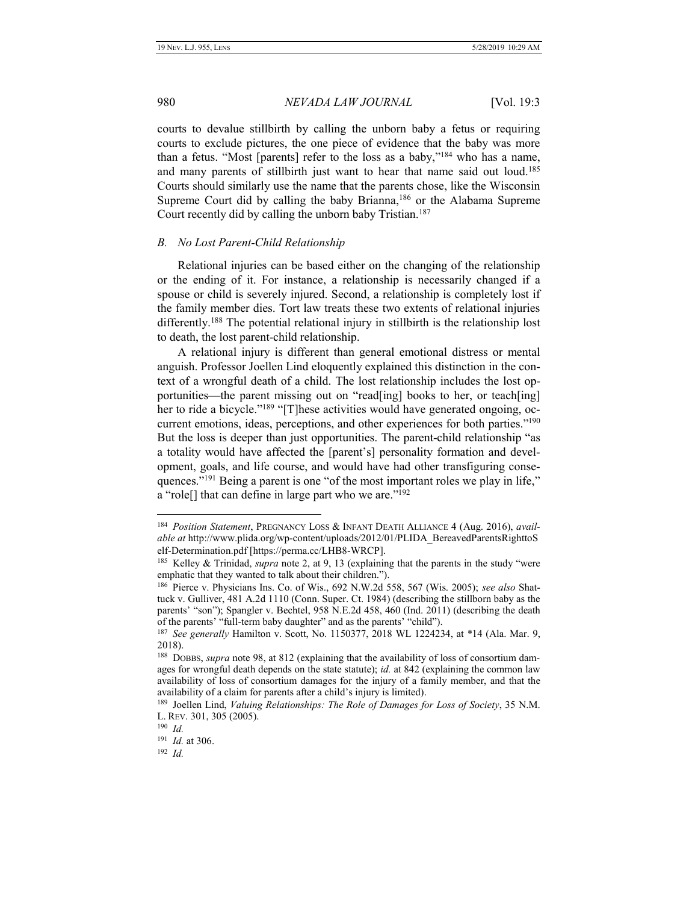courts to devalue stillbirth by calling the unborn baby a fetus or requiring courts to exclude pictures, the one piece of evidence that the baby was more than a fetus. "Most [parents] refer to the loss as a baby," <sup>184</sup> who has a name, and many parents of stillbirth just want to hear that name said out loud.<sup>185</sup> Courts should similarly use the name that the parents chose, like the Wisconsin Supreme Court did by calling the baby Brianna,<sup>186</sup> or the Alabama Supreme Court recently did by calling the unborn baby Tristian.<sup>187</sup>

#### <span id="page-25-0"></span>*B. No Lost Parent-Child Relationship*

Relational injuries can be based either on the changing of the relationship or the ending of it. For instance, a relationship is necessarily changed if a spouse or child is severely injured. Second, a relationship is completely lost if the family member dies. Tort law treats these two extents of relational injuries differently.<sup>188</sup> The potential relational injury in stillbirth is the relationship lost to death, the lost parent-child relationship.

A relational injury is different than general emotional distress or mental anguish. Professor Joellen Lind eloquently explained this distinction in the context of a wrongful death of a child. The lost relationship includes the lost opportunities—the parent missing out on "read[ing] books to her, or teach[ing] her to ride a bicycle."<sup>189</sup> "[T]hese activities would have generated ongoing, occurrent emotions, ideas, perceptions, and other experiences for both parties."<sup>190</sup> But the loss is deeper than just opportunities. The parent-child relationship "as a totality would have affected the [parent's] personality formation and development, goals, and life course, and would have had other transfiguring consequences."<sup>191</sup> Being a parent is one "of the most important roles we play in life," a "role[] that can define in large part who we are."<sup>192</sup>

<sup>184</sup> *Position Statement*, PREGNANCY LOSS & INFANT DEATH ALLIANCE 4 (Aug. 2016), *available at* http://www.plida.org/wp-content/uploads/2012/01/PLIDA\_BereavedParentsRighttoS elf-Determination.pdf [https://perma.cc/LHB8-WRCP].

<sup>185</sup> Kelley & Trinidad, *supra* note [2,](#page-2-0) at 9, 13 (explaining that the parents in the study "were emphatic that they wanted to talk about their children.").

<sup>186</sup> Pierce v. Physicians Ins. Co. of Wis., 692 N.W.2d 558, 567 (Wis. 2005); *see also* Shattuck v. Gulliver, 481 A.2d 1110 (Conn. Super. Ct. 1984) (describing the stillborn baby as the parents' "son"); Spangler v. Bechtel, 958 N.E.2d 458, 460 (Ind. 2011) (describing the death of the parents' "full-term baby daughter" and as the parents' "child").

<sup>187</sup> *See generally* Hamilton v. Scott, No. 1150377, 2018 WL 1224234, at \*14 (Ala. Mar. 9, 2018).

<sup>188</sup> DOBBS, *supra* note 98, at 812 (explaining that the availability of loss of consortium damages for wrongful death depends on the state statute); *id.* at 842 (explaining the common law availability of loss of consortium damages for the injury of a family member, and that the availability of a claim for parents after a child's injury is limited).

<sup>189</sup> Joellen Lind, *Valuing Relationships: The Role of Damages for Loss of Society*, 35 N.M. L. REV. 301, 305 (2005).

<sup>190</sup> *Id.*

<sup>191</sup> *Id.* at 306.

<sup>192</sup> *Id.*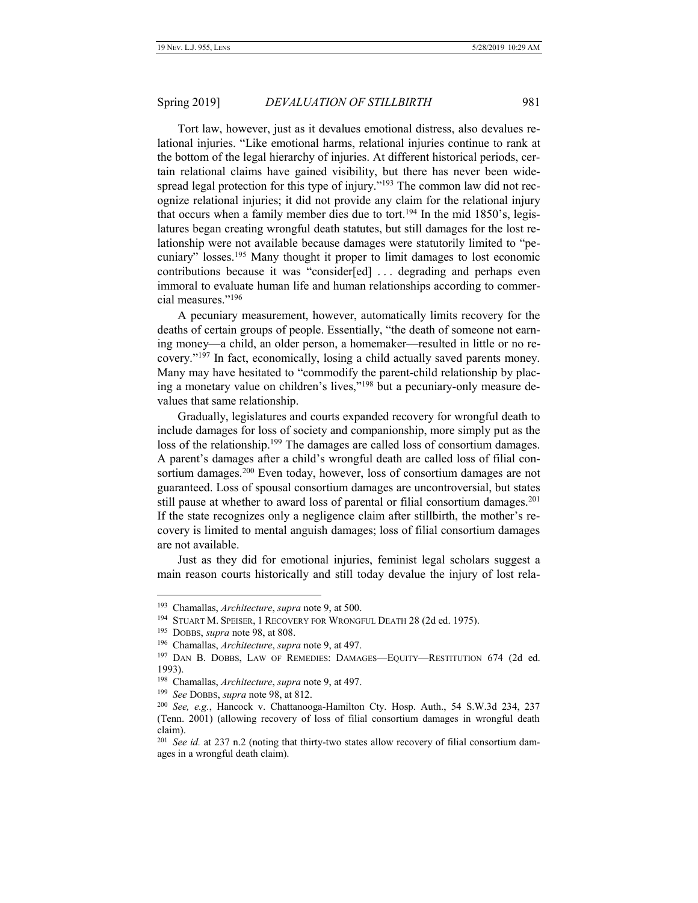Tort law, however, just as it devalues emotional distress, also devalues relational injuries. "Like emotional harms, relational injuries continue to rank at the bottom of the legal hierarchy of injuries. At different historical periods, certain relational claims have gained visibility, but there has never been widespread legal protection for this type of injury."<sup>193</sup> The common law did not recognize relational injuries; it did not provide any claim for the relational injury that occurs when a family member dies due to tort.<sup>194</sup> In the mid 1850's, legislatures began creating wrongful death statutes, but still damages for the lost relationship were not available because damages were statutorily limited to "pecuniary" losses.<sup>195</sup> Many thought it proper to limit damages to lost economic contributions because it was "consider[ed] . . . degrading and perhaps even immoral to evaluate human life and human relationships according to commercial measures."<sup>196</sup>

A pecuniary measurement, however, automatically limits recovery for the deaths of certain groups of people. Essentially, "the death of someone not earning money—a child, an older person, a homemaker—resulted in little or no recovery." <sup>197</sup> In fact, economically, losing a child actually saved parents money. Many may have hesitated to "commodify the parent-child relationship by placing a monetary value on children's lives," <sup>198</sup> but a pecuniary-only measure devalues that same relationship.

Gradually, legislatures and courts expanded recovery for wrongful death to include damages for loss of society and companionship, more simply put as the loss of the relationship.<sup>199</sup> The damages are called loss of consortium damages. A parent's damages after a child's wrongful death are called loss of filial consortium damages.<sup>200</sup> Even today, however, loss of consortium damages are not guaranteed. Loss of spousal consortium damages are uncontroversial, but states still pause at whether to award loss of parental or filial consortium damages.<sup>201</sup> If the state recognizes only a negligence claim after stillbirth, the mother's recovery is limited to mental anguish damages; loss of filial consortium damages are not available.

Just as they did for emotional injuries, feminist legal scholars suggest a main reason courts historically and still today devalue the injury of lost rela-

<sup>193</sup> Chamallas, *Architecture*, *supra* note [9,](#page-3-0) at 500.

<sup>&</sup>lt;sup>194</sup> STUART M. SPEISER, 1 RECOVERY FOR WRONGFUL DEATH 28 (2d ed. 1975).

<sup>195</sup> DOBBS, *supra* note 98, at 808.

<sup>196</sup> Chamallas, *Architecture*, *supra* note [9,](#page-3-0) at 497.

<sup>&</sup>lt;sup>197</sup> DAN B. DOBBS, LAW OF REMEDIES: DAMAGES-EQUITY-RESTITUTION 674 (2d ed. 1993).

<sup>198</sup> Chamallas, *Architecture*, *supra* note [9,](#page-3-0) at 497.

<sup>199</sup> *See* DOBBS, *supra* note [98,](#page-14-0) at 812.

<sup>200</sup> *See, e.g.*, Hancock v. Chattanooga-Hamilton Cty. Hosp. Auth., 54 S.W.3d 234, 237 (Tenn. 2001) (allowing recovery of loss of filial consortium damages in wrongful death claim).

<sup>201</sup> *See id.* at 237 n.2 (noting that thirty-two states allow recovery of filial consortium damages in a wrongful death claim).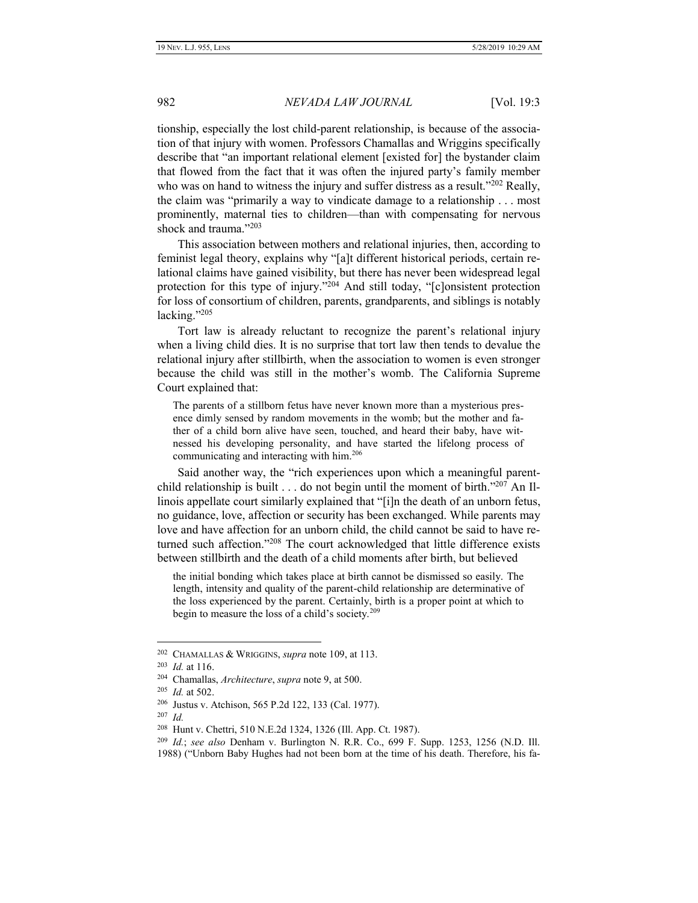tionship, especially the lost child-parent relationship, is because of the association of that injury with women. Professors Chamallas and Wriggins specifically describe that "an important relational element [existed for] the bystander claim that flowed from the fact that it was often the injured party's family member who was on hand to witness the injury and suffer distress as a result."<sup>202</sup> Really, the claim was "primarily a way to vindicate damage to a relationship . . . most prominently, maternal ties to children—than with compensating for nervous shock and trauma." 203

This association between mothers and relational injuries, then, according to feminist legal theory, explains why "[a]t different historical periods, certain relational claims have gained visibility, but there has never been widespread legal protection for this type of injury."<sup>204</sup> And still today, "[c]onsistent protection for loss of consortium of children, parents, grandparents, and siblings is notably lacking."<sup>205</sup>

Tort law is already reluctant to recognize the parent's relational injury when a living child dies. It is no surprise that tort law then tends to devalue the relational injury after stillbirth, when the association to women is even stronger because the child was still in the mother's womb. The California Supreme Court explained that:

The parents of a stillborn fetus have never known more than a mysterious presence dimly sensed by random movements in the womb; but the mother and father of a child born alive have seen, touched, and heard their baby, have witnessed his developing personality, and have started the lifelong process of communicating and interacting with him.<sup>206</sup>

Said another way, the "rich experiences upon which a meaningful parentchild relationship is built . . . do not begin until the moment of birth."<sup>207</sup> An Illinois appellate court similarly explained that "[i]n the death of an unborn fetus, no guidance, love, affection or security has been exchanged. While parents may love and have affection for an unborn child, the child cannot be said to have returned such affection."<sup>208</sup> The court acknowledged that little difference exists between stillbirth and the death of a child moments after birth, but believed

the initial bonding which takes place at birth cannot be dismissed so easily. The length, intensity and quality of the parent-child relationship are determinative of the loss experienced by the parent. Certainly, birth is a proper point at which to begin to measure the loss of a child's society.<sup>209</sup>

<sup>202</sup> CHAMALLAS & WRIGGINS, *supra* note 109, at 113.

<sup>203</sup> *Id.* at 116.

<sup>204</sup> Chamallas, *Architecture*, *supra* note [9,](#page-3-0) at 500.

<sup>205</sup> *Id.* at 502.

<sup>206</sup> Justus v. Atchison, 565 P.2d 122, 133 (Cal. 1977).

<sup>207</sup> *Id.*

<sup>208</sup> Hunt v. Chettri, 510 N.E.2d 1324, 1326 (Ill. App. Ct. 1987).

<sup>209</sup> *Id.*; *see also* Denham v. Burlington N. R.R. Co., 699 F. Supp. 1253, 1256 (N.D. Ill.

<sup>1988</sup>) ("Unborn Baby Hughes had not been born at the time of his death. Therefore, his fa-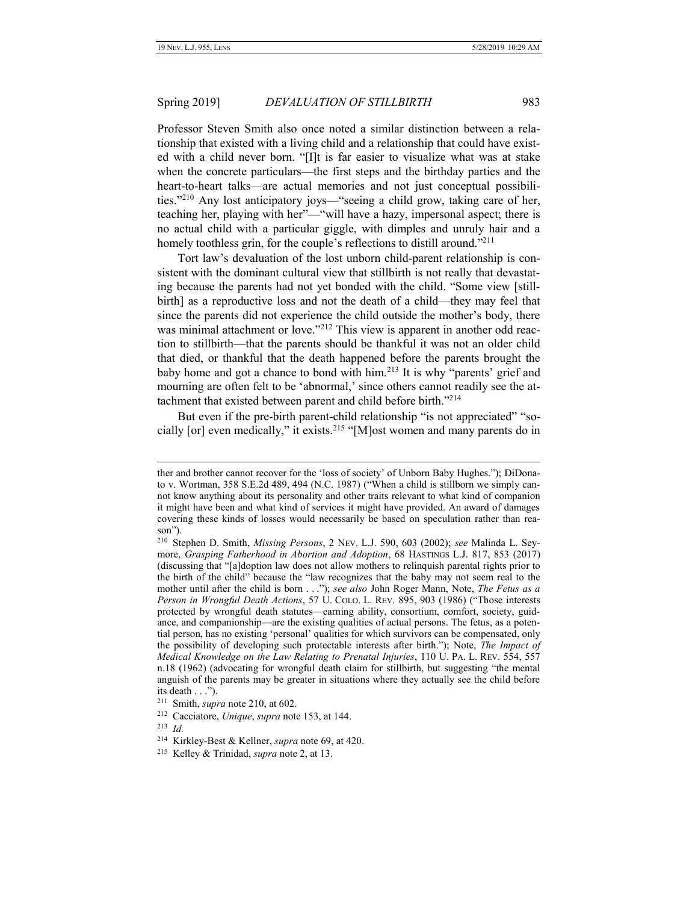Professor Steven Smith also once noted a similar distinction between a relationship that existed with a living child and a relationship that could have existed with a child never born. "[I]t is far easier to visualize what was at stake when the concrete particulars—the first steps and the birthday parties and the heart-to-heart talks—are actual memories and not just conceptual possibilities." <sup>210</sup> Any lost anticipatory joys—"seeing a child grow, taking care of her, teaching her, playing with her"—"will have a hazy, impersonal aspect; there is no actual child with a particular giggle, with dimples and unruly hair and a homely toothless grin, for the couple's reflections to distill around."<sup>211</sup>

Tort law's devaluation of the lost unborn child-parent relationship is consistent with the dominant cultural view that stillbirth is not really that devastating because the parents had not yet bonded with the child. "Some view [stillbirth] as a reproductive loss and not the death of a child—they may feel that since the parents did not experience the child outside the mother's body, there was minimal attachment or love."<sup>212</sup> This view is apparent in another odd reaction to stillbirth—that the parents should be thankful it was not an older child that died, or thankful that the death happened before the parents brought the baby home and got a chance to bond with him.<sup>213</sup> It is why "parents' grief and mourning are often felt to be 'abnormal,' since others cannot readily see the attachment that existed between parent and child before birth."<sup>214</sup>

But even if the pre-birth parent-child relationship "is not appreciated" "socially [or] even medically," it exists.<sup>215</sup> "[M]ost women and many parents do in

ther and brother cannot recover for the 'loss of society' of Unborn Baby Hughes."); DiDonato v. Wortman, 358 S.E.2d 489, 494 (N.C. 1987) ("When a child is stillborn we simply cannot know anything about its personality and other traits relevant to what kind of companion it might have been and what kind of services it might have provided. An award of damages covering these kinds of losses would necessarily be based on speculation rather than reason").

<sup>210</sup> Stephen D. Smith, *Missing Persons*, 2 NEV. L.J. 590, 603 (2002); *see* Malinda L. Seymore, *Grasping Fatherhood in Abortion and Adoption*, 68 HASTINGS L.J. 817, 853 (2017) (discussing that "[a]doption law does not allow mothers to relinquish parental rights prior to the birth of the child" because the "law recognizes that the baby may not seem real to the mother until after the child is born . . ."); *see also* John Roger Mann, Note, *The Fetus as a Person in Wrongful Death Actions*, 57 U. COLO. L. REV. 895, 903 (1986) ("Those interests protected by wrongful death statutes—earning ability, consortium, comfort, society, guidance, and companionship—are the existing qualities of actual persons. The fetus, as a potential person, has no existing 'personal' qualities for which survivors can be compensated, only the possibility of developing such protectable interests after birth."); Note, *The Impact of Medical Knowledge on the Law Relating to Prenatal Injuries*, 110 U. PA. L. REV. 554, 557 n.18 (1962) (advocating for wrongful death claim for stillbirth, but suggesting "the mental anguish of the parents may be greater in situations where they actually see the child before its death . . .").

<sup>211</sup> Smith, *supra* note 210, at 602.

<sup>212</sup> Cacciatore, *Unique*, *supra* note 153, at 144.

<sup>213</sup> *Id.*

<sup>214</sup> Kirkley-Best & Kellner, *supra* note 69, at 420.

<sup>215</sup> Kelley & Trinidad, *supra* note [2,](#page-2-0) at 13.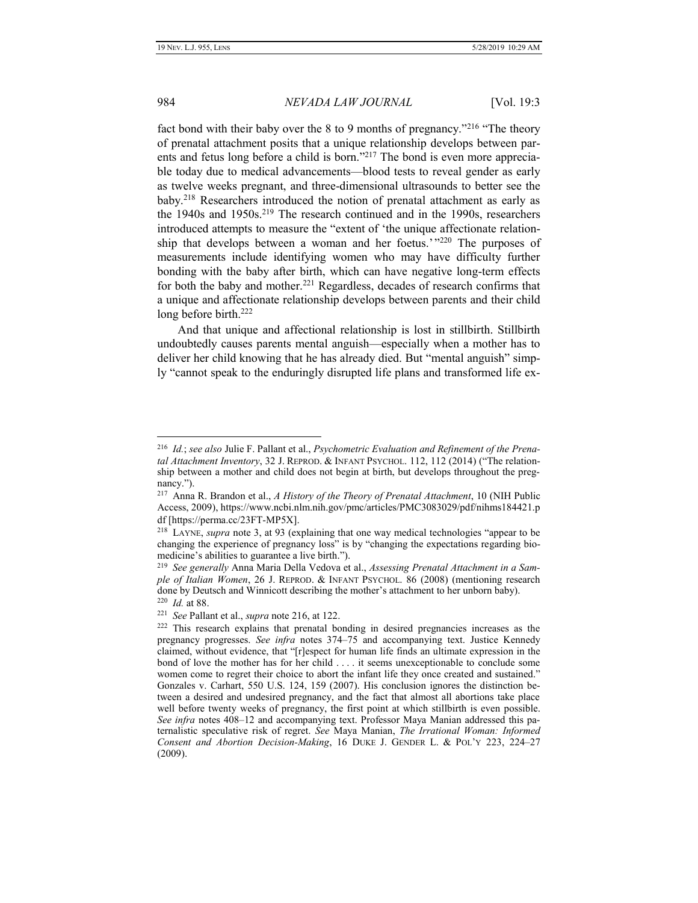#### 984 *NEVADA LAW JOURNAL* [Vol. 19:3

fact bond with their baby over the 8 to 9 months of pregnancy."<sup>216</sup> "The theory of prenatal attachment posits that a unique relationship develops between parents and fetus long before a child is born."<sup>217</sup> The bond is even more appreciable today due to medical advancements—blood tests to reveal gender as early as twelve weeks pregnant, and three-dimensional ultrasounds to better see the baby.<sup>218</sup> Researchers introduced the notion of prenatal attachment as early as the 1940s and  $1950s$ <sup>219</sup> The research continued and in the 1990s, researchers introduced attempts to measure the "extent of 'the unique affectionate relationship that develops between a woman and her foetus.'"<sup>220</sup> The purposes of measurements include identifying women who may have difficulty further bonding with the baby after birth, which can have negative long-term effects for both the baby and mother.<sup>221</sup> Regardless, decades of research confirms that a unique and affectionate relationship develops between parents and their child long before birth.<sup>222</sup>

And that unique and affectional relationship is lost in stillbirth. Stillbirth undoubtedly causes parents mental anguish—especially when a mother has to deliver her child knowing that he has already died. But "mental anguish" simply "cannot speak to the enduringly disrupted life plans and transformed life ex-

<sup>216</sup> *Id.*; *see also* Julie F. Pallant et al., *Psychometric Evaluation and Refinement of the Prenatal Attachment Inventory*, 32 J. REPROD. & INFANT PSYCHOL. 112, 112 (2014) ("The relationship between a mother and child does not begin at birth, but develops throughout the pregnancy.").

<sup>217</sup> Anna R. Brandon et al., *A History of the Theory of Prenatal Attachment*, 10 (NIH Public Access, 2009), https://www.ncbi.nlm.nih.gov/pmc/articles/PMC3083029/pdf/nihms184421.p df [https://perma.cc/23FT-MP5X].

<sup>218</sup> LAYNE, *supra* note 3, at 93 (explaining that one way medical technologies "appear to be changing the experience of pregnancy loss" is by "changing the expectations regarding biomedicine's abilities to guarantee a live birth.").

<sup>219</sup> *See generally* Anna Maria Della Vedova et al., *Assessing Prenatal Attachment in a Sample of Italian Women*, 26 J. REPROD. & INFANT PSYCHOL. 86 (2008) (mentioning research done by Deutsch and Winnicott describing the mother's attachment to her unborn baby). 220 *Id.* at 88.

<sup>221</sup> *See* Pallant et al., *supra* note 216, at 122.

<sup>&</sup>lt;sup>222</sup> This research explains that prenatal bonding in desired pregnancies increases as the pregnancy progresses. *See infra* notes 374–75 and accompanying text. Justice Kennedy claimed, without evidence, that "[r]espect for human life finds an ultimate expression in the bond of love the mother has for her child . . . . it seems unexceptionable to conclude some women come to regret their choice to abort the infant life they once created and sustained." Gonzales v. Carhart, 550 U.S. 124, 159 (2007). His conclusion ignores the distinction between a desired and undesired pregnancy, and the fact that almost all abortions take place well before twenty weeks of pregnancy, the first point at which stillbirth is even possible. *See infra* notes 408–12 and accompanying text. Professor Maya Manian addressed this paternalistic speculative risk of regret. *See* Maya Manian, *The Irrational Woman: Informed Consent and Abortion Decision-Making*, 16 DUKE J. GENDER L. & POL'Y 223, 224–27 (2009).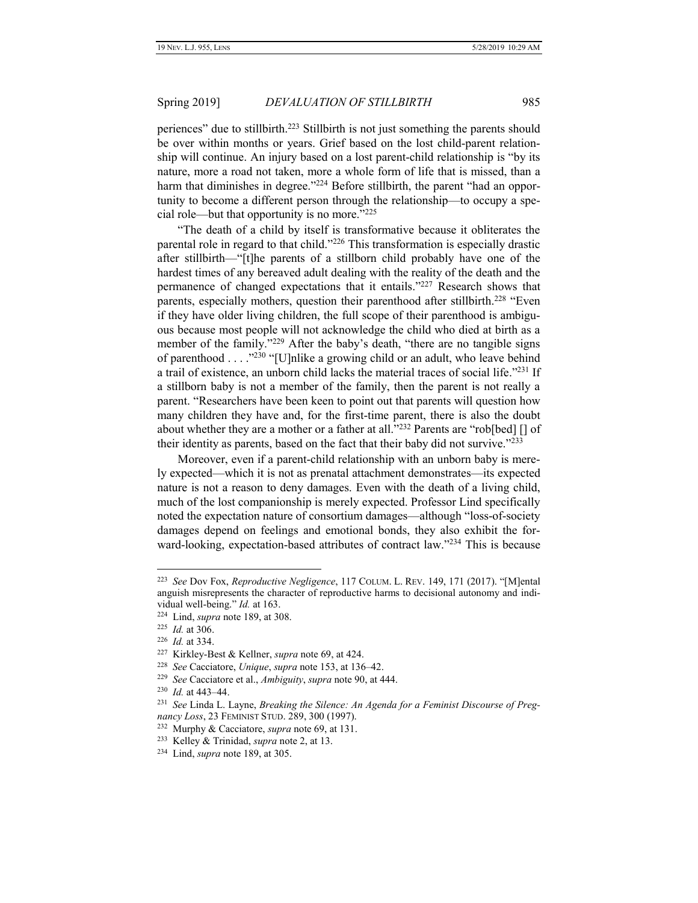<span id="page-30-0"></span>periences" due to stillbirth.<sup>223</sup> Stillbirth is not just something the parents should be over within months or years. Grief based on the lost child-parent relationship will continue. An injury based on a lost parent-child relationship is "by its nature, more a road not taken, more a whole form of life that is missed, than a harm that diminishes in degree."<sup>224</sup> Before stillbirth, the parent "had an opportunity to become a different person through the relationship—to occupy a special role—but that opportunity is no more."<sup>225</sup>

"The death of a child by itself is transformative because it obliterates the parental role in regard to that child."<sup>226</sup> This transformation is especially drastic after stillbirth—"[t]he parents of a stillborn child probably have one of the hardest times of any bereaved adult dealing with the reality of the death and the permanence of changed expectations that it entails."<sup>227</sup> Research shows that parents, especially mothers, question their parenthood after stillbirth.<sup>228</sup> "Even if they have older living children, the full scope of their parenthood is ambiguous because most people will not acknowledge the child who died at birth as a member of the family."<sup>229</sup> After the baby's death, "there are no tangible signs of parenthood . . . . "230 "[U]nlike a growing child or an adult, who leave behind a trail of existence, an unborn child lacks the material traces of social life."<sup>231</sup> If a stillborn baby is not a member of the family, then the parent is not really a parent. "Researchers have been keen to point out that parents will question how many children they have and, for the first-time parent, there is also the doubt about whether they are a mother or a father at all."<sup>232</sup> Parents are "rob[bed] [] of their identity as parents, based on the fact that their baby did not survive."<sup>233</sup>

Moreover, even if a parent-child relationship with an unborn baby is merely expected—which it is not as prenatal attachment demonstrates—its expected nature is not a reason to deny damages. Even with the death of a living child, much of the lost companionship is merely expected. Professor Lind specifically noted the expectation nature of consortium damages—although "loss-of-society damages depend on feelings and emotional bonds, they also exhibit the forward-looking, expectation-based attributes of contract law."<sup>234</sup> This is because

<sup>223</sup> *See* Dov Fox, *Reproductive Negligence*, 117 COLUM. L. REV. 149, 171 (2017). "[M]ental anguish misrepresents the character of reproductive harms to decisional autonomy and individual well-being." *Id.* at 163.

<sup>224</sup> Lind, *supra* note 189, at 308.

<sup>225</sup> *Id.* at 306.

<sup>226</sup> *Id.* at 334.

<sup>227</sup> Kirkley-Best & Kellner, *supra* note 69, at 424.

<sup>228</sup> *See* Cacciatore, *Unique*, *supra* note 153, at 136–42.

<sup>229</sup> *See* Cacciatore et al., *Ambiguity*, *supra* note 90, at 444.

<sup>230</sup> *Id.* at 443–44.

<sup>231</sup> *See* Linda L. Layne, *Breaking the Silence: An Agenda for a Feminist Discourse of Pregnancy Loss*, 23 FEMINIST STUD. 289, 300 (1997).

<sup>232</sup> Murphy & Cacciatore, *supra* note 69, at 131.

<sup>233</sup> Kelley & Trinidad, *supra* note [2,](#page-2-0) at 13.

<sup>234</sup> Lind, *supra* note 189, at 305.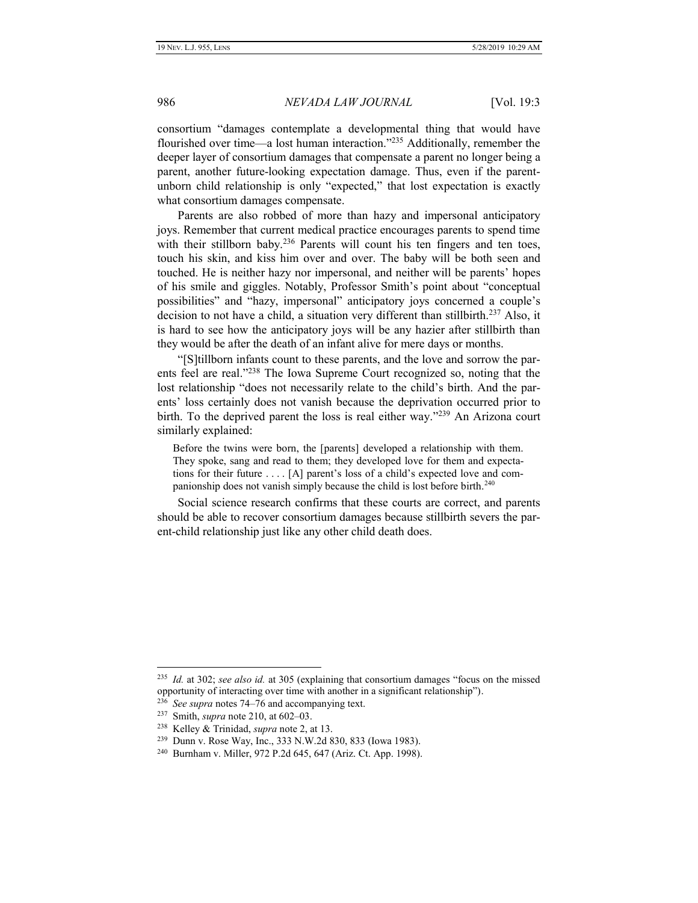consortium "damages contemplate a developmental thing that would have flourished over time—a lost human interaction."<sup>235</sup> Additionally, remember the deeper layer of consortium damages that compensate a parent no longer being a parent, another future-looking expectation damage. Thus, even if the parentunborn child relationship is only "expected," that lost expectation is exactly what consortium damages compensate.

Parents are also robbed of more than hazy and impersonal anticipatory joys. Remember that current medical practice encourages parents to spend time with their stillborn baby.<sup>236</sup> Parents will count his ten fingers and ten toes, touch his skin, and kiss him over and over. The baby will be both seen and touched. He is neither hazy nor impersonal, and neither will be parents' hopes of his smile and giggles. Notably, Professor Smith's point about "conceptual possibilities" and "hazy, impersonal" anticipatory joys concerned a couple's decision to not have a child, a situation very different than stillbirth.<sup>237</sup> Also, it is hard to see how the anticipatory joys will be any hazier after stillbirth than they would be after the death of an infant alive for mere days or months.

"[S]tillborn infants count to these parents, and the love and sorrow the parents feel are real."<sup>238</sup> The Iowa Supreme Court recognized so, noting that the lost relationship "does not necessarily relate to the child's birth. And the parents' loss certainly does not vanish because the deprivation occurred prior to birth. To the deprived parent the loss is real either way."<sup>239</sup> An Arizona court similarly explained:

Before the twins were born, the [parents] developed a relationship with them. They spoke, sang and read to them; they developed love for them and expectations for their future . . . . [A] parent's loss of a child's expected love and companionship does not vanish simply because the child is lost before birth.<sup>240</sup>

Social science research confirms that these courts are correct, and parents should be able to recover consortium damages because stillbirth severs the parent-child relationship just like any other child death does.

<sup>235</sup> *Id.* at 302; *see also id.* at 305 (explaining that consortium damages "focus on the missed opportunity of interacting over time with another in a significant relationship").

<sup>236</sup> *See supra* notes 74–76 and accompanying text.

<sup>237</sup> Smith, *supra* note 210, at 602–03.

<sup>238</sup> Kelley & Trinidad, *supra* note 2, at 13.

<sup>239</sup> Dunn v. Rose Way, Inc., 333 N.W.2d 830, 833 (Iowa 1983).

<sup>240</sup> Burnham v. Miller, 972 P.2d 645, 647 (Ariz. Ct. App. 1998).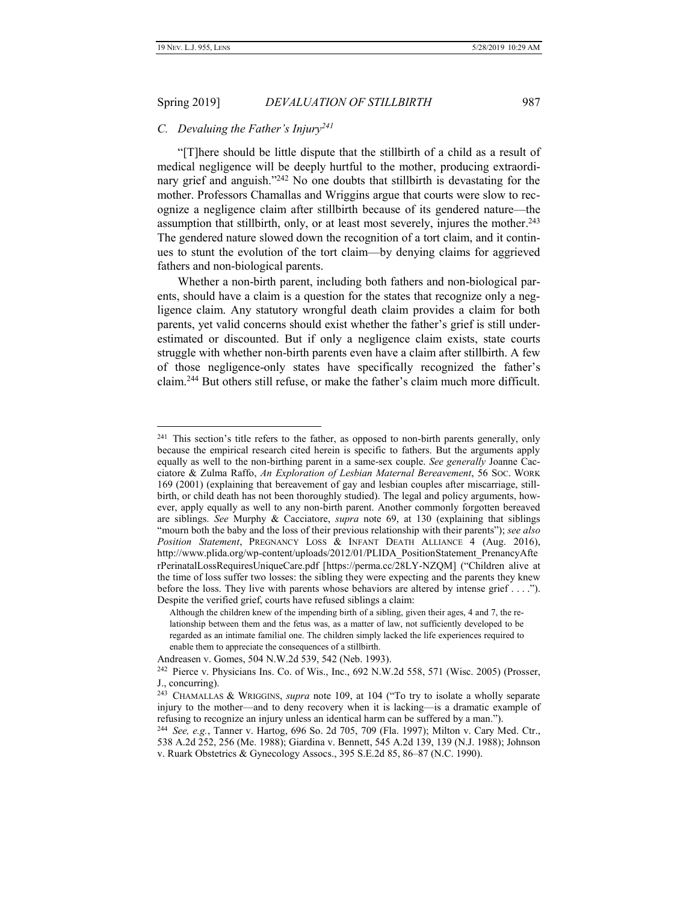# <span id="page-32-0"></span>Spring 2019] *DEVALUATION OF STILLBIRTH* 987

# *C. Devaluing the Father's Injury<sup>241</sup>*

"[T]here should be little dispute that the stillbirth of a child as a result of medical negligence will be deeply hurtful to the mother, producing extraordinary grief and anguish."<sup>242</sup> No one doubts that stillbirth is devastating for the mother. Professors Chamallas and Wriggins argue that courts were slow to recognize a negligence claim after stillbirth because of its gendered nature—the assumption that stillbirth, only, or at least most severely, injures the mother.<sup>243</sup> The gendered nature slowed down the recognition of a tort claim, and it continues to stunt the evolution of the tort claim—by denying claims for aggrieved fathers and non-biological parents.

Whether a non-birth parent, including both fathers and non-biological parents, should have a claim is a question for the states that recognize only a negligence claim. Any statutory wrongful death claim provides a claim for both parents, yet valid concerns should exist whether the father's grief is still underestimated or discounted. But if only a negligence claim exists, state courts struggle with whether non-birth parents even have a claim after stillbirth. A few of those negligence-only states have specifically recognized the father's claim.<sup>244</sup> But others still refuse, or make the father's claim much more difficult.

<sup>&</sup>lt;sup>241</sup> This section's title refers to the father, as opposed to non-birth parents generally, only because the empirical research cited herein is specific to fathers. But the arguments apply equally as well to the non-birthing parent in a same-sex couple. *See generally* Joanne Cacciatore & Zulma Raffo, *An Exploration of Lesbian Maternal Bereavement*, 56 SOC. WORK 169 (2001) (explaining that bereavement of gay and lesbian couples after miscarriage, stillbirth, or child death has not been thoroughly studied). The legal and policy arguments, however, apply equally as well to any non-birth parent. Another commonly forgotten bereaved are siblings. *See* Murphy & Cacciatore, *supra* note 69, at 130 (explaining that siblings "mourn both the baby and the loss of their previous relationship with their parents"); *see also Position Statement*, PREGNANCY LOSS & INFANT DEATH ALLIANCE 4 (Aug. 2016), http://www.plida.org/wp-content/uploads/2012/01/PLIDA\_PositionStatement\_PrenancyAfte rPerinatalLossRequiresUniqueCare.pdf [https://perma.cc/28LY-NZQM] ("Children alive at the time of loss suffer two losses: the sibling they were expecting and the parents they knew before the loss. They live with parents whose behaviors are altered by intense grief . . . ."). Despite the verified grief, courts have refused siblings a claim:

Although the children knew of the impending birth of a sibling, given their ages, 4 and 7, the relationship between them and the fetus was, as a matter of law, not sufficiently developed to be regarded as an intimate familial one. The children simply lacked the life experiences required to enable them to appreciate the consequences of a stillbirth.

Andreasen v. Gomes, 504 N.W.2d 539, 542 (Neb. 1993).

<sup>&</sup>lt;sup>242</sup> Pierce v. Physicians Ins. Co. of Wis., Inc., 692 N.W.2d 558, 571 (Wisc. 2005) (Prosser, J., concurring).

<sup>243</sup> CHAMALLAS & WRIGGINS, *supra* note 109, at 104 ("To try to isolate a wholly separate injury to the mother—and to deny recovery when it is lacking—is a dramatic example of refusing to recognize an injury unless an identical harm can be suffered by a man.").

<sup>244</sup> *See, e.g.*, Tanner v. Hartog, 696 So. 2d 705, 709 (Fla. 1997); Milton v. Cary Med. Ctr., 538 A.2d 252, 256 (Me. 1988); Giardina v. Bennett, 545 A.2d 139, 139 (N.J. 1988); Johnson v. Ruark Obstetrics & Gynecology Assocs., 395 S.E.2d 85, 86–87 (N.C. 1990).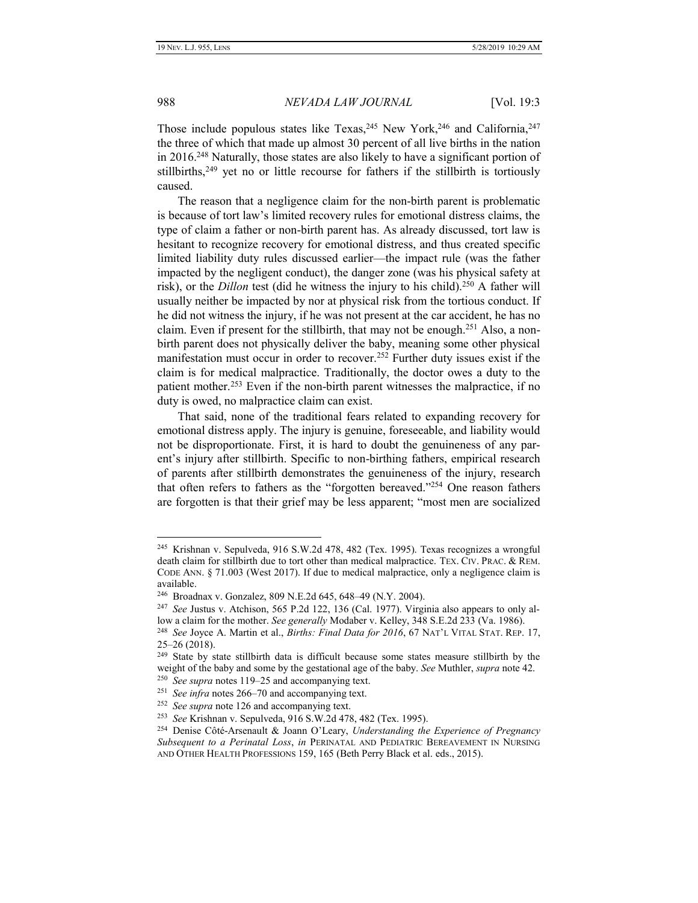988 *NEVADA LAW JOURNAL* [Vol. 19:3

Those include populous states like Texas,  $245$  New York,  $246$  and California,  $247$ the three of which that made up almost 30 percent of all live births in the nation in 2016.<sup>248</sup> Naturally, those states are also likely to have a significant portion of stillbirths, $249$  yet no or little recourse for fathers if the stillbirth is tortiously caused.

The reason that a negligence claim for the non-birth parent is problematic is because of tort law's limited recovery rules for emotional distress claims, the type of claim a father or non-birth parent has. As already discussed, tort law is hesitant to recognize recovery for emotional distress, and thus created specific limited liability duty rules discussed earlier—the impact rule (was the father impacted by the negligent conduct), the danger zone (was his physical safety at risk), or the *Dillon* test (did he witness the injury to his child).<sup>250</sup> A father will usually neither be impacted by nor at physical risk from the tortious conduct. If he did not witness the injury, if he was not present at the car accident, he has no claim. Even if present for the stillbirth, that may not be enough.<sup>251</sup> Also, a nonbirth parent does not physically deliver the baby, meaning some other physical manifestation must occur in order to recover.<sup>252</sup> Further duty issues exist if the claim is for medical malpractice. Traditionally, the doctor owes a duty to the patient mother.<sup>253</sup> Even if the non-birth parent witnesses the malpractice, if no duty is owed, no malpractice claim can exist.

That said, none of the traditional fears related to expanding recovery for emotional distress apply. The injury is genuine, foreseeable, and liability would not be disproportionate. First, it is hard to doubt the genuineness of any parent's injury after stillbirth. Specific to non-birthing fathers, empirical research of parents after stillbirth demonstrates the genuineness of the injury, research that often refers to fathers as the "forgotten bereaved."<sup>254</sup> One reason fathers are forgotten is that their grief may be less apparent; "most men are socialized

<sup>245</sup> Krishnan v. Sepulveda, 916 S.W.2d 478, 482 (Tex. 1995). Texas recognizes a wrongful death claim for stillbirth due to tort other than medical malpractice. TEX. CIV. PRAC. & REM. CODE ANN. § 71.003 (West 2017). If due to medical malpractice, only a negligence claim is available.

<sup>246</sup> Broadnax v. Gonzalez, 809 N.E.2d 645, 648–49 (N.Y. 2004).

<sup>247</sup> *See* Justus v. Atchison, 565 P.2d 122, 136 (Cal. 1977). Virginia also appears to only allow a claim for the mother. *See generally* Modaber v. Kelley, 348 S.E.2d 233 (Va. 1986).

<sup>248</sup> *See* Joyce A. Martin et al., *Births: Final Data for 2016*, 67 NAT'L VITAL STAT. REP. 17, 25–26 (2018).

<sup>&</sup>lt;sup>249</sup> State by state stillbirth data is difficult because some states measure stillbirth by the weight of the baby and some by the gestational age of the baby. *See* Muthler, *supra* not[e 42.](#page-8-0)

<sup>250</sup> *See supra* notes 119–25 and accompanying text.

<sup>251</sup> *See infra* notes 266–70 and accompanying text.

<sup>252</sup> *See supra* note 126 and accompanying text.

<sup>253</sup> *See* Krishnan v. Sepulveda, 916 S.W.2d 478, 482 (Tex. 1995).

<sup>254</sup> Denise Côté-Arsenault & Joann O'Leary, *Understanding the Experience of Pregnancy Subsequent to a Perinatal Loss*, *in* PERINATAL AND PEDIATRIC BEREAVEMENT IN NURSING AND OTHER HEALTH PROFESSIONS 159, 165 (Beth Perry Black et al. eds., 2015).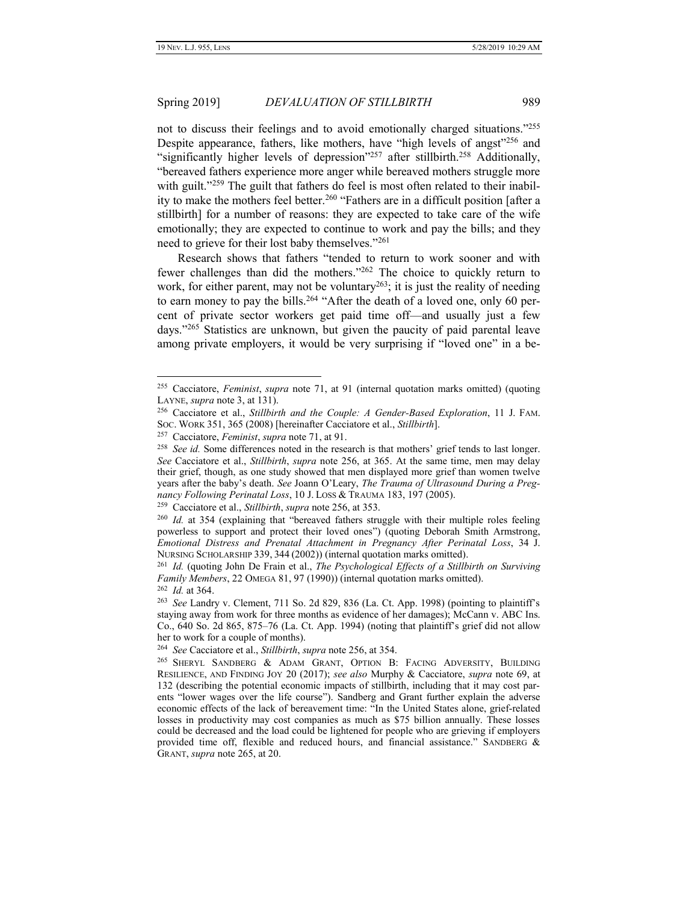# Spring 2019] *DEVALUATION OF STILLBIRTH* 989

not to discuss their feelings and to avoid emotionally charged situations."<sup>255</sup> Despite appearance, fathers, like mothers, have "high levels of angst"<sup>256</sup> and "significantly higher levels of depression"<sup>257</sup> after stillbirth.<sup>258</sup> Additionally, "bereaved fathers experience more anger while bereaved mothers struggle more with guilt."<sup>259</sup> The guilt that fathers do feel is most often related to their inability to make the mothers feel better.<sup>260</sup> "Fathers are in a difficult position [after a stillbirth] for a number of reasons: they are expected to take care of the wife emotionally; they are expected to continue to work and pay the bills; and they need to grieve for their lost baby themselves."<sup>261</sup>

Research shows that fathers "tended to return to work sooner and with fewer challenges than did the mothers."<sup>262</sup> The choice to quickly return to work, for either parent, may not be voluntary<sup>263</sup>; it is just the reality of needing to earn money to pay the bills.<sup>264</sup> "After the death of a loved one, only 60 percent of private sector workers get paid time off—and usually just a few days." <sup>265</sup> Statistics are unknown, but given the paucity of paid parental leave among private employers, it would be very surprising if "loved one" in a be-

<span id="page-34-0"></span>

<sup>255</sup> Cacciatore, *Feminist*, *supra* note 71, at 91 (internal quotation marks omitted) (quoting LAYNE, *supra* note 3, at 131).

<sup>256</sup> Cacciatore et al., *Stillbirth and the Couple: A Gender-Based Exploration*, 11 J. FAM. SOC. WORK 351, 365 (2008) [hereinafter Cacciatore et al., *Stillbirth*].

<sup>257</sup> Cacciatore, *Feminist*, *supra* note 71, at 91.

<sup>&</sup>lt;sup>258</sup> See id. Some differences noted in the research is that mothers' grief tends to last longer. *See* Cacciatore et al., *Stillbirth*, *supra* note 256, at 365. At the same time, men may delay their grief, though, as one study showed that men displayed more grief than women twelve years after the baby's death. *See* Joann O'Leary, *The Trauma of Ultrasound During a Pregnancy Following Perinatal Loss*, 10 J. LOSS & TRAUMA 183, 197 (2005).

<sup>259</sup> Cacciatore et al., *Stillbirth*, *supra* note 256, at 353.

<sup>260</sup> *Id.* at 354 (explaining that "bereaved fathers struggle with their multiple roles feeling powerless to support and protect their loved ones") (quoting Deborah Smith Armstrong, *Emotional Distress and Prenatal Attachment in Pregnancy After Perinatal Loss*, 34 J. NURSING SCHOLARSHIP 339, 344 (2002)) (internal quotation marks omitted).

<sup>261</sup> *Id.* (quoting John De Frain et al., *The Psychological Effects of a Stillbirth on Surviving Family Members*, 22 OMEGA 81, 97 (1990)) (internal quotation marks omitted). 262 *Id.* at 364.

<sup>263</sup> *See* Landry v. Clement, 711 So. 2d 829, 836 (La. Ct. App. 1998) (pointing to plaintiff's staying away from work for three months as evidence of her damages); McCann v. ABC Ins. Co., 640 So. 2d 865, 875–76 (La. Ct. App. 1994) (noting that plaintiff's grief did not allow her to work for a couple of months).

<sup>264</sup> *See* Cacciatore et al., *Stillbirth*, *supra* note 256, at 354.

<sup>265</sup> SHERYL SANDBERG & ADAM GRANT, OPTION B: FACING ADVERSITY, BUILDING RESILIENCE, AND FINDING JOY 20 (2017); *see also* Murphy & Cacciatore, *supra* note 69, at 132 (describing the potential economic impacts of stillbirth, including that it may cost parents "lower wages over the life course"). Sandberg and Grant further explain the adverse economic effects of the lack of bereavement time: "In the United States alone, grief-related losses in productivity may cost companies as much as \$75 billion annually. These losses could be decreased and the load could be lightened for people who are grieving if employers provided time off, flexible and reduced hours, and financial assistance." SANDBERG & GRANT, *supra* note 265, at 20.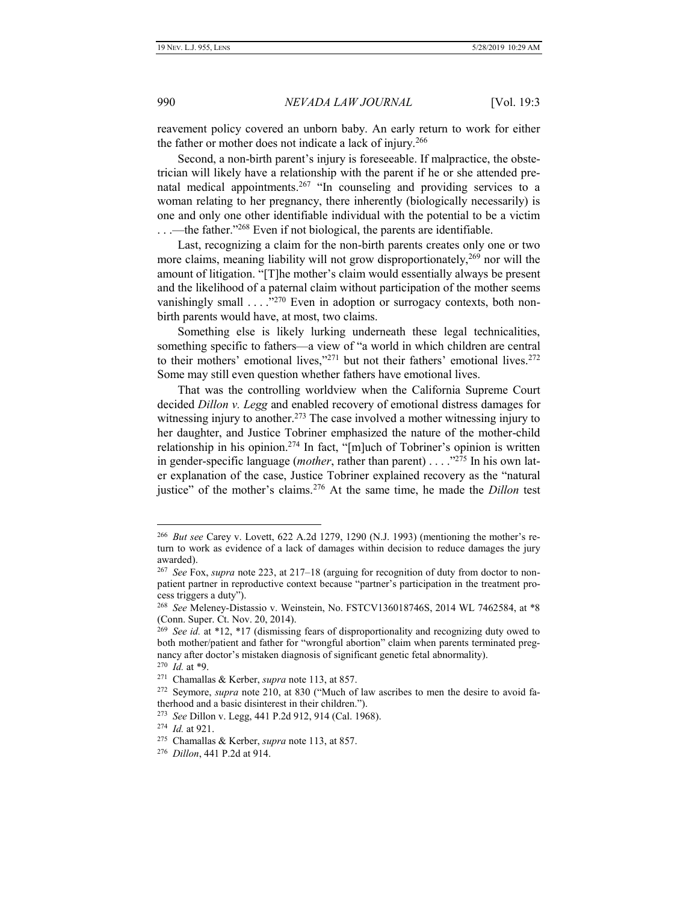reavement policy covered an unborn baby. An early return to work for either the father or mother does not indicate a lack of injury.<sup>266</sup>

Second, a non-birth parent's injury is foreseeable. If malpractice, the obstetrician will likely have a relationship with the parent if he or she attended prenatal medical appointments.<sup>267</sup> "In counseling and providing services to a woman relating to her pregnancy, there inherently (biologically necessarily) is one and only one other identifiable individual with the potential to be a victim ...—the father."<sup>268</sup> Even if not biological, the parents are identifiable.

Last, recognizing a claim for the non-birth parents creates only one or two more claims, meaning liability will not grow disproportionately,<sup>269</sup> nor will the amount of litigation. "[T]he mother's claim would essentially always be present and the likelihood of a paternal claim without participation of the mother seems vanishingly small . . . . "<sup>270</sup> Even in adoption or surrogacy contexts, both nonbirth parents would have, at most, two claims.

Something else is likely lurking underneath these legal technicalities, something specific to fathers—a view of "a world in which children are central to their mothers' emotional lives," $271$  but not their fathers' emotional lives. $272$ Some may still even question whether fathers have emotional lives.

That was the controlling worldview when the California Supreme Court decided *Dillon v. Legg* and enabled recovery of emotional distress damages for witnessing injury to another.<sup>273</sup> The case involved a mother witnessing injury to her daughter, and Justice Tobriner emphasized the nature of the mother-child relationship in his opinion.<sup>274</sup> In fact, "[m]uch of Tobriner's opinion is written in gender-specific language (*mother*, rather than parent) . . . ." <sup>275</sup> In his own later explanation of the case, Justice Tobriner explained recovery as the "natural justice" of the mother's claims.<sup>276</sup> At the same time, he made the *Dillon* test

<sup>266</sup> *But see* Carey v. Lovett, 622 A.2d 1279, 1290 (N.J. 1993) (mentioning the mother's return to work as evidence of a lack of damages within decision to reduce damages the jury awarded).

<sup>267</sup> *See* Fox, *supra* not[e 223,](#page-30-0) at 217–18 (arguing for recognition of duty from doctor to nonpatient partner in reproductive context because "partner's participation in the treatment process triggers a duty").

<sup>268</sup> *See* Meleney-Distassio v. Weinstein, No. FSTCV136018746S, 2014 WL 7462584, at \*8 (Conn. Super. Ct. Nov. 20, 2014).

<sup>&</sup>lt;sup>269</sup> See id. at \*12, \*17 (dismissing fears of disproportionality and recognizing duty owed to both mother/patient and father for "wrongful abortion" claim when parents terminated pregnancy after doctor's mistaken diagnosis of significant genetic fetal abnormality). 270 *Id.* at \*9.

<sup>271</sup> Chamallas & Kerber, *supra* note 113, at 857.

<sup>272</sup> Seymore, *supra* note 210, at 830 ("Much of law ascribes to men the desire to avoid fa-

therhood and a basic disinterest in their children.").

<sup>273</sup> *See* Dillon v. Legg, 441 P.2d 912, 914 (Cal. 1968).

<sup>274</sup> *Id.* at 921.

<sup>275</sup> Chamallas & Kerber, *supra* note 113, at 857.

<sup>276</sup> *Dillon*, 441 P.2d at 914.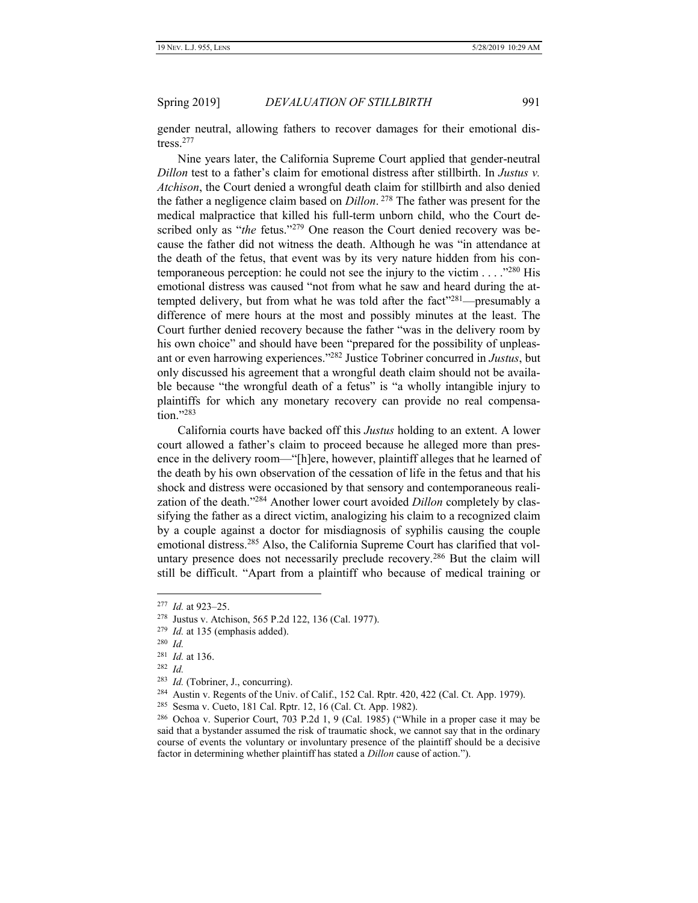gender neutral, allowing fathers to recover damages for their emotional distress.<sup>277</sup>

Nine years later, the California Supreme Court applied that gender-neutral *Dillon* test to a father's claim for emotional distress after stillbirth. In *Justus v. Atchison*, the Court denied a wrongful death claim for stillbirth and also denied the father a negligence claim based on *Dillon*. <sup>278</sup> The father was present for the medical malpractice that killed his full-term unborn child, who the Court described only as "*the* fetus."<sup>279</sup> One reason the Court denied recovery was because the father did not witness the death. Although he was "in attendance at the death of the fetus, that event was by its very nature hidden from his contemporaneous perception: he could not see the injury to the victim  $\dots$ ."280 His emotional distress was caused "not from what he saw and heard during the attempted delivery, but from what he was told after the fact"<sup>281</sup>—presumably a difference of mere hours at the most and possibly minutes at the least. The Court further denied recovery because the father "was in the delivery room by his own choice" and should have been "prepared for the possibility of unpleasant or even harrowing experiences."<sup>282</sup> Justice Tobriner concurred in *Justus*, but only discussed his agreement that a wrongful death claim should not be available because "the wrongful death of a fetus" is "a wholly intangible injury to plaintiffs for which any monetary recovery can provide no real compensation." 283

California courts have backed off this *Justus* holding to an extent. A lower court allowed a father's claim to proceed because he alleged more than presence in the delivery room—"[h]ere, however, plaintiff alleges that he learned of the death by his own observation of the cessation of life in the fetus and that his shock and distress were occasioned by that sensory and contemporaneous realization of the death." <sup>284</sup> Another lower court avoided *Dillon* completely by classifying the father as a direct victim, analogizing his claim to a recognized claim by a couple against a doctor for misdiagnosis of syphilis causing the couple emotional distress.<sup>285</sup> Also, the California Supreme Court has clarified that voluntary presence does not necessarily preclude recovery.<sup>286</sup> But the claim will still be difficult. "Apart from a plaintiff who because of medical training or

 $\overline{a}$ 

 $284$  Austin v. Regents of the Univ. of Calif., 152 Cal. Rptr. 420, 422 (Cal. Ct. App. 1979).

<sup>277</sup> *Id.* at 923–25.

<sup>278</sup> Justus v. Atchison, 565 P.2d 122, 136 (Cal. 1977).

<sup>279</sup> *Id.* at 135 (emphasis added).

<sup>280</sup> *Id.*

<sup>281</sup> *Id.* at 136.

<sup>282</sup> *Id.*

<sup>283</sup> *Id.* (Tobriner, J., concurring).

<sup>285</sup> Sesma v. Cueto, 181 Cal. Rptr. 12, 16 (Cal. Ct. App. 1982).

<sup>286</sup> Ochoa v. Superior Court, 703 P.2d 1, 9 (Cal. 1985) ("While in a proper case it may be said that a bystander assumed the risk of traumatic shock, we cannot say that in the ordinary course of events the voluntary or involuntary presence of the plaintiff should be a decisive factor in determining whether plaintiff has stated a *Dillon* cause of action.").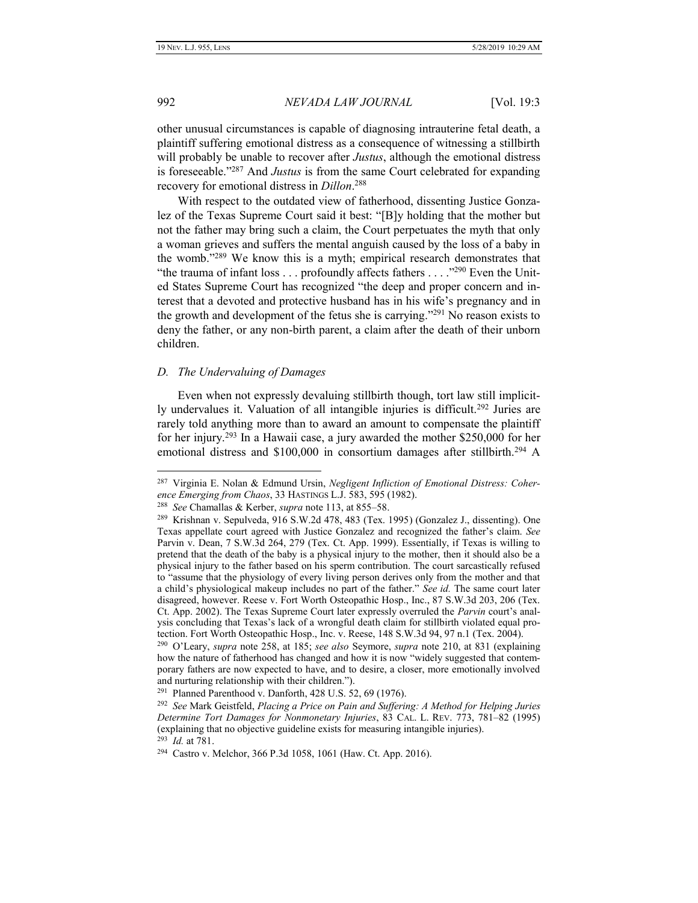992 *NEVADA LAW JOURNAL* [Vol. 19:3

other unusual circumstances is capable of diagnosing intrauterine fetal death, a plaintiff suffering emotional distress as a consequence of witnessing a stillbirth will probably be unable to recover after *Justus*, although the emotional distress is foreseeable." <sup>287</sup> And *Justus* is from the same Court celebrated for expanding recovery for emotional distress in *Dillon*. 288

With respect to the outdated view of fatherhood, dissenting Justice Gonzalez of the Texas Supreme Court said it best: "[B]y holding that the mother but not the father may bring such a claim, the Court perpetuates the myth that only a woman grieves and suffers the mental anguish caused by the loss of a baby in the womb." <sup>289</sup> We know this is a myth; empirical research demonstrates that "the trauma of infant loss . . . profoundly affects fathers . . . . "<sup>290</sup> Even the United States Supreme Court has recognized "the deep and proper concern and interest that a devoted and protective husband has in his wife's pregnancy and in the growth and development of the fetus she is carrying."<sup>291</sup> No reason exists to deny the father, or any non-birth parent, a claim after the death of their unborn children.

#### <span id="page-37-0"></span>*D. The Undervaluing of Damages*

Even when not expressly devaluing stillbirth though, tort law still implicitly undervalues it. Valuation of all intangible injuries is difficult.<sup>292</sup> Juries are rarely told anything more than to award an amount to compensate the plaintiff for her injury.<sup>293</sup> In a Hawaii case, a jury awarded the mother \$250,000 for her emotional distress and  $$100,000$  in consortium damages after stillbirth.<sup>294</sup> A

<sup>287</sup> Virginia E. Nolan & Edmund Ursin, *Negligent Infliction of Emotional Distress: Coherence Emerging from Chaos*, 33 HASTINGS L.J. 583, 595 (1982).

<sup>288</sup> *See* Chamallas & Kerber, *supra* note 113, at 855–58.

<sup>289</sup> Krishnan v. Sepulveda, 916 S.W.2d 478, 483 (Tex. 1995) (Gonzalez J., dissenting). One Texas appellate court agreed with Justice Gonzalez and recognized the father's claim. *See*  Parvin v. Dean, 7 S.W.3d 264, 279 (Tex. Ct. App. 1999). Essentially, if Texas is willing to pretend that the death of the baby is a physical injury to the mother, then it should also be a physical injury to the father based on his sperm contribution. The court sarcastically refused to "assume that the physiology of every living person derives only from the mother and that a child's physiological makeup includes no part of the father." *See id.* The same court later disagreed, however. Reese v. Fort Worth Osteopathic Hosp., Inc., 87 S.W.3d 203, 206 (Tex. Ct. App. 2002). The Texas Supreme Court later expressly overruled the *Parvin* court's analysis concluding that Texas's lack of a wrongful death claim for stillbirth violated equal protection. Fort Worth Osteopathic Hosp., Inc. v. Reese, 148 S.W.3d 94, 97 n.1 (Tex. 2004).

<sup>290</sup> O'Leary, *supra* note 258, at 185; *see also* Seymore, *supra* note 210, at 831 (explaining how the nature of fatherhood has changed and how it is now "widely suggested that contemporary fathers are now expected to have, and to desire, a closer, more emotionally involved and nurturing relationship with their children.").

<sup>291</sup> Planned Parenthood v. Danforth, 428 U.S. 52, 69 (1976).

<sup>292</sup> *See* Mark Geistfeld, *Placing a Price on Pain and Suffering: A Method for Helping Juries Determine Tort Damages for Nonmonetary Injuries*, 83 CAL. L. REV. 773, 781–82 (1995) (explaining that no objective guideline exists for measuring intangible injuries). 293 *Id.* at 781.

<sup>294</sup> Castro v. Melchor, 366 P.3d 1058, 1061 (Haw. Ct. App. 2016).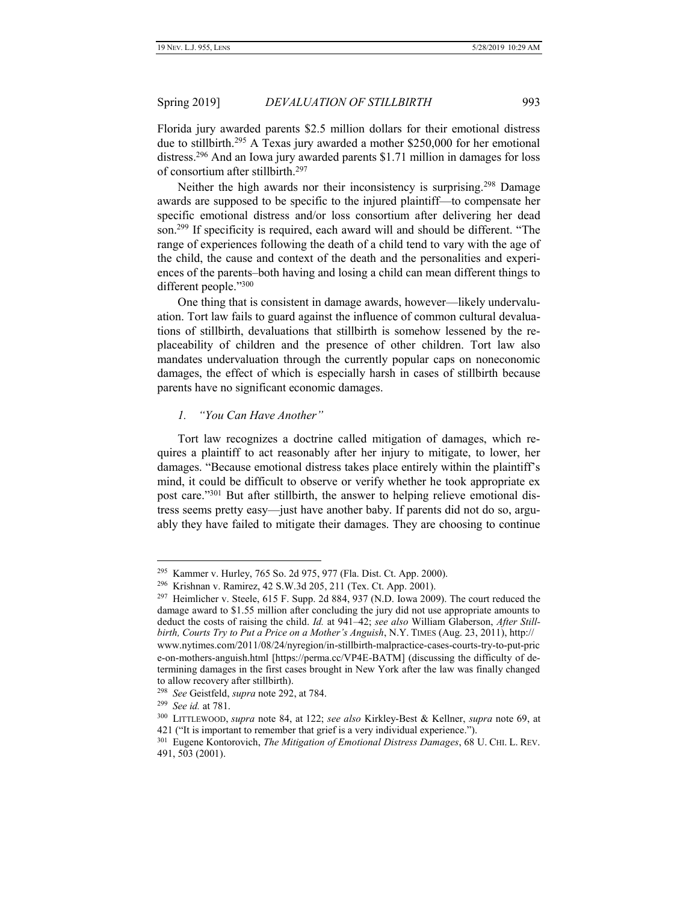Florida jury awarded parents \$2.5 million dollars for their emotional distress due to stillbirth.<sup>295</sup> A Texas jury awarded a mother \$250,000 for her emotional distress.<sup>296</sup> And an Iowa jury awarded parents \$1.71 million in damages for loss of consortium after stillbirth.<sup>297</sup>

Neither the high awards nor their inconsistency is surprising.<sup>298</sup> Damage awards are supposed to be specific to the injured plaintiff—to compensate her specific emotional distress and/or loss consortium after delivering her dead son.<sup>299</sup> If specificity is required, each award will and should be different. "The range of experiences following the death of a child tend to vary with the age of the child, the cause and context of the death and the personalities and experiences of the parents–both having and losing a child can mean different things to different people."300

One thing that is consistent in damage awards, however—likely undervaluation. Tort law fails to guard against the influence of common cultural devaluations of stillbirth, devaluations that stillbirth is somehow lessened by the replaceability of children and the presence of other children. Tort law also mandates undervaluation through the currently popular caps on noneconomic damages, the effect of which is especially harsh in cases of stillbirth because parents have no significant economic damages.

#### <span id="page-38-0"></span>*1. "You Can Have Another"*

Tort law recognizes a doctrine called mitigation of damages, which requires a plaintiff to act reasonably after her injury to mitigate, to lower, her damages. "Because emotional distress takes place entirely within the plaintiff's mind, it could be difficult to observe or verify whether he took appropriate ex post care."<sup>301</sup> But after stillbirth, the answer to helping relieve emotional distress seems pretty easy—just have another baby. If parents did not do so, arguably they have failed to mitigate their damages. They are choosing to continue

<sup>295</sup> Kammer v. Hurley, 765 So. 2d 975, 977 (Fla. Dist. Ct. App. 2000).

<sup>296</sup> Krishnan v. Ramirez, 42 S.W.3d 205, 211 (Tex. Ct. App. 2001).

<sup>&</sup>lt;sup>297</sup> Heimlicher v. Steele, 615 F. Supp. 2d 884, 937 (N.D. Iowa 2009). The court reduced the damage award to \$1.55 million after concluding the jury did not use appropriate amounts to deduct the costs of raising the child. *Id.* at 941–42; *see also* William Glaberson, *After Stillbirth, Courts Try to Put a Price on a Mother's Anguish*, N.Y. TIMES (Aug. 23, 2011), http:// www.nytimes.com/2011/08/24/nyregion/in-stillbirth-malpractice-cases-courts-try-to-put-pric e-on-mothers-anguish.html [https://perma.cc/VP4E-BATM] (discussing the difficulty of determining damages in the first cases brought in New York after the law was finally changed to allow recovery after stillbirth).

<sup>298</sup> *See* Geistfeld, *supra* note 292, at 784.

<sup>299</sup> *See id.* at 781.

<sup>300</sup> LITTLEWOOD, *supra* note 84, at 122; *see also* Kirkley-Best & Kellner, *supra* note 69, at 421 ("It is important to remember that grief is a very individual experience.").

<sup>301</sup> Eugene Kontorovich, *The Mitigation of Emotional Distress Damages*, 68 U. CHI. L. REV. 491, 503 (2001).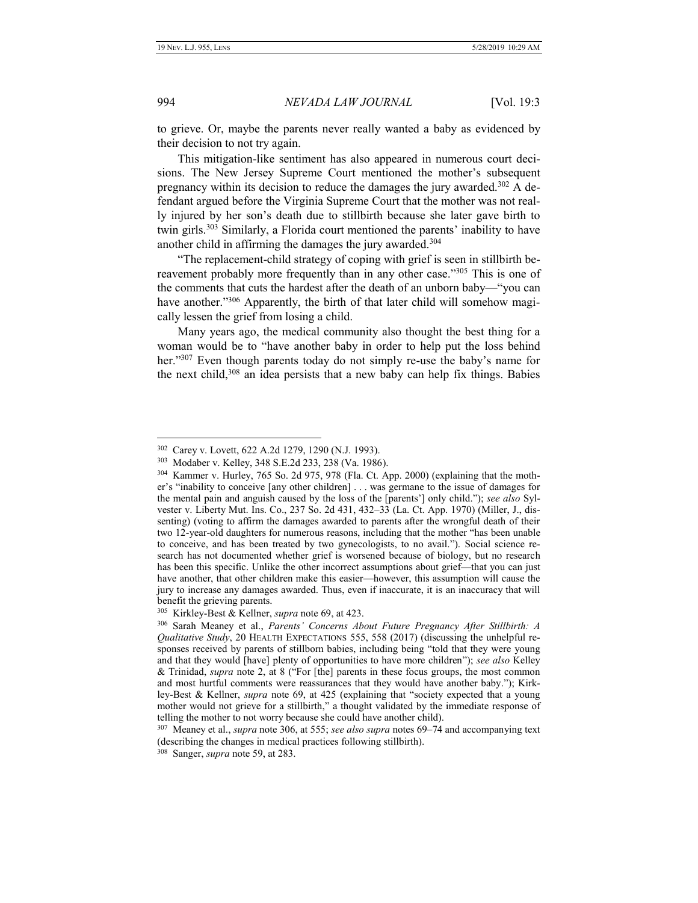994 *NEVADA LAW JOURNAL* [Vol. 19:3

to grieve. Or, maybe the parents never really wanted a baby as evidenced by their decision to not try again.

This mitigation-like sentiment has also appeared in numerous court decisions. The New Jersey Supreme Court mentioned the mother's subsequent pregnancy within its decision to reduce the damages the jury awarded.<sup>302</sup> A defendant argued before the Virginia Supreme Court that the mother was not really injured by her son's death due to stillbirth because she later gave birth to twin girls.<sup>303</sup> Similarly, a Florida court mentioned the parents' inability to have another child in affirming the damages the jury awarded.<sup>304</sup>

"The replacement-child strategy of coping with grief is seen in stillbirth bereavement probably more frequently than in any other case."<sup>305</sup> This is one of the comments that cuts the hardest after the death of an unborn baby—"you can have another."<sup>306</sup> Apparently, the birth of that later child will somehow magically lessen the grief from losing a child.

<span id="page-39-0"></span>Many years ago, the medical community also thought the best thing for a woman would be to "have another baby in order to help put the loss behind her."<sup>307</sup> Even though parents today do not simply re-use the baby's name for the next child,<sup>308</sup> an idea persists that a new baby can help fix things. Babies

307 Meaney et al., *supra* not[e 306,](#page-39-0) at 555; *see also supra* notes 69–74 and accompanying text (describing the changes in medical practices following stillbirth).

<sup>302</sup> Carey v. Lovett, 622 A.2d 1279, 1290 (N.J. 1993).

<sup>303</sup> Modaber v. Kelley, 348 S.E.2d 233, 238 (Va. 1986).

<sup>304</sup> Kammer v. Hurley, 765 So. 2d 975, 978 (Fla. Ct. App. 2000) (explaining that the mother's "inability to conceive [any other children] . . . was germane to the issue of damages for the mental pain and anguish caused by the loss of the [parents'] only child."); *see also* Sylvester v. Liberty Mut. Ins. Co., 237 So. 2d 431, 432–33 (La. Ct. App. 1970) (Miller, J., dissenting) (voting to affirm the damages awarded to parents after the wrongful death of their two 12-year-old daughters for numerous reasons, including that the mother "has been unable to conceive, and has been treated by two gynecologists, to no avail."). Social science research has not documented whether grief is worsened because of biology, but no research has been this specific. Unlike the other incorrect assumptions about grief—that you can just have another, that other children make this easier—however, this assumption will cause the jury to increase any damages awarded. Thus, even if inaccurate, it is an inaccuracy that will benefit the grieving parents.

<sup>305</sup> Kirkley-Best & Kellner, *supra* note 69, at 423.

<sup>306</sup> Sarah Meaney et al., *Parents' Concerns About Future Pregnancy After Stillbirth: A Qualitative Study*, 20 HEALTH EXPECTATIONS 555, 558 (2017) (discussing the unhelpful responses received by parents of stillborn babies, including being "told that they were young and that they would [have] plenty of opportunities to have more children"); *see also* Kelley & Trinidad, *supra* note [2,](#page-2-0) at 8 ("For [the] parents in these focus groups, the most common and most hurtful comments were reassurances that they would have another baby."); Kirkley-Best & Kellner, *supra* note 69, at 425 (explaining that "society expected that a young mother would not grieve for a stillbirth," a thought validated by the immediate response of telling the mother to not worry because she could have another child).

<sup>308</sup> Sanger, *supra* note 59, at 283.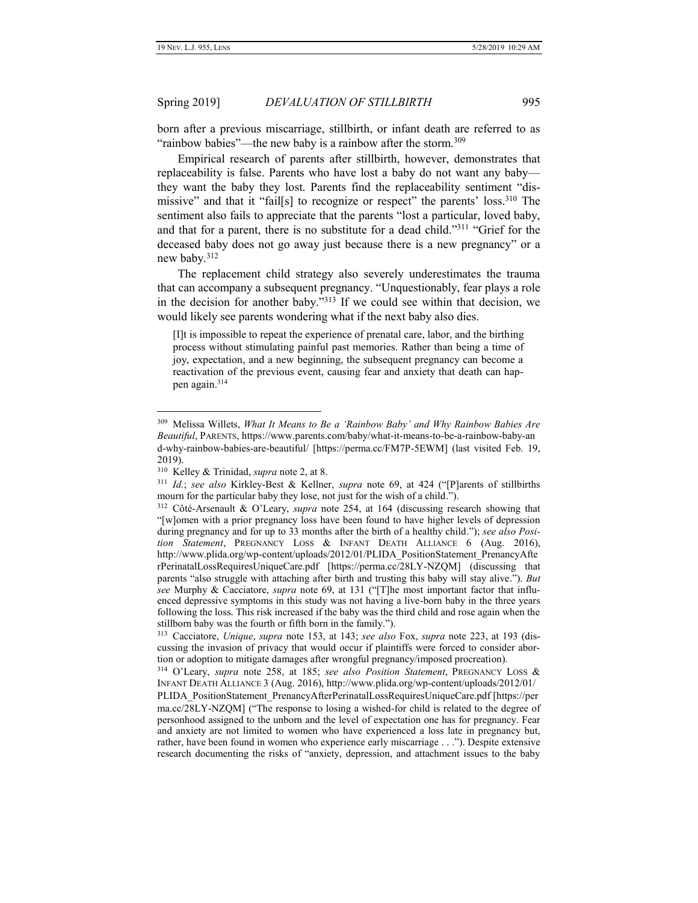born after a previous miscarriage, stillbirth, or infant death are referred to as "rainbow babies"—the new baby is a rainbow after the storm.<sup>309</sup>

Empirical research of parents after stillbirth, however, demonstrates that replaceability is false. Parents who have lost a baby do not want any baby they want the baby they lost. Parents find the replaceability sentiment "dismissive" and that it "fail[s] to recognize or respect" the parents' loss.<sup>310</sup> The sentiment also fails to appreciate that the parents "lost a particular, loved baby, and that for a parent, there is no substitute for a dead child."<sup>311</sup> "Grief for the deceased baby does not go away just because there is a new pregnancy" or a new baby.<sup>312</sup>

The replacement child strategy also severely underestimates the trauma that can accompany a subsequent pregnancy. "Unquestionably, fear plays a role in the decision for another baby."<sup>313</sup> If we could see within that decision, we would likely see parents wondering what if the next baby also dies.

[I]t is impossible to repeat the experience of prenatal care, labor, and the birthing process without stimulating painful past memories. Rather than being a time of joy, expectation, and a new beginning, the subsequent pregnancy can become a reactivation of the previous event, causing fear and anxiety that death can happen again. 314

 $\overline{a}$ 

313 Cacciatore, *Unique*, *supra* note [153,](#page-21-0) at 143; *see also* Fox, *supra* note 223, at 193 (discussing the invasion of privacy that would occur if plaintiffs were forced to consider abortion or adoption to mitigate damages after wrongful pregnancy/imposed procreation).

314 O'Leary, *supra* note [258,](#page-34-0) at 185; *see also Position Statement*, PREGNANCY LOSS & INFANT DEATH ALLIANCE 3 (Aug. 2016), http://www.plida.org/wp-content/uploads/2012/01/

PLIDA\_PositionStatement\_PrenancyAfterPerinatalLossRequiresUniqueCare.pdf [https://per ma.cc/28LY-NZQM] ("The response to losing a wished-for child is related to the degree of personhood assigned to the unborn and the level of expectation one has for pregnancy. Fear and anxiety are not limited to women who have experienced a loss late in pregnancy but, rather, have been found in women who experience early miscarriage . . ."). Despite extensive research documenting the risks of "anxiety, depression, and attachment issues to the baby

<sup>309</sup> Melissa Willets, *What It Means to Be a 'Rainbow Baby' and Why Rainbow Babies Are Beautiful*, PARENTS, https://www.parents.com/baby/what-it-means-to-be-a-rainbow-baby-an d-why-rainbow-babies-are-beautiful/ [https://perma.cc/FM7P-5EWM] (last visited Feb. 19, 2019).

<sup>310</sup> Kelley & Trinidad, *supra* note [2,](#page-2-0) at 8.

<sup>311</sup> *Id.*; *see also* Kirkley-Best & Kellner, *supra* note 69, at 424 ("[P]arents of stillbirths mourn for the particular baby they lose, not just for the wish of a child.").

<sup>312</sup> Côté-Arsenault & O'Leary, *supra* note 254, at 164 (discussing research showing that "[w]omen with a prior pregnancy loss have been found to have higher levels of depression during pregnancy and for up to 33 months after the birth of a healthy child."); *see also Position Statement*, PREGNANCY LOSS & INFANT DEATH ALLIANCE 6 (Aug. 2016), http://www.plida.org/wp-content/uploads/2012/01/PLIDA\_PositionStatement\_PrenancyAfte rPerinatalLossRequiresUniqueCare.pdf [https://perma.cc/28LY-NZQM] (discussing that parents "also struggle with attaching after birth and trusting this baby will stay alive."). *But see* Murphy & Cacciatore, *supra* note 69, at 131 ("[T]he most important factor that influenced depressive symptoms in this study was not having a live-born baby in the three years following the loss. This risk increased if the baby was the third child and rose again when the stillborn baby was the fourth or fifth born in the family.").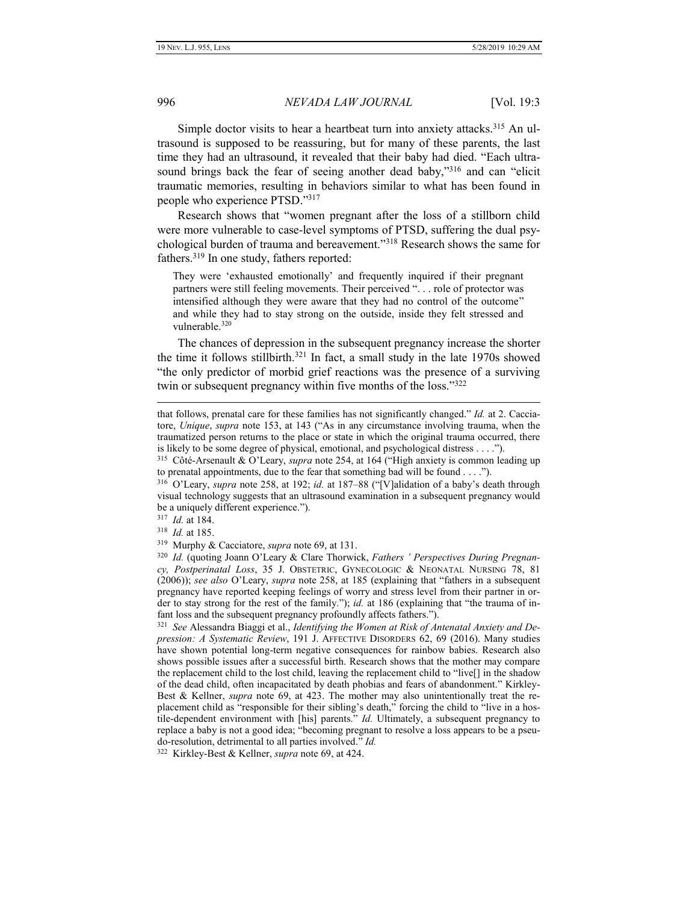Simple doctor visits to hear a heartbeat turn into anxiety attacks.<sup>315</sup> An ultrasound is supposed to be reassuring, but for many of these parents, the last time they had an ultrasound, it revealed that their baby had died. "Each ultrasound brings back the fear of seeing another dead baby,"<sup>316</sup> and can "elicit traumatic memories, resulting in behaviors similar to what has been found in people who experience PTSD."<sup>317</sup>

Research shows that "women pregnant after the loss of a stillborn child were more vulnerable to case-level symptoms of PTSD, suffering the dual psychological burden of trauma and bereavement."<sup>318</sup> Research shows the same for fathers.<sup>319</sup> In one study, fathers reported:

They were 'exhausted emotionally' and frequently inquired if their pregnant partners were still feeling movements. Their perceived ". . . role of protector was intensified although they were aware that they had no control of the outcome" and while they had to stay strong on the outside, inside they felt stressed and vulnerable.<sup>320</sup>

The chances of depression in the subsequent pregnancy increase the shorter the time it follows stillbirth.<sup>321</sup> In fact, a small study in the late 1970s showed "the only predictor of morbid grief reactions was the presence of a surviving twin or subsequent pregnancy within five months of the loss."<sup>322</sup>

317 *Id.* at 184.

 $\overline{a}$ 

318 *Id.* at 185.

319 Murphy & Cacciatore, *supra* note 69, at 131.

320 *Id.* (quoting Joann O'Leary & Clare Thorwick, *Fathers ' Perspectives During Pregnancy, Postperinatal Loss*, 35 J. OBSTETRIC, GYNECOLOGIC & NEONATAL NURSING 78, 81 (2006)); *see also* O'Leary, *supra* note 258, at 185 (explaining that "fathers in a subsequent pregnancy have reported keeping feelings of worry and stress level from their partner in order to stay strong for the rest of the family."); *id.* at 186 (explaining that "the trauma of infant loss and the subsequent pregnancy profoundly affects fathers.").

321 *See* Alessandra Biaggi et al., *Identifying the Women at Risk of Antenatal Anxiety and Depression: A Systematic Review*, 191 J. AFFECTIVE DISORDERS 62, 69 (2016). Many studies have shown potential long-term negative consequences for rainbow babies. Research also shows possible issues after a successful birth. Research shows that the mother may compare the replacement child to the lost child, leaving the replacement child to "live[] in the shadow of the dead child, often incapacitated by death phobias and fears of abandonment." Kirkley-Best & Kellner, *supra* note 69, at 423. The mother may also unintentionally treat the replacement child as "responsible for their sibling's death," forcing the child to "live in a hostile-dependent environment with [his] parents." *Id.* Ultimately, a subsequent pregnancy to replace a baby is not a good idea; "becoming pregnant to resolve a loss appears to be a pseudo-resolution, detrimental to all parties involved." *Id.*

322 Kirkley-Best & Kellner, *supra* note 69, at 424.

that follows, prenatal care for these families has not significantly changed." *Id.* at 2. Cacciatore, *Unique*, *supra* note 153, at 143 ("As in any circumstance involving trauma, when the traumatized person returns to the place or state in which the original trauma occurred, there is likely to be some degree of physical, emotional, and psychological distress . . . .").

<sup>315</sup> Côté-Arsenault & O'Leary, *supra* note 254, at 164 ("High anxiety is common leading up to prenatal appointments, due to the fear that something bad will be found . . . .").

<sup>316</sup> O'Leary, *supra* note 258, at 192; *id.* at 187–88 ("[V]alidation of a baby's death through visual technology suggests that an ultrasound examination in a subsequent pregnancy would be a uniquely different experience.").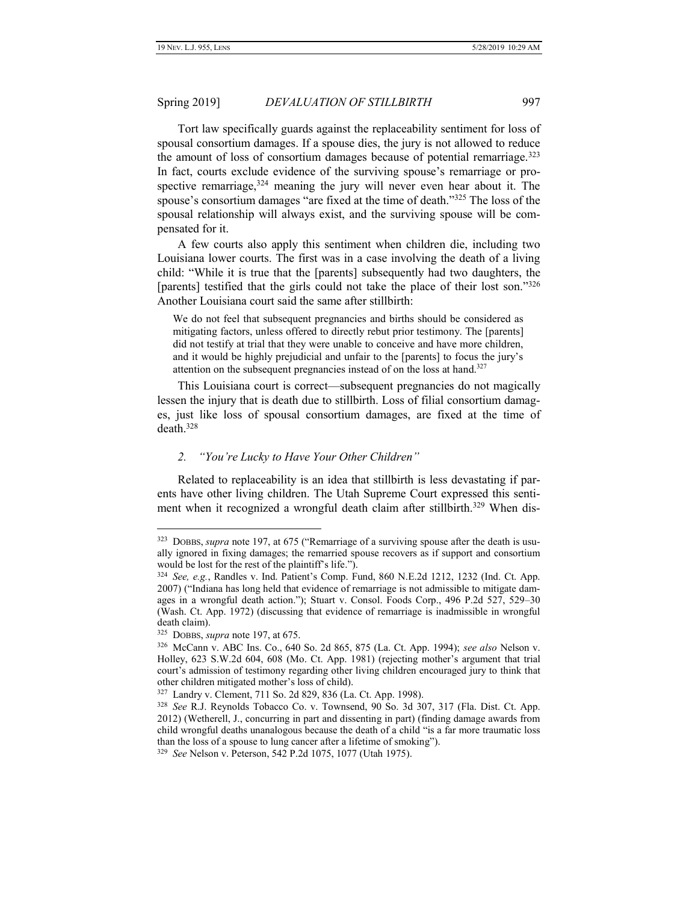Tort law specifically guards against the replaceability sentiment for loss of spousal consortium damages. If a spouse dies, the jury is not allowed to reduce the amount of loss of consortium damages because of potential remarriage.<sup>323</sup> In fact, courts exclude evidence of the surviving spouse's remarriage or prospective remarriage,  $324$  meaning the jury will never even hear about it. The spouse's consortium damages "are fixed at the time of death."<sup>325</sup> The loss of the spousal relationship will always exist, and the surviving spouse will be compensated for it.

A few courts also apply this sentiment when children die, including two Louisiana lower courts. The first was in a case involving the death of a living child: "While it is true that the [parents] subsequently had two daughters, the [parents] testified that the girls could not take the place of their lost son."326 Another Louisiana court said the same after stillbirth:

We do not feel that subsequent pregnancies and births should be considered as mitigating factors, unless offered to directly rebut prior testimony. The [parents] did not testify at trial that they were unable to conceive and have more children, and it would be highly prejudicial and unfair to the [parents] to focus the jury's attention on the subsequent pregnancies instead of on the loss at hand.<sup>327</sup>

This Louisiana court is correct—subsequent pregnancies do not magically lessen the injury that is death due to stillbirth. Loss of filial consortium damages, just like loss of spousal consortium damages, are fixed at the time of death.<sup>328</sup>

#### <span id="page-42-0"></span>*2. "You're Lucky to Have Your Other Children"*

Related to replaceability is an idea that stillbirth is less devastating if parents have other living children. The Utah Supreme Court expressed this sentiment when it recognized a wrongful death claim after stillbirth.<sup>329</sup> When dis-

<sup>323</sup> DOBBS, *supra* note 197, at 675 ("Remarriage of a surviving spouse after the death is usually ignored in fixing damages; the remarried spouse recovers as if support and consortium would be lost for the rest of the plaintiff's life.").

<sup>324</sup> *See, e.g.*, Randles v. Ind. Patient's Comp. Fund, 860 N.E.2d 1212, 1232 (Ind. Ct. App. 2007) ("Indiana has long held that evidence of remarriage is not admissible to mitigate damages in a wrongful death action."); Stuart v. Consol. Foods Corp., 496 P.2d 527, 529–30 (Wash. Ct. App. 1972) (discussing that evidence of remarriage is inadmissible in wrongful death claim).

<sup>325</sup> DOBBS, *supra* note 197, at 675.

<sup>326</sup> McCann v. ABC Ins. Co., 640 So. 2d 865, 875 (La. Ct. App. 1994); *see also* Nelson v. Holley, 623 S.W.2d 604, 608 (Mo. Ct. App. 1981) (rejecting mother's argument that trial court's admission of testimony regarding other living children encouraged jury to think that other children mitigated mother's loss of child).

<sup>327</sup> Landry v. Clement, 711 So. 2d 829, 836 (La. Ct. App. 1998).

<sup>328</sup> *See* R.J. Reynolds Tobacco Co. v. Townsend, 90 So. 3d 307, 317 (Fla. Dist. Ct. App. 2012) (Wetherell, J., concurring in part and dissenting in part) (finding damage awards from child wrongful deaths unanalogous because the death of a child "is a far more traumatic loss than the loss of a spouse to lung cancer after a lifetime of smoking").

<sup>329</sup> *See* Nelson v. Peterson, 542 P.2d 1075, 1077 (Utah 1975).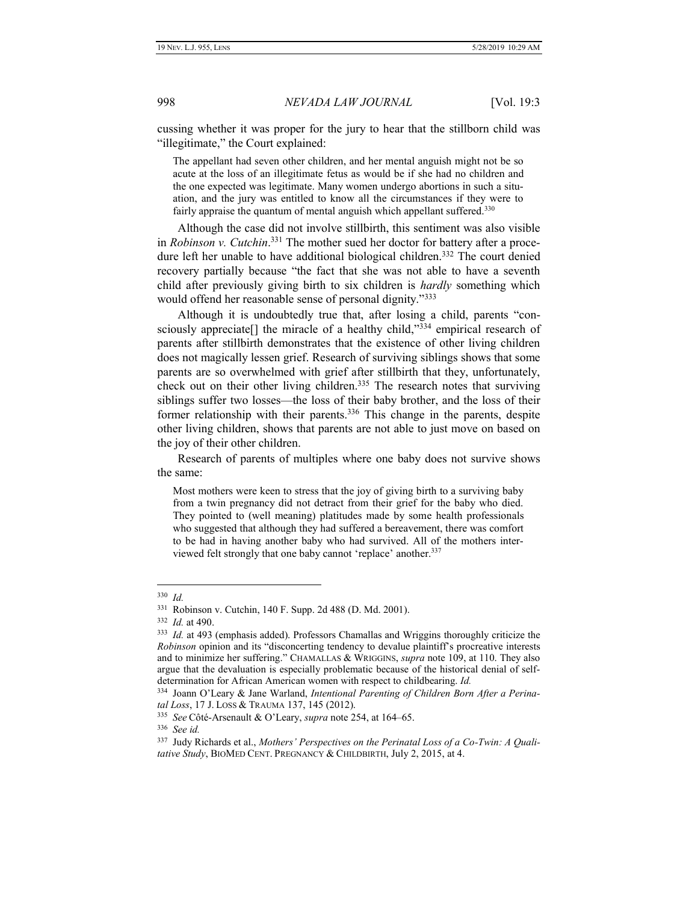cussing whether it was proper for the jury to hear that the stillborn child was "illegitimate," the Court explained:

The appellant had seven other children, and her mental anguish might not be so acute at the loss of an illegitimate fetus as would be if she had no children and the one expected was legitimate. Many women undergo abortions in such a situation, and the jury was entitled to know all the circumstances if they were to fairly appraise the quantum of mental anguish which appellant suffered.<sup>330</sup>

Although the case did not involve stillbirth, this sentiment was also visible in *Robinson v. Cutchin*. <sup>331</sup> The mother sued her doctor for battery after a procedure left her unable to have additional biological children.<sup>332</sup> The court denied recovery partially because "the fact that she was not able to have a seventh child after previously giving birth to six children is *hardly* something which would offend her reasonable sense of personal dignity."333

Although it is undoubtedly true that, after losing a child, parents "consciously appreciate<sup>[]</sup> the miracle of a healthy child,"<sup>334</sup> empirical research of parents after stillbirth demonstrates that the existence of other living children does not magically lessen grief. Research of surviving siblings shows that some parents are so overwhelmed with grief after stillbirth that they, unfortunately, check out on their other living children.<sup>335</sup> The research notes that surviving siblings suffer two losses—the loss of their baby brother, and the loss of their former relationship with their parents.<sup>336</sup> This change in the parents, despite other living children, shows that parents are not able to just move on based on the joy of their other children.

Research of parents of multiples where one baby does not survive shows the same:

Most mothers were keen to stress that the joy of giving birth to a surviving baby from a twin pregnancy did not detract from their grief for the baby who died. They pointed to (well meaning) platitudes made by some health professionals who suggested that although they had suffered a bereavement, there was comfort to be had in having another baby who had survived. All of the mothers interviewed felt strongly that one baby cannot 'replace' another.<sup>337</sup>

 $\overline{a}$ 

336 *See id.*

<sup>330</sup> *Id.*

<sup>331</sup> Robinson v. Cutchin, 140 F. Supp. 2d 488 (D. Md. 2001).

<sup>332</sup> *Id.* at 490.

<sup>333</sup> *Id.* at 493 (emphasis added). Professors Chamallas and Wriggins thoroughly criticize the *Robinson* opinion and its "disconcerting tendency to devalue plaintiff's procreative interests and to minimize her suffering." CHAMALLAS & WRIGGINS, *supra* note 109, at 110. They also argue that the devaluation is especially problematic because of the historical denial of selfdetermination for African American women with respect to childbearing. *Id.*

<sup>334</sup> Joann O'Leary & Jane Warland, *Intentional Parenting of Children Born After a Perinatal Loss*, 17 J. LOSS & TRAUMA 137, 145 (2012).

<sup>335</sup> *See* Côté-Arsenault & O'Leary, *supra* note 254, at 164–65.

<sup>337</sup> Judy Richards et al., *Mothers' Perspectives on the Perinatal Loss of a Co-Twin: A Qualitative Study*, BIOMED CENT. PREGNANCY & CHILDBIRTH, July 2, 2015, at 4.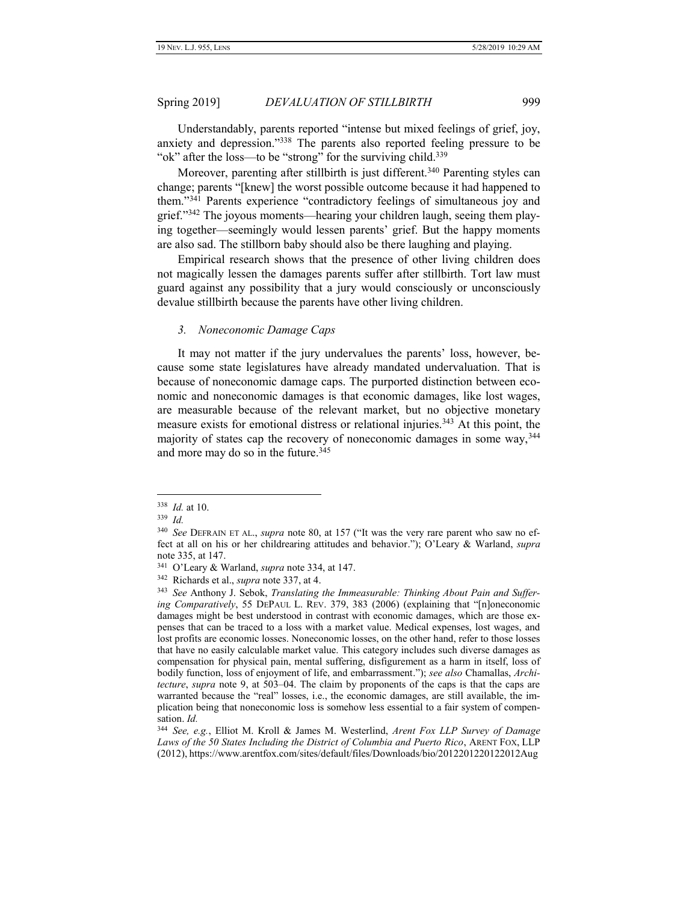Understandably, parents reported "intense but mixed feelings of grief, joy, anxiety and depression."<sup>338</sup> The parents also reported feeling pressure to be "ok" after the loss—to be "strong" for the surviving child.<sup>339</sup>

Moreover, parenting after stillbirth is just different.<sup>340</sup> Parenting styles can change; parents "[knew] the worst possible outcome because it had happened to them." <sup>341</sup> Parents experience "contradictory feelings of simultaneous joy and grief." <sup>342</sup> The joyous moments—hearing your children laugh, seeing them playing together—seemingly would lessen parents' grief. But the happy moments are also sad. The stillborn baby should also be there laughing and playing.

Empirical research shows that the presence of other living children does not magically lessen the damages parents suffer after stillbirth. Tort law must guard against any possibility that a jury would consciously or unconsciously devalue stillbirth because the parents have other living children.

#### <span id="page-44-0"></span>*3. Noneconomic Damage Caps*

It may not matter if the jury undervalues the parents' loss, however, because some state legislatures have already mandated undervaluation. That is because of noneconomic damage caps. The purported distinction between economic and noneconomic damages is that economic damages, like lost wages, are measurable because of the relevant market, but no objective monetary measure exists for emotional distress or relational injuries.<sup>343</sup> At this point, the majority of states cap the recovery of noneconomic damages in some way, 344 and more may do so in the future.<sup>345</sup>

<span id="page-44-1"></span>

<sup>338</sup> *Id.* at 10.

<sup>339</sup> *Id.*

<sup>340</sup> *See* DEFRAIN ET AL., *supra* note 80, at 157 ("It was the very rare parent who saw no effect at all on his or her childrearing attitudes and behavior."); O'Leary & Warland, *supra*  note 335, at 147.

<sup>341</sup> O'Leary & Warland, *supra* note 334, at 147.

<sup>342</sup> Richards et al., *supra* note 337, at 4.

<sup>343</sup> *See* Anthony J. Sebok, *Translating the Immeasurable: Thinking About Pain and Suffering Comparatively*, 55 DEPAUL L. REV. 379, 383 (2006) (explaining that "[n]oneconomic damages might be best understood in contrast with economic damages, which are those expenses that can be traced to a loss with a market value. Medical expenses, lost wages, and lost profits are economic losses. Noneconomic losses, on the other hand, refer to those losses that have no easily calculable market value. This category includes such diverse damages as compensation for physical pain, mental suffering, disfigurement as a harm in itself, loss of bodily function, loss of enjoyment of life, and embarrassment."); *see also* Chamallas, *Architecture*, *supra* note [9,](#page-3-0) at 503–04. The claim by proponents of the caps is that the caps are warranted because the "real" losses, i.e., the economic damages, are still available, the implication being that noneconomic loss is somehow less essential to a fair system of compensation. *Id.*

<sup>344</sup> *See, e.g.*, Elliot M. Kroll & James M. Westerlind, *Arent Fox LLP Survey of Damage Laws of the 50 States Including the District of Columbia and Puerto Rico*, ARENT FOX, LLP (2012), https://www.arentfox.com/sites/default/files/Downloads/bio/2012201220122012Aug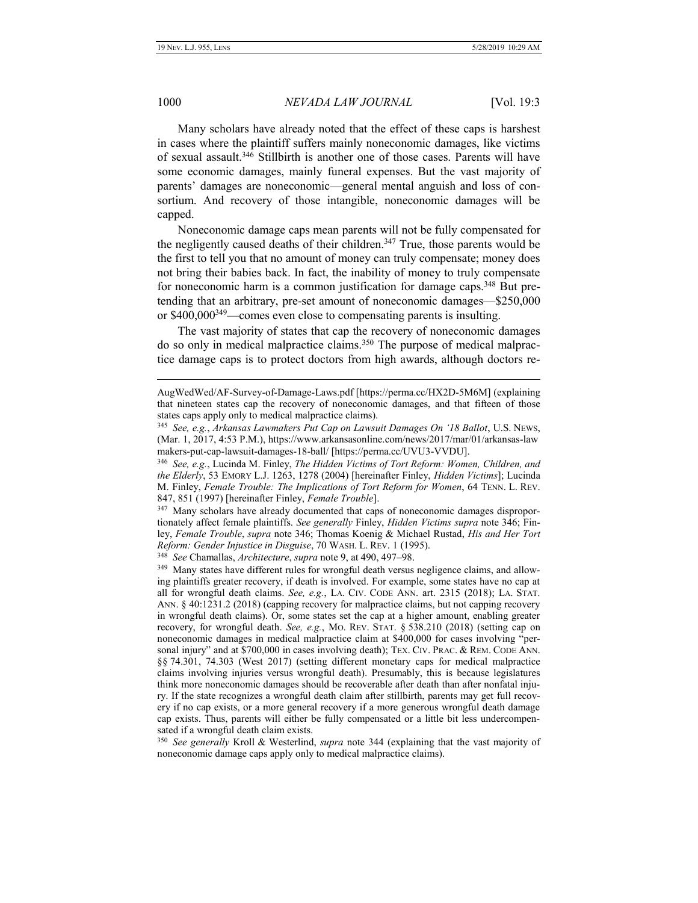1000 *NEVADA LAW JOURNAL* [Vol. 19:3

Many scholars have already noted that the effect of these caps is harshest in cases where the plaintiff suffers mainly noneconomic damages, like victims of sexual assault.<sup>346</sup> Stillbirth is another one of those cases. Parents will have some economic damages, mainly funeral expenses. But the vast majority of parents' damages are noneconomic—general mental anguish and loss of consortium. And recovery of those intangible, noneconomic damages will be capped.

Noneconomic damage caps mean parents will not be fully compensated for the negligently caused deaths of their children.<sup>347</sup> True, those parents would be the first to tell you that no amount of money can truly compensate; money does not bring their babies back. In fact, the inability of money to truly compensate for noneconomic harm is a common justification for damage caps.<sup>348</sup> But pretending that an arbitrary, pre-set amount of noneconomic damages—\$250,000 or  $$400,000^{349}$  -comes even close to compensating parents is insulting.

The vast majority of states that cap the recovery of noneconomic damages do so only in medical malpractice claims.<sup>350</sup> The purpose of medical malpractice damage caps is to protect doctors from high awards, although doctors re-

348 *See* Chamallas, *Architecture*, *supra* not[e 9,](#page-3-0) at 490, 497–98.

AugWedWed/AF-Survey-of-Damage-Laws.pdf [https://perma.cc/HX2D-5M6M] (explaining that nineteen states cap the recovery of noneconomic damages, and that fifteen of those states caps apply only to medical malpractice claims).

<sup>345</sup> *See, e.g.*, *Arkansas Lawmakers Put Cap on Lawsuit Damages On '18 Ballot*, U.S. NEWS, (Mar. 1, 2017, 4:53 P.M.), https://www.arkansasonline.com/news/2017/mar/01/arkansas-law makers-put-cap-lawsuit-damages-18-ball/ [https://perma.cc/UVU3-VVDU].

<sup>346</sup> *See, e.g.*, Lucinda M. Finley, *The Hidden Victims of Tort Reform: Women, Children, and the Elderly*, 53 EMORY L.J. 1263, 1278 (2004) [hereinafter Finley, *Hidden Victims*]; Lucinda M. Finley, *Female Trouble: The Implications of Tort Reform for Women*, 64 TENN. L. REV. 847, 851 (1997) [hereinafter Finley, *Female Trouble*].

<sup>&</sup>lt;sup>347</sup> Many scholars have already documented that caps of noneconomic damages disproportionately affect female plaintiffs. *See generally* Finley, *Hidden Victims supra* note 346; Finley, *Female Trouble*, *supra* note 346; Thomas Koenig & Michael Rustad, *His and Her Tort Reform: Gender Injustice in Disguise*, 70 WASH. L. REV. 1 (1995).

<sup>&</sup>lt;sup>349</sup> Many states have different rules for wrongful death versus negligence claims, and allowing plaintiffs greater recovery, if death is involved. For example, some states have no cap at all for wrongful death claims. *See, e.g.*, LA. CIV. CODE ANN. art. 2315 (2018); LA. STAT. ANN. § 40:1231.2 (2018) (capping recovery for malpractice claims, but not capping recovery in wrongful death claims). Or, some states set the cap at a higher amount, enabling greater recovery, for wrongful death. *See, e.g.*, MO. REV. STAT. § 538.210 (2018) (setting cap on noneconomic damages in medical malpractice claim at \$400,000 for cases involving "personal injury" and at \$700,000 in cases involving death); TEX. CIV. PRAC. & REM. CODE ANN. §§ 74.301, 74.303 (West 2017) (setting different monetary caps for medical malpractice claims involving injuries versus wrongful death). Presumably, this is because legislatures think more noneconomic damages should be recoverable after death than after nonfatal injury. If the state recognizes a wrongful death claim after stillbirth, parents may get full recovery if no cap exists, or a more general recovery if a more generous wrongful death damage cap exists. Thus, parents will either be fully compensated or a little bit less undercompensated if a wrongful death claim exists.

<sup>350</sup> *See generally* Kroll & Westerlind, *supra* note [344](#page-44-1) (explaining that the vast majority of noneconomic damage caps apply only to medical malpractice claims).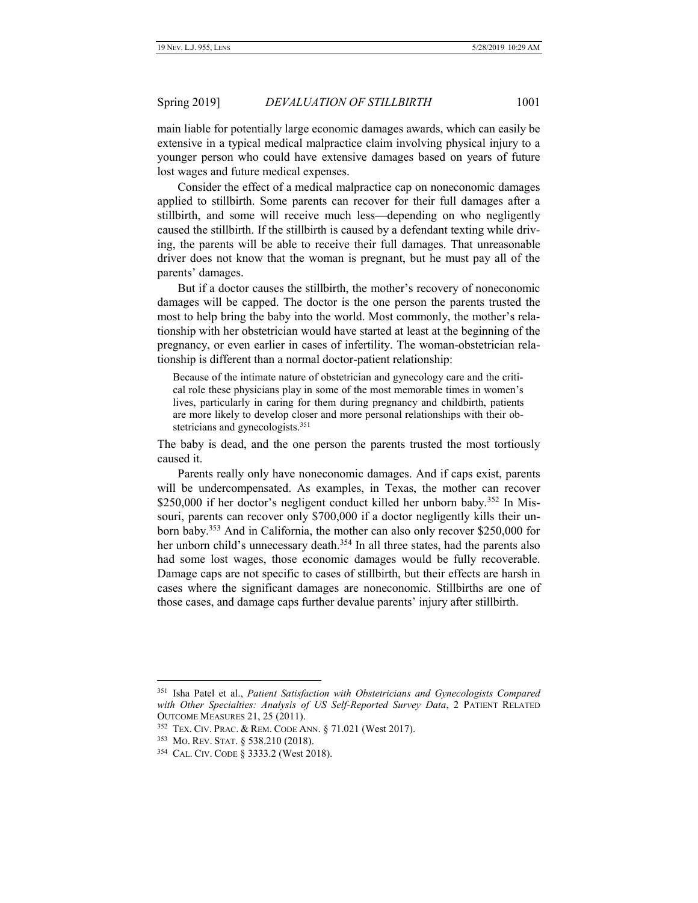main liable for potentially large economic damages awards, which can easily be extensive in a typical medical malpractice claim involving physical injury to a younger person who could have extensive damages based on years of future lost wages and future medical expenses.

Consider the effect of a medical malpractice cap on noneconomic damages applied to stillbirth. Some parents can recover for their full damages after a stillbirth, and some will receive much less—depending on who negligently caused the stillbirth. If the stillbirth is caused by a defendant texting while driving, the parents will be able to receive their full damages. That unreasonable driver does not know that the woman is pregnant, but he must pay all of the parents' damages.

But if a doctor causes the stillbirth, the mother's recovery of noneconomic damages will be capped. The doctor is the one person the parents trusted the most to help bring the baby into the world. Most commonly, the mother's relationship with her obstetrician would have started at least at the beginning of the pregnancy, or even earlier in cases of infertility. The woman-obstetrician relationship is different than a normal doctor-patient relationship:

Because of the intimate nature of obstetrician and gynecology care and the critical role these physicians play in some of the most memorable times in women's lives, particularly in caring for them during pregnancy and childbirth, patients are more likely to develop closer and more personal relationships with their obstetricians and gynecologists.<sup>351</sup>

The baby is dead, and the one person the parents trusted the most tortiously caused it.

Parents really only have noneconomic damages. And if caps exist, parents will be undercompensated. As examples, in Texas, the mother can recover \$250,000 if her doctor's negligent conduct killed her unborn baby.<sup>352</sup> In Missouri, parents can recover only \$700,000 if a doctor negligently kills their unborn baby.<sup>353</sup> And in California, the mother can also only recover \$250,000 for her unborn child's unnecessary death.<sup>354</sup> In all three states, had the parents also had some lost wages, those economic damages would be fully recoverable. Damage caps are not specific to cases of stillbirth, but their effects are harsh in cases where the significant damages are noneconomic. Stillbirths are one of those cases, and damage caps further devalue parents' injury after stillbirth.

<sup>351</sup> Isha Patel et al., *Patient Satisfaction with Obstetricians and Gynecologists Compared with Other Specialties: Analysis of US Self-Reported Survey Data*, 2 PATIENT RELATED OUTCOME MEASURES 21, 25 (2011).

<sup>352</sup> TEX. CIV. PRAC. & REM. CODE ANN. § 71.021 (West 2017).

<sup>353</sup> MO. REV. STAT. § 538.210 (2018).

<sup>354</sup> CAL. CIV. CODE § 3333.2 (West 2018).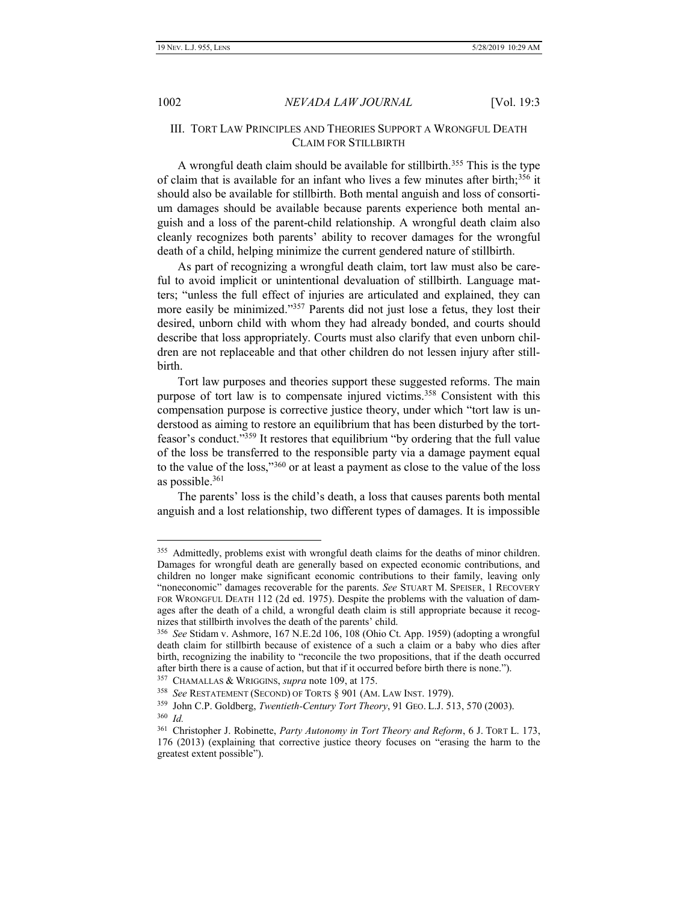<span id="page-47-0"></span>1002 *NEVADA LAW JOURNAL* [Vol. 19:3

# III. TORT LAW PRINCIPLES AND THEORIES SUPPORT A WRONGFUL DEATH CLAIM FOR STILLBIRTH

A wrongful death claim should be available for stillbirth.<sup>355</sup> This is the type of claim that is available for an infant who lives a few minutes after birth;<sup>356</sup> it should also be available for stillbirth. Both mental anguish and loss of consortium damages should be available because parents experience both mental anguish and a loss of the parent-child relationship. A wrongful death claim also cleanly recognizes both parents' ability to recover damages for the wrongful death of a child, helping minimize the current gendered nature of stillbirth.

As part of recognizing a wrongful death claim, tort law must also be careful to avoid implicit or unintentional devaluation of stillbirth. Language matters; "unless the full effect of injuries are articulated and explained, they can more easily be minimized."<sup>357</sup> Parents did not just lose a fetus, they lost their desired, unborn child with whom they had already bonded, and courts should describe that loss appropriately. Courts must also clarify that even unborn children are not replaceable and that other children do not lessen injury after stillbirth.

Tort law purposes and theories support these suggested reforms. The main purpose of tort law is to compensate injured victims.<sup>358</sup> Consistent with this compensation purpose is corrective justice theory, under which "tort law is understood as aiming to restore an equilibrium that has been disturbed by the tortfeasor's conduct." <sup>359</sup> It restores that equilibrium "by ordering that the full value of the loss be transferred to the responsible party via a damage payment equal to the value of the loss,"<sup>360</sup> or at least a payment as close to the value of the loss as possible.<sup>361</sup>

The parents' loss is the child's death, a loss that causes parents both mental anguish and a lost relationship, two different types of damages. It is impossible

<sup>&</sup>lt;sup>355</sup> Admittedly, problems exist with wrongful death claims for the deaths of minor children. Damages for wrongful death are generally based on expected economic contributions, and children no longer make significant economic contributions to their family, leaving only "noneconomic" damages recoverable for the parents. *See* STUART M. SPEISER, 1 RECOVERY FOR WRONGFUL DEATH 112 (2d ed. 1975). Despite the problems with the valuation of damages after the death of a child, a wrongful death claim is still appropriate because it recognizes that stillbirth involves the death of the parents' child.

<sup>356</sup> *See* Stidam v. Ashmore, 167 N.E.2d 106, 108 (Ohio Ct. App. 1959) (adopting a wrongful death claim for stillbirth because of existence of a such a claim or a baby who dies after birth, recognizing the inability to "reconcile the two propositions, that if the death occurred after birth there is a cause of action, but that if it occurred before birth there is none.").

<sup>357</sup> CHAMALLAS & WRIGGINS, *supra* note 109, at 175.

<sup>358</sup> *See* RESTATEMENT (SECOND) OF TORTS § 901 (AM. LAW INST. 1979).

<sup>359</sup> John C.P. Goldberg, *Twentieth-Century Tort Theory*, 91 GEO. L.J. 513, 570 (2003). 360 *Id.*

<sup>361</sup> Christopher J. Robinette, *Party Autonomy in Tort Theory and Reform*, 6 J. TORT L. 173, 176 (2013) (explaining that corrective justice theory focuses on "erasing the harm to the greatest extent possible").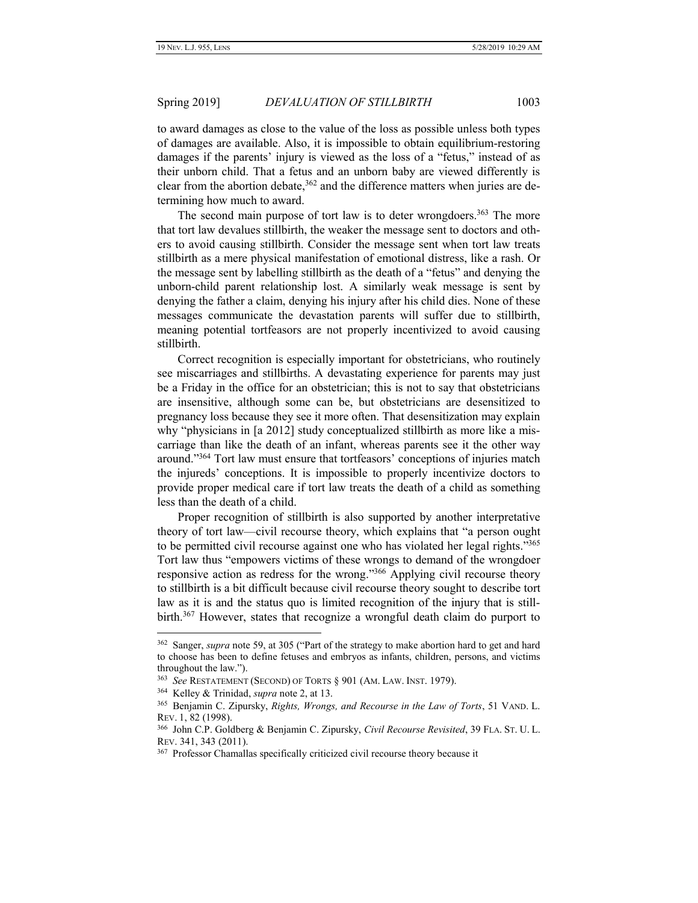to award damages as close to the value of the loss as possible unless both types of damages are available. Also, it is impossible to obtain equilibrium-restoring damages if the parents' injury is viewed as the loss of a "fetus," instead of as their unborn child. That a fetus and an unborn baby are viewed differently is clear from the abortion debate,  $362$  and the difference matters when juries are determining how much to award.

The second main purpose of tort law is to deter wrongdoers.<sup>363</sup> The more that tort law devalues stillbirth, the weaker the message sent to doctors and others to avoid causing stillbirth. Consider the message sent when tort law treats stillbirth as a mere physical manifestation of emotional distress, like a rash. Or the message sent by labelling stillbirth as the death of a "fetus" and denying the unborn-child parent relationship lost. A similarly weak message is sent by denying the father a claim, denying his injury after his child dies. None of these messages communicate the devastation parents will suffer due to stillbirth, meaning potential tortfeasors are not properly incentivized to avoid causing stillbirth.

Correct recognition is especially important for obstetricians, who routinely see miscarriages and stillbirths. A devastating experience for parents may just be a Friday in the office for an obstetrician; this is not to say that obstetricians are insensitive, although some can be, but obstetricians are desensitized to pregnancy loss because they see it more often. That desensitization may explain why "physicians in [a 2012] study conceptualized stillbirth as more like a miscarriage than like the death of an infant, whereas parents see it the other way around."<sup>364</sup> Tort law must ensure that tortfeasors' conceptions of injuries match the injureds' conceptions. It is impossible to properly incentivize doctors to provide proper medical care if tort law treats the death of a child as something less than the death of a child.

Proper recognition of stillbirth is also supported by another interpretative theory of tort law—civil recourse theory, which explains that "a person ought to be permitted civil recourse against one who has violated her legal rights."<sup>365</sup> Tort law thus "empowers victims of these wrongs to demand of the wrongdoer responsive action as redress for the wrong."<sup>366</sup> Applying civil recourse theory to stillbirth is a bit difficult because civil recourse theory sought to describe tort law as it is and the status quo is limited recognition of the injury that is stillbirth.<sup>367</sup> However, states that recognize a wrongful death claim do purport to

<sup>362</sup> Sanger, *supra* note 59, at 305 ("Part of the strategy to make abortion hard to get and hard to choose has been to define fetuses and embryos as infants, children, persons, and victims throughout the law.").

<sup>363</sup> *See* RESTATEMENT (SECOND) OF TORTS § 901 (AM. LAW. INST. 1979).

<sup>364</sup> Kelley & Trinidad, *supra* note [2,](#page-2-0) at 13.

<sup>365</sup> Benjamin C. Zipursky, *Rights, Wrongs, and Recourse in the Law of Torts*, 51 VAND. L. REV. 1, 82 (1998).

<sup>366</sup> John C.P. Goldberg & Benjamin C. Zipursky, *Civil Recourse Revisited*, 39 FLA. ST. U. L. REV. 341, 343 (2011).

<sup>&</sup>lt;sup>367</sup> Professor Chamallas specifically criticized civil recourse theory because it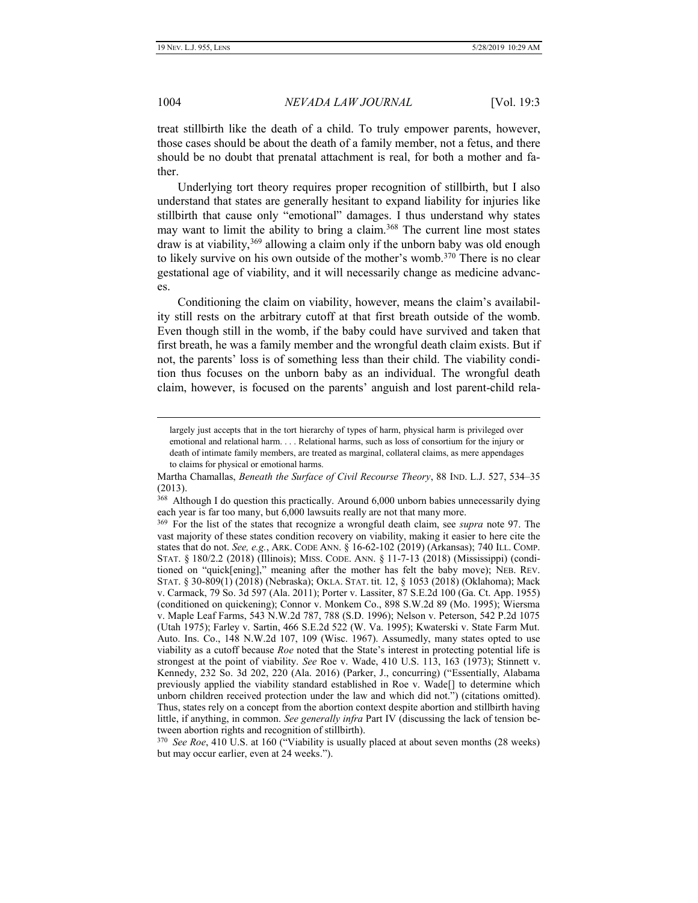1004 *NEVADA LAW JOURNAL* [Vol. 19:3

treat stillbirth like the death of a child. To truly empower parents, however, those cases should be about the death of a family member, not a fetus, and there should be no doubt that prenatal attachment is real, for both a mother and father.

Underlying tort theory requires proper recognition of stillbirth, but I also understand that states are generally hesitant to expand liability for injuries like stillbirth that cause only "emotional" damages. I thus understand why states may want to limit the ability to bring a claim.<sup>368</sup> The current line most states draw is at viability,<sup>369</sup> allowing a claim only if the unborn baby was old enough to likely survive on his own outside of the mother's womb.<sup>370</sup> There is no clear gestational age of viability, and it will necessarily change as medicine advances.

Conditioning the claim on viability, however, means the claim's availability still rests on the arbitrary cutoff at that first breath outside of the womb. Even though still in the womb, if the baby could have survived and taken that first breath, he was a family member and the wrongful death claim exists. But if not, the parents' loss is of something less than their child. The viability condition thus focuses on the unborn baby as an individual. The wrongful death claim, however, is focused on the parents' anguish and lost parent-child rela-

largely just accepts that in the tort hierarchy of types of harm, physical harm is privileged over emotional and relational harm. . . . Relational harms, such as loss of consortium for the injury or death of intimate family members, are treated as marginal, collateral claims, as mere appendages to claims for physical or emotional harms.

Martha Chamallas, *Beneath the Surface of Civil Recourse Theory*, 88 IND. L.J. 527, 534–35 (2013).

<sup>&</sup>lt;sup>368</sup> Although I do question this practically. Around 6,000 unborn babies unnecessarily dying each year is far too many, but 6,000 lawsuits really are not that many more.

<sup>369</sup> For the list of the states that recognize a wrongful death claim, see *supra* note 97. The vast majority of these states condition recovery on viability, making it easier to here cite the states that do not. *See, e.g.*, ARK. CODE ANN. § 16-62-102 (2019) (Arkansas); 740 ILL. COMP. STAT. § 180/2.2 (2018) (Illinois); MISS. CODE. ANN. § 11-7-13 (2018) (Mississippi) (conditioned on "quick[ening]," meaning after the mother has felt the baby move); NEB. REV. STAT. § 30-809(1) (2018) (Nebraska); OKLA. STAT. tit. 12, § 1053 (2018) (Oklahoma); Mack v. Carmack, 79 So. 3d 597 (Ala. 2011); Porter v. Lassiter, 87 S.E.2d 100 (Ga. Ct. App. 1955) (conditioned on quickening); Connor v. Monkem Co., 898 S.W.2d 89 (Mo. 1995); Wiersma v. Maple Leaf Farms, 543 N.W.2d 787, 788 (S.D. 1996); Nelson v. Peterson, 542 P.2d 1075 (Utah 1975); Farley v. Sartin, 466 S.E.2d 522 (W. Va. 1995); Kwaterski v. State Farm Mut. Auto. Ins. Co., 148 N.W.2d 107, 109 (Wisc. 1967). Assumedly, many states opted to use viability as a cutoff because *Roe* noted that the State's interest in protecting potential life is strongest at the point of viability. *See* Roe v. Wade, 410 U.S. 113, 163 (1973); Stinnett v. Kennedy, 232 So. 3d 202, 220 (Ala. 2016) (Parker, J., concurring) ("Essentially, Alabama previously applied the viability standard established in Roe v. Wade[] to determine which unborn children received protection under the law and which did not.") (citations omitted). Thus, states rely on a concept from the abortion context despite abortion and stillbirth having little, if anything, in common. *See generally infra* Part [IV](#page-51-0) (discussing the lack of tension between abortion rights and recognition of stillbirth).

<sup>370</sup> *See Roe*, 410 U.S. at 160 ("Viability is usually placed at about seven months (28 weeks) but may occur earlier, even at 24 weeks.").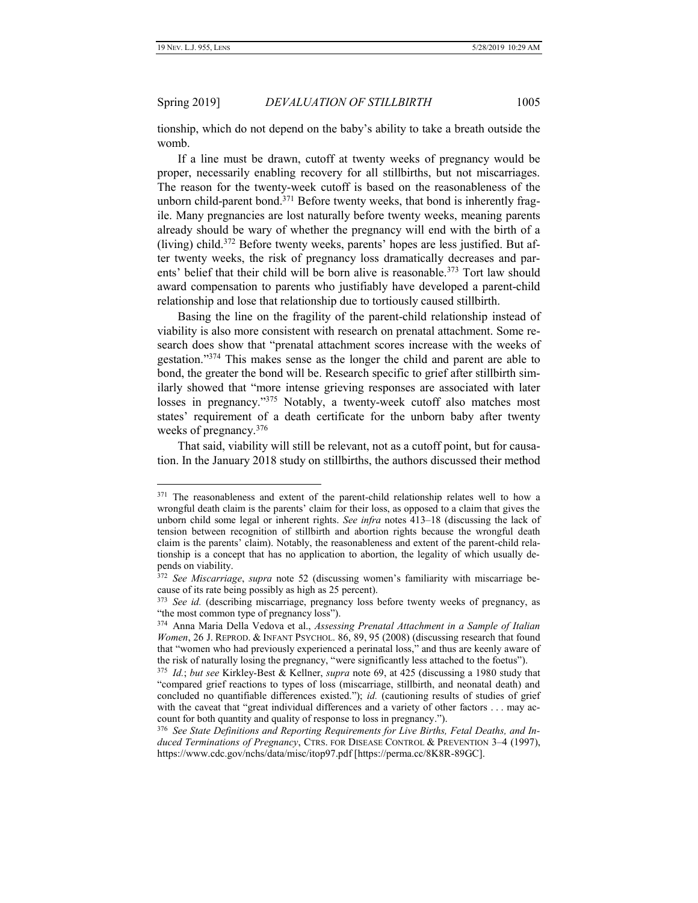Spring 2019] *DEVALUATION OF STILLBIRTH* 1005

tionship, which do not depend on the baby's ability to take a breath outside the womb.

If a line must be drawn, cutoff at twenty weeks of pregnancy would be proper, necessarily enabling recovery for all stillbirths, but not miscarriages. The reason for the twenty-week cutoff is based on the reasonableness of the unborn child-parent bond.<sup>371</sup> Before twenty weeks, that bond is inherently fragile. Many pregnancies are lost naturally before twenty weeks, meaning parents already should be wary of whether the pregnancy will end with the birth of a (living) child.<sup>372</sup> Before twenty weeks, parents' hopes are less justified. But after twenty weeks, the risk of pregnancy loss dramatically decreases and parents' belief that their child will be born alive is reasonable.<sup>373</sup> Tort law should award compensation to parents who justifiably have developed a parent-child relationship and lose that relationship due to tortiously caused stillbirth.

Basing the line on the fragility of the parent-child relationship instead of viability is also more consistent with research on prenatal attachment. Some research does show that "prenatal attachment scores increase with the weeks of gestation."<sup>374</sup> This makes sense as the longer the child and parent are able to bond, the greater the bond will be. Research specific to grief after stillbirth similarly showed that "more intense grieving responses are associated with later losses in pregnancy."<sup>375</sup> Notably, a twenty-week cutoff also matches most states' requirement of a death certificate for the unborn baby after twenty weeks of pregnancy.<sup>376</sup>

That said, viability will still be relevant, not as a cutoff point, but for causation. In the January 2018 study on stillbirths, the authors discussed their method

<sup>&</sup>lt;sup>371</sup> The reasonableness and extent of the parent-child relationship relates well to how a wrongful death claim is the parents' claim for their loss, as opposed to a claim that gives the unborn child some legal or inherent rights. *See infra* notes 413–18 (discussing the lack of tension between recognition of stillbirth and abortion rights because the wrongful death claim is the parents' claim). Notably, the reasonableness and extent of the parent-child relationship is a concept that has no application to abortion, the legality of which usually depends on viability.

<sup>372</sup> *See Miscarriage*, *supra* note [52](#page-9-0) (discussing women's familiarity with miscarriage because of its rate being possibly as high as 25 percent).

<sup>373</sup>  *See id.* (describing miscarriage, pregnancy loss before twenty weeks of pregnancy, as "the most common type of pregnancy loss").

<sup>374</sup> Anna Maria Della Vedova et al., *Assessing Prenatal Attachment in a Sample of Italian Women*, 26 J. REPROD. & INFANT PSYCHOL. 86, 89, 95 (2008) (discussing research that found that "women who had previously experienced a perinatal loss," and thus are keenly aware of the risk of naturally losing the pregnancy, "were significantly less attached to the foetus").

<sup>375</sup> *Id.*; *but see* Kirkley-Best & Kellner, *supra* note 69, at 425 (discussing a 1980 study that "compared grief reactions to types of loss (miscarriage, stillbirth, and neonatal death) and concluded no quantifiable differences existed."); *id.* (cautioning results of studies of grief with the caveat that "great individual differences and a variety of other factors . . . may account for both quantity and quality of response to loss in pregnancy.").

<sup>376</sup> *See State Definitions and Reporting Requirements for Live Births, Fetal Deaths, and Induced Terminations of Pregnancy*, CTRS. FOR DISEASE CONTROL & PREVENTION 3–4 (1997), https://www.cdc.gov/nchs/data/misc/itop97.pdf [https://perma.cc/8K8R-89GC].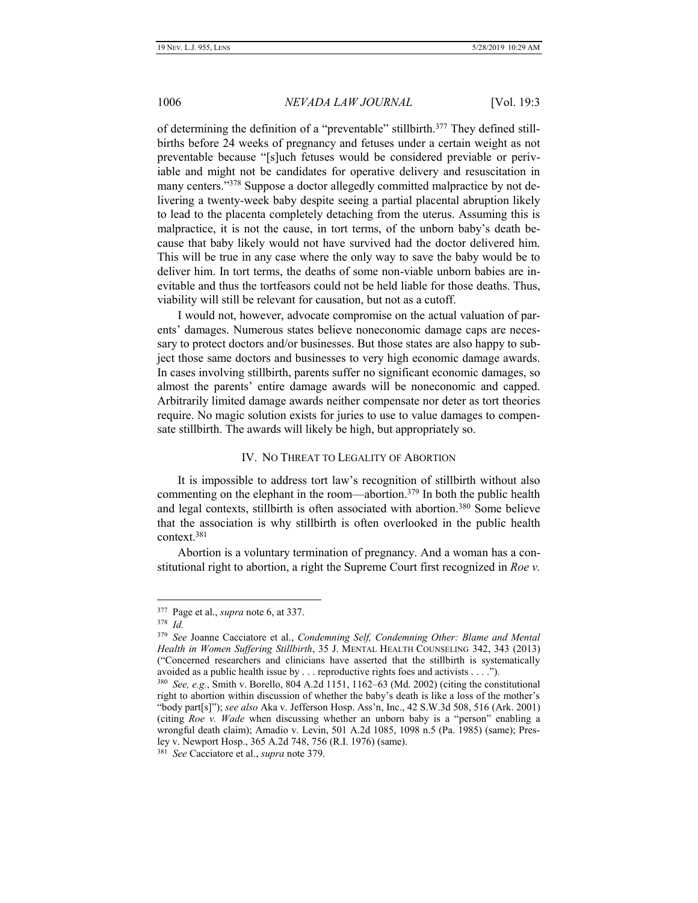of determining the definition of a "preventable" stillbirth.<sup>377</sup> They defined stillbirths before 24 weeks of pregnancy and fetuses under a certain weight as not preventable because "[s]uch fetuses would be considered previable or periviable and might not be candidates for operative delivery and resuscitation in many centers."<sup>378</sup> Suppose a doctor allegedly committed malpractice by not delivering a twenty-week baby despite seeing a partial placental abruption likely to lead to the placenta completely detaching from the uterus. Assuming this is malpractice, it is not the cause, in tort terms, of the unborn baby's death because that baby likely would not have survived had the doctor delivered him. This will be true in any case where the only way to save the baby would be to deliver him. In tort terms, the deaths of some non-viable unborn babies are inevitable and thus the tortfeasors could not be held liable for those deaths. Thus, viability will still be relevant for causation, but not as a cutoff.

I would not, however, advocate compromise on the actual valuation of parents' damages. Numerous states believe noneconomic damage caps are necessary to protect doctors and/or businesses. But those states are also happy to subject those same doctors and businesses to very high economic damage awards. In cases involving stillbirth, parents suffer no significant economic damages, so almost the parents' entire damage awards will be noneconomic and capped. Arbitrarily limited damage awards neither compensate nor deter as tort theories require. No magic solution exists for juries to use to value damages to compensate stillbirth. The awards will likely be high, but appropriately so.

#### IV. NO THREAT TO LEGALITY OF ABORTION

<span id="page-51-0"></span>It is impossible to address tort law's recognition of stillbirth without also commenting on the elephant in the room—abortion.<sup>379</sup> In both the public health and legal contexts, stillbirth is often associated with abortion.<sup>380</sup> Some believe that the association is why stillbirth is often overlooked in the public health context.<sup>381</sup>

Abortion is a voluntary termination of pregnancy. And a woman has a constitutional right to abortion, a right the Supreme Court first recognized in *Roe v.* 

<sup>377</sup> Page et al., *supra* note 6, at 337.

<sup>378</sup> *Id.*

<sup>379</sup> *See* Joanne Cacciatore et al., *Condemning Self, Condemning Other: Blame and Mental Health in Women Suffering Stillbirth*, 35 J. MENTAL HEALTH COUNSELING 342, 343 (2013) ("Concerned researchers and clinicians have asserted that the stillbirth is systematically avoided as a public health issue by . . . reproductive rights foes and activists . . . .").

<sup>380</sup> *See, e.g.*, Smith v. Borello, 804 A.2d 1151, 1162–63 (Md. 2002) (citing the constitutional right to abortion within discussion of whether the baby's death is like a loss of the mother's "body part[s]"); *see also* Aka v. Jefferson Hosp. Ass'n, Inc., 42 S.W.3d 508, 516 (Ark. 2001) (citing *Roe v. Wade* when discussing whether an unborn baby is a "person" enabling a wrongful death claim); Amadio v. Levin, 501 A.2d 1085, 1098 n.5 (Pa. 1985) (same); Presley v. Newport Hosp., 365 A.2d 748, 756 (R.I. 1976) (same).

<sup>381</sup> *See* Cacciatore et al., *supra* note 379.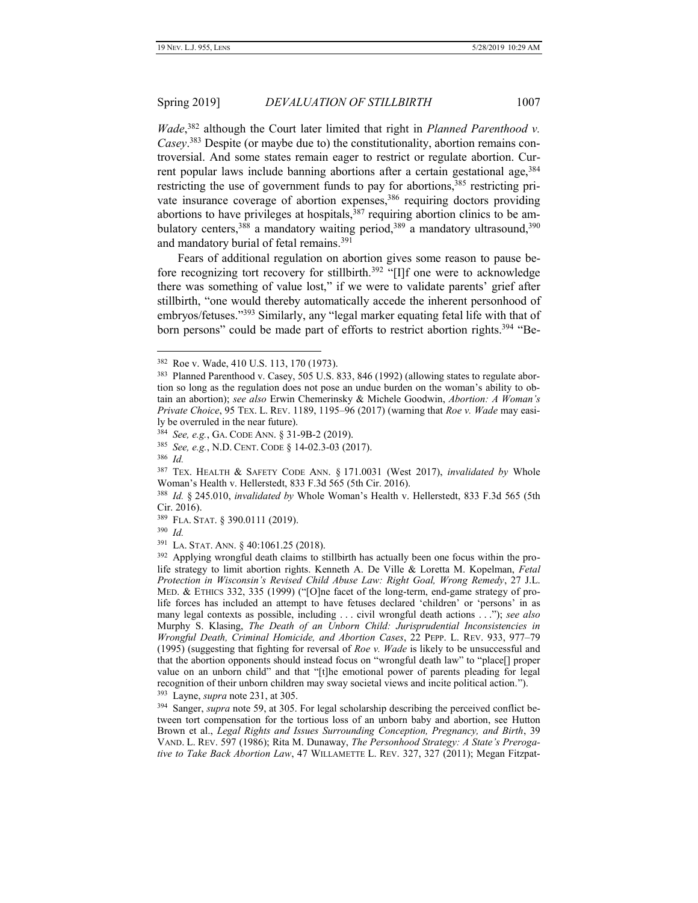*Wade*, <sup>382</sup> although the Court later limited that right in *Planned Parenthood v. Casey*. <sup>383</sup> Despite (or maybe due to) the constitutionality, abortion remains controversial. And some states remain eager to restrict or regulate abortion. Current popular laws include banning abortions after a certain gestational age, 384 restricting the use of government funds to pay for abortions,<sup>385</sup> restricting private insurance coverage of abortion expenses,<sup>386</sup> requiring doctors providing abortions to have privileges at hospitals,  $387$  requiring abortion clinics to be ambulatory centers,<sup>388</sup> a mandatory waiting period,<sup>389</sup> a mandatory ultrasound,<sup>390</sup> and mandatory burial of fetal remains.<sup>391</sup>

Fears of additional regulation on abortion gives some reason to pause before recognizing tort recovery for stillbirth.<sup>392</sup> "[I]f one were to acknowledge there was something of value lost," if we were to validate parents' grief after stillbirth, "one would thereby automatically accede the inherent personhood of embryos/fetuses."<sup>393</sup> Similarly, any "legal marker equating fetal life with that of born persons" could be made part of efforts to restrict abortion rights.<sup>394</sup> "Be-

386 *Id.*

<sup>382</sup> Roe v. Wade, 410 U.S. 113, 170 (1973).

<sup>&</sup>lt;sup>383</sup> Planned Parenthood v. Casey, 505 U.S. 833, 846 (1992) (allowing states to regulate abortion so long as the regulation does not pose an undue burden on the woman's ability to obtain an abortion); *see also* Erwin Chemerinsky & Michele Goodwin, *Abortion: A Woman's Private Choice*, 95 TEX. L. REV. 1189, 1195–96 (2017) (warning that *Roe v. Wade* may easily be overruled in the near future).

<sup>384</sup> *See, e.g.*, GA. CODE ANN. § 31-9B-2 (2019).

<sup>385</sup> *See, e.g.*, N.D. CENT. CODE § 14-02.3-03 (2017).

<sup>387</sup> TEX. HEALTH & SAFETY CODE ANN. § 171.0031 (West 2017), *invalidated by* Whole Woman's Health v. Hellerstedt, 833 F.3d 565 (5th Cir. 2016).

<sup>388</sup> *Id.* § 245.010, *invalidated by* Whole Woman's Health v. Hellerstedt, 833 F.3d 565 (5th Cir. 2016).

<sup>389</sup> FLA. STAT. § 390.0111 (2019).

<sup>390</sup> *Id.*

<sup>391</sup> LA. STAT. ANN. § 40:1061.25 (2018).

<sup>&</sup>lt;sup>392</sup> Applying wrongful death claims to stillbirth has actually been one focus within the prolife strategy to limit abortion rights. Kenneth A. De Ville & Loretta M. Kopelman, *Fetal Protection in Wisconsin's Revised Child Abuse Law: Right Goal, Wrong Remedy*, 27 J.L. MED. & ETHICS 332, 335 (1999) ("[O]ne facet of the long-term, end-game strategy of prolife forces has included an attempt to have fetuses declared 'children' or 'persons' in as many legal contexts as possible, including . . . civil wrongful death actions . . ."); *see also*  Murphy S. Klasing, *The Death of an Unborn Child: Jurisprudential Inconsistencies in Wrongful Death, Criminal Homicide, and Abortion Cases*, 22 PEPP. L. REV. 933, 977–79 (1995) (suggesting that fighting for reversal of *Roe v. Wade* is likely to be unsuccessful and that the abortion opponents should instead focus on "wrongful death law" to "place[] proper value on an unborn child" and that "[t]he emotional power of parents pleading for legal recognition of their unborn children may sway societal views and incite political action."). 393 Layne, *supra* note 231, at 305.

<sup>394</sup> Sanger, *supra* note 59, at 305. For legal scholarship describing the perceived conflict between tort compensation for the tortious loss of an unborn baby and abortion, see Hutton Brown et al., *Legal Rights and Issues Surrounding Conception, Pregnancy, and Birth*, 39 VAND. L. REV. 597 (1986); Rita M. Dunaway, *The Personhood Strategy: A State's Prerogative to Take Back Abortion Law*, 47 WILLAMETTE L. REV. 327, 327 (2011); Megan Fitzpat-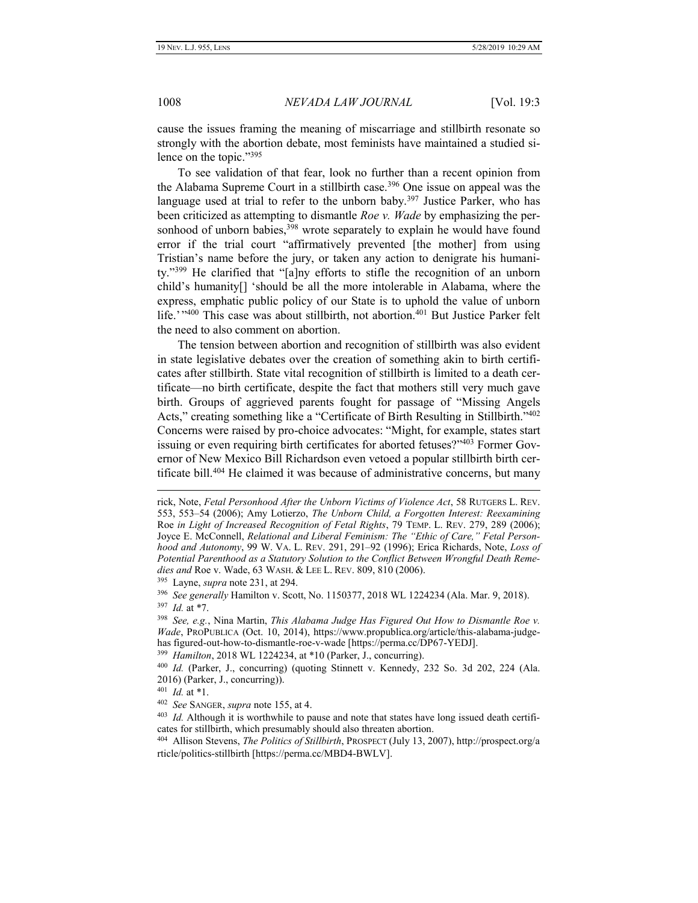cause the issues framing the meaning of miscarriage and stillbirth resonate so strongly with the abortion debate, most feminists have maintained a studied silence on the topic." 395

To see validation of that fear, look no further than a recent opinion from the Alabama Supreme Court in a stillbirth case.<sup>396</sup> One issue on appeal was the language used at trial to refer to the unborn baby.<sup>397</sup> Justice Parker, who has been criticized as attempting to dismantle *Roe v. Wade* by emphasizing the personhood of unborn babies,<sup>398</sup> wrote separately to explain he would have found error if the trial court "affirmatively prevented [the mother] from using Tristian's name before the jury, or taken any action to denigrate his humanity."<sup>399</sup> He clarified that "[a]ny efforts to stifle the recognition of an unborn child's humanity[] 'should be all the more intolerable in Alabama, where the express, emphatic public policy of our State is to uphold the value of unborn life.' "<sup>400</sup> This case was about stillbirth, not abortion.<sup>401</sup> But Justice Parker felt the need to also comment on abortion.

The tension between abortion and recognition of stillbirth was also evident in state legislative debates over the creation of something akin to birth certificates after stillbirth. State vital recognition of stillbirth is limited to a death certificate—no birth certificate, despite the fact that mothers still very much gave birth. Groups of aggrieved parents fought for passage of "Missing Angels Acts," creating something like a "Certificate of Birth Resulting in Stillbirth." 402 Concerns were raised by pro-choice advocates: "Might, for example, states start issuing or even requiring birth certificates for aborted fetuses?"<sup>403</sup> Former Governor of New Mexico Bill Richardson even vetoed a popular stillbirth birth certificate bill.<sup>404</sup> He claimed it was because of administrative concerns, but many

395 Layne, *supra* note 231, at 294.

397 *Id.* at \*7.

 $\overline{a}$ 

399 *Hamilton*, 2018 WL 1224234, at \*10 (Parker, J., concurring).

401 *Id.* at \*1.

rick, Note, *Fetal Personhood After the Unborn Victims of Violence Act*, 58 RUTGERS L. REV. 553, 553–54 (2006); Amy Lotierzo, *The Unborn Child, a Forgotten Interest: Reexamining*  Roe *in Light of Increased Recognition of Fetal Rights*, 79 TEMP. L. REV. 279, 289 (2006); Joyce E. McConnell, *Relational and Liberal Feminism: The "Ethic of Care," Fetal Personhood and Autonomy*, 99 W. VA. L. REV. 291, 291–92 (1996); Erica Richards, Note, *Loss of Potential Parenthood as a Statutory Solution to the Conflict Between Wrongful Death Remedies and* Roe v. Wade, 63 WASH. & LEE L. REV. 809, 810 (2006).

<sup>396</sup> *See generally* Hamilton v. Scott, No. 1150377, 2018 WL 1224234 (Ala. Mar. 9, 2018).

<sup>398</sup> *See, e.g.*, Nina Martin, *This Alabama Judge Has Figured Out How to Dismantle Roe v. Wade*, PROPUBLICA (Oct. 10, 2014), https://www.propublica.org/article/this-alabama-judgehas figured-out-how-to-dismantle-roe-v-wade [https://perma.cc/DP67-YEDJ].

<sup>400</sup> *Id.* (Parker, J., concurring) (quoting Stinnett v. Kennedy, 232 So. 3d 202, 224 (Ala. 2016) (Parker, J., concurring)).

<sup>402</sup> *See* SANGER, *supra* note 155, at 4.

<sup>403</sup> *Id.* Although it is worthwhile to pause and note that states have long issued death certificates for stillbirth, which presumably should also threaten abortion.

<sup>404</sup> Allison Stevens, *The Politics of Stillbirth*, PROSPECT (July 13, 2007), http://prospect.org/a rticle/politics-stillbirth [https://perma.cc/MBD4-BWLV].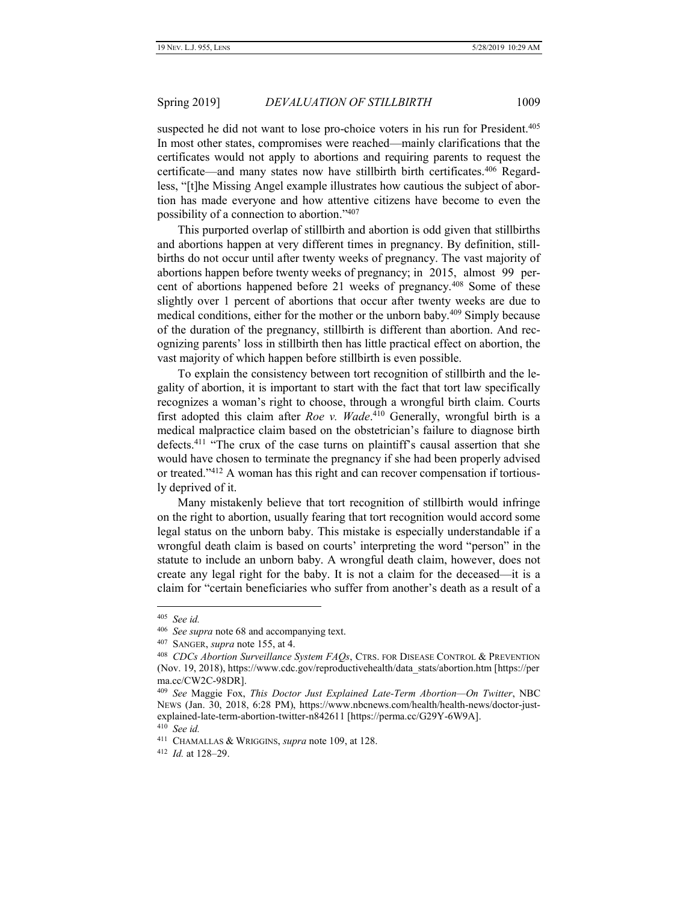suspected he did not want to lose pro-choice voters in his run for President.<sup>405</sup> In most other states, compromises were reached—mainly clarifications that the certificates would not apply to abortions and requiring parents to request the certificate—and many states now have stillbirth birth certificates.<sup>406</sup> Regardless, "[t]he Missing Angel example illustrates how cautious the subject of abortion has made everyone and how attentive citizens have become to even the possibility of a connection to abortion."<sup>407</sup>

This purported overlap of stillbirth and abortion is odd given that stillbirths and abortions happen at very different times in pregnancy. By definition, stillbirths do not occur until after twenty weeks of pregnancy. The vast majority of abortions happen before twenty weeks of pregnancy; in 2015, almost 99 percent of abortions happened before 21 weeks of pregnancy.<sup>408</sup> Some of these slightly over 1 percent of abortions that occur after twenty weeks are due to medical conditions, either for the mother or the unborn baby.<sup>409</sup> Simply because of the duration of the pregnancy, stillbirth is different than abortion. And recognizing parents' loss in stillbirth then has little practical effect on abortion, the vast majority of which happen before stillbirth is even possible.

To explain the consistency between tort recognition of stillbirth and the legality of abortion, it is important to start with the fact that tort law specifically recognizes a woman's right to choose, through a wrongful birth claim. Courts first adopted this claim after *Roe v. Wade*. <sup>410</sup> Generally, wrongful birth is a medical malpractice claim based on the obstetrician's failure to diagnose birth defects.<sup>411</sup> "The crux of the case turns on plaintiff's causal assertion that she would have chosen to terminate the pregnancy if she had been properly advised or treated." <sup>412</sup> A woman has this right and can recover compensation if tortiously deprived of it.

Many mistakenly believe that tort recognition of stillbirth would infringe on the right to abortion, usually fearing that tort recognition would accord some legal status on the unborn baby. This mistake is especially understandable if a wrongful death claim is based on courts' interpreting the word "person" in the statute to include an unborn baby. A wrongful death claim, however, does not create any legal right for the baby. It is not a claim for the deceased—it is a claim for "certain beneficiaries who suffer from another's death as a result of a

<sup>405</sup> *See id.*

<sup>406</sup> *See supra* note 68 and accompanying text.

<sup>407</sup> SANGER, *supra* note 155, at 4.

<sup>408</sup> *CDCs Abortion Surveillance System FAQs*, CTRS. FOR DISEASE CONTROL & PREVENTION (Nov. 19, 2018), https://www.cdc.gov/reproductivehealth/data\_stats/abortion.htm [https://per ma.cc/CW2C-98DR].

<sup>409</sup> *See* Maggie Fox, *This Doctor Just Explained Late-Term Abortion—On Twitter*, NBC NEWS (Jan. 30, 2018, 6:28 PM), https://www.nbcnews.com/health/health-news/doctor-justexplained-late-term-abortion-twitter-n842611 [https://perma.cc/G29Y-6W9A].

<sup>410</sup> *See id.*

<sup>411</sup> CHAMALLAS & WRIGGINS, *supra* note 109, at 128.

<sup>412</sup> *Id.* at 128–29.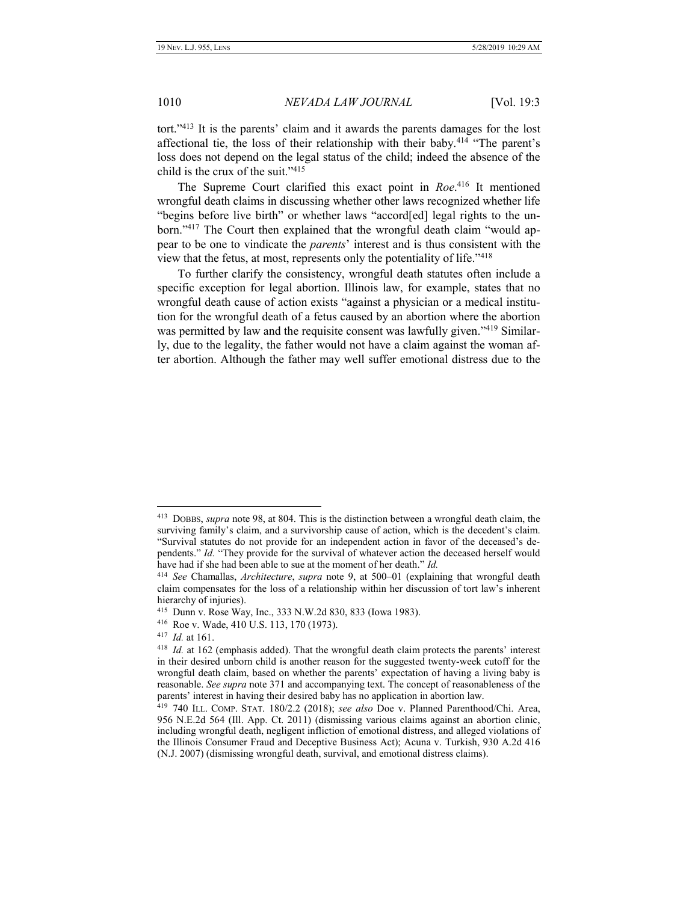tort."<sup>413</sup> It is the parents' claim and it awards the parents damages for the lost affectional tie, the loss of their relationship with their baby.<sup>414</sup> "The parent's loss does not depend on the legal status of the child; indeed the absence of the child is the crux of the suit."<sup>415</sup>

The Supreme Court clarified this exact point in *Roe*. <sup>416</sup> It mentioned wrongful death claims in discussing whether other laws recognized whether life "begins before live birth" or whether laws "accord[ed] legal rights to the unborn."<sup>417</sup> The Court then explained that the wrongful death claim "would appear to be one to vindicate the *parents*' interest and is thus consistent with the view that the fetus, at most, represents only the potentiality of life."<sup>418</sup>

To further clarify the consistency, wrongful death statutes often include a specific exception for legal abortion. Illinois law, for example, states that no wrongful death cause of action exists "against a physician or a medical institution for the wrongful death of a fetus caused by an abortion where the abortion was permitted by law and the requisite consent was lawfully given."<sup>419</sup> Similarly, due to the legality, the father would not have a claim against the woman after abortion. Although the father may well suffer emotional distress due to the

<sup>413</sup> DOBBS, *supra* note 98, at 804. This is the distinction between a wrongful death claim, the surviving family's claim, and a survivorship cause of action, which is the decedent's claim. "Survival statutes do not provide for an independent action in favor of the deceased's dependents." *Id.* "They provide for the survival of whatever action the deceased herself would have had if she had been able to sue at the moment of her death." *Id.*

<sup>414</sup> *See* Chamallas, *Architecture*, *supra* note [9,](#page-3-0) at 500–01 (explaining that wrongful death claim compensates for the loss of a relationship within her discussion of tort law's inherent hierarchy of injuries).

<sup>415</sup> Dunn v. Rose Way, Inc., 333 N.W.2d 830, 833 (Iowa 1983).

<sup>416</sup> Roe v. Wade, 410 U.S. 113, 170 (1973).

<sup>417</sup> *Id.* at 161.

<sup>418</sup> *Id.* at 162 (emphasis added). That the wrongful death claim protects the parents' interest in their desired unborn child is another reason for the suggested twenty-week cutoff for the wrongful death claim, based on whether the parents' expectation of having a living baby is reasonable. *See supra* note 371 and accompanying text. The concept of reasonableness of the parents' interest in having their desired baby has no application in abortion law.

<sup>419</sup> 740 ILL. COMP. STAT. 180/2.2 (2018); *see also* Doe v. Planned Parenthood/Chi. Area, 956 N.E.2d 564 (Ill. App. Ct. 2011) (dismissing various claims against an abortion clinic, including wrongful death, negligent infliction of emotional distress, and alleged violations of the Illinois Consumer Fraud and Deceptive Business Act); Acuna v. Turkish, 930 A.2d 416 (N.J. 2007) (dismissing wrongful death, survival, and emotional distress claims).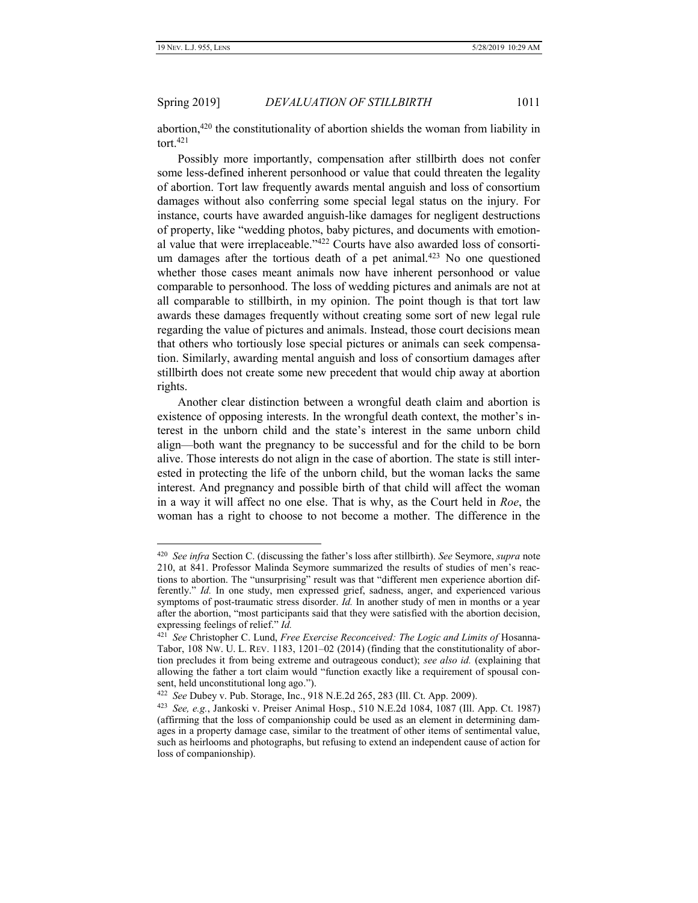Spring 2019] *DEVALUATION OF STILLBIRTH* 1011

abortion, $420$  the constitutionality of abortion shields the woman from liability in tort.<sup>421</sup>

Possibly more importantly, compensation after stillbirth does not confer some less-defined inherent personhood or value that could threaten the legality of abortion. Tort law frequently awards mental anguish and loss of consortium damages without also conferring some special legal status on the injury. For instance, courts have awarded anguish-like damages for negligent destructions of property, like "wedding photos, baby pictures, and documents with emotional value that were irreplaceable."<sup>422</sup> Courts have also awarded loss of consortium damages after the tortious death of a pet animal.<sup>423</sup> No one questioned whether those cases meant animals now have inherent personhood or value comparable to personhood. The loss of wedding pictures and animals are not at all comparable to stillbirth, in my opinion. The point though is that tort law awards these damages frequently without creating some sort of new legal rule regarding the value of pictures and animals. Instead, those court decisions mean that others who tortiously lose special pictures or animals can seek compensation. Similarly, awarding mental anguish and loss of consortium damages after stillbirth does not create some new precedent that would chip away at abortion rights.

Another clear distinction between a wrongful death claim and abortion is existence of opposing interests. In the wrongful death context, the mother's interest in the unborn child and the state's interest in the same unborn child align—both want the pregnancy to be successful and for the child to be born alive. Those interests do not align in the case of abortion. The state is still interested in protecting the life of the unborn child, but the woman lacks the same interest. And pregnancy and possible birth of that child will affect the woman in a way it will affect no one else. That is why, as the Court held in *Roe*, the woman has a right to choose to not become a mother. The difference in the

<sup>420</sup> *See infra* Sectio[n C](#page-32-0). (discussing the father's loss after stillbirth). *See* Seymore, *supra* note 210, at 841. Professor Malinda Seymore summarized the results of studies of men's reactions to abortion. The "unsurprising" result was that "different men experience abortion differently." *Id.* In one study, men expressed grief, sadness, anger, and experienced various symptoms of post-traumatic stress disorder. *Id.* In another study of men in months or a year after the abortion, "most participants said that they were satisfied with the abortion decision, expressing feelings of relief." *Id.*

<sup>421</sup> *See* Christopher C. Lund, *Free Exercise Reconceived: The Logic and Limits of* Hosanna-Tabor, 108 NW. U. L. REV. 1183, 1201–02 (2014) (finding that the constitutionality of abortion precludes it from being extreme and outrageous conduct); *see also id.* (explaining that allowing the father a tort claim would "function exactly like a requirement of spousal consent, held unconstitutional long ago.").

<sup>422</sup> *See* Dubey v. Pub. Storage, Inc., 918 N.E.2d 265, 283 (Ill. Ct. App. 2009).

<sup>423</sup> *See, e.g.*, Jankoski v. Preiser Animal Hosp., 510 N.E.2d 1084, 1087 (Ill. App. Ct. 1987) (affirming that the loss of companionship could be used as an element in determining damages in a property damage case, similar to the treatment of other items of sentimental value, such as heirlooms and photographs, but refusing to extend an independent cause of action for loss of companionship).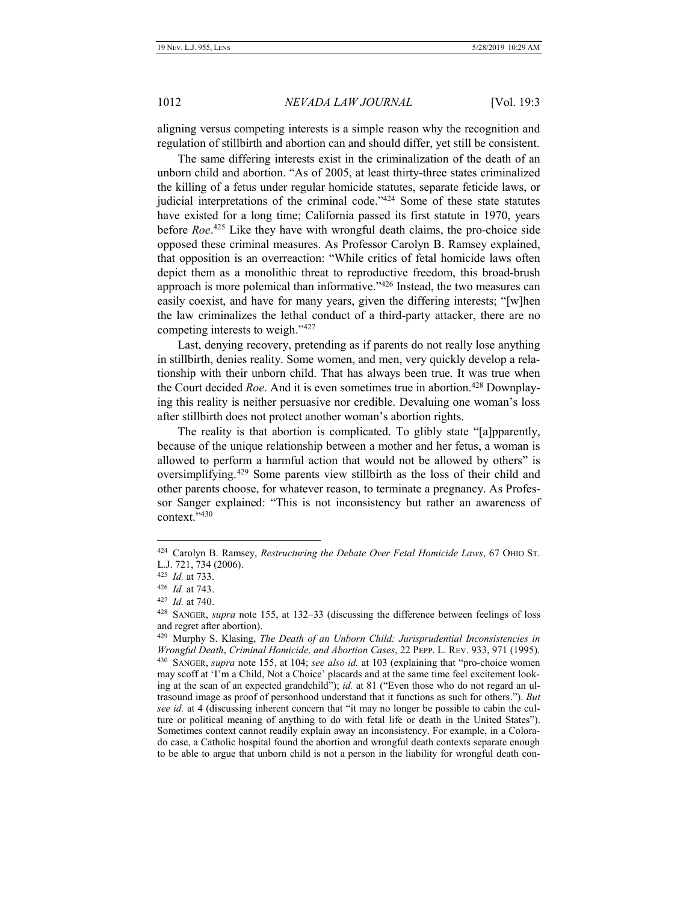aligning versus competing interests is a simple reason why the recognition and regulation of stillbirth and abortion can and should differ, yet still be consistent.

The same differing interests exist in the criminalization of the death of an unborn child and abortion. "As of 2005, at least thirty-three states criminalized the killing of a fetus under regular homicide statutes, separate feticide laws, or judicial interpretations of the criminal code."<sup>424</sup> Some of these state statutes have existed for a long time; California passed its first statute in 1970, years before *Roe*. <sup>425</sup> Like they have with wrongful death claims, the pro-choice side opposed these criminal measures. As Professor Carolyn B. Ramsey explained, that opposition is an overreaction: "While critics of fetal homicide laws often depict them as a monolithic threat to reproductive freedom, this broad-brush approach is more polemical than informative."<sup>426</sup> Instead, the two measures can easily coexist, and have for many years, given the differing interests; "[w]hen the law criminalizes the lethal conduct of a third-party attacker, there are no competing interests to weigh."<sup>427</sup>

Last, denying recovery, pretending as if parents do not really lose anything in stillbirth, denies reality. Some women, and men, very quickly develop a relationship with their unborn child. That has always been true. It was true when the Court decided *Roe*. And it is even sometimes true in abortion.<sup>428</sup> Downplaying this reality is neither persuasive nor credible. Devaluing one woman's loss after stillbirth does not protect another woman's abortion rights.

The reality is that abortion is complicated. To glibly state "[a]pparently, because of the unique relationship between a mother and her fetus, a woman is allowed to perform a harmful action that would not be allowed by others" is oversimplifying.<sup>429</sup> Some parents view stillbirth as the loss of their child and other parents choose, for whatever reason, to terminate a pregnancy. As Professor Sanger explained: "This is not inconsistency but rather an awareness of context."<sup>430</sup>

<sup>424</sup> Carolyn B. Ramsey, *Restructuring the Debate Over Fetal Homicide Laws*, 67 OHIO ST. L.J. 721, 734 (2006).

<sup>425</sup> *Id.* at 733.

<sup>426</sup> *Id.* at 743.

<sup>427</sup> *Id.* at 740.

<sup>428</sup> SANGER, *supra* note 155, at 132–33 (discussing the difference between feelings of loss and regret after abortion).

<sup>429</sup> Murphy S. Klasing, *The Death of an Unborn Child: Jurisprudential Inconsistencies in Wrongful Death*, *Criminal Homicide, and Abortion Cases*, 22 PEPP. L. REV. 933, 971 (1995). 430 SANGER, *supra* note 155, at 104; *see also id.* at 103 (explaining that "pro-choice women may scoff at 'I'm a Child, Not a Choice' placards and at the same time feel excitement looking at the scan of an expected grandchild"); *id.* at 81 ("Even those who do not regard an ultrasound image as proof of personhood understand that it functions as such for others."). *But see id.* at 4 (discussing inherent concern that "it may no longer be possible to cabin the culture or political meaning of anything to do with fetal life or death in the United States"). Sometimes context cannot readily explain away an inconsistency. For example, in a Colorado case, a Catholic hospital found the abortion and wrongful death contexts separate enough to be able to argue that unborn child is not a person in the liability for wrongful death con-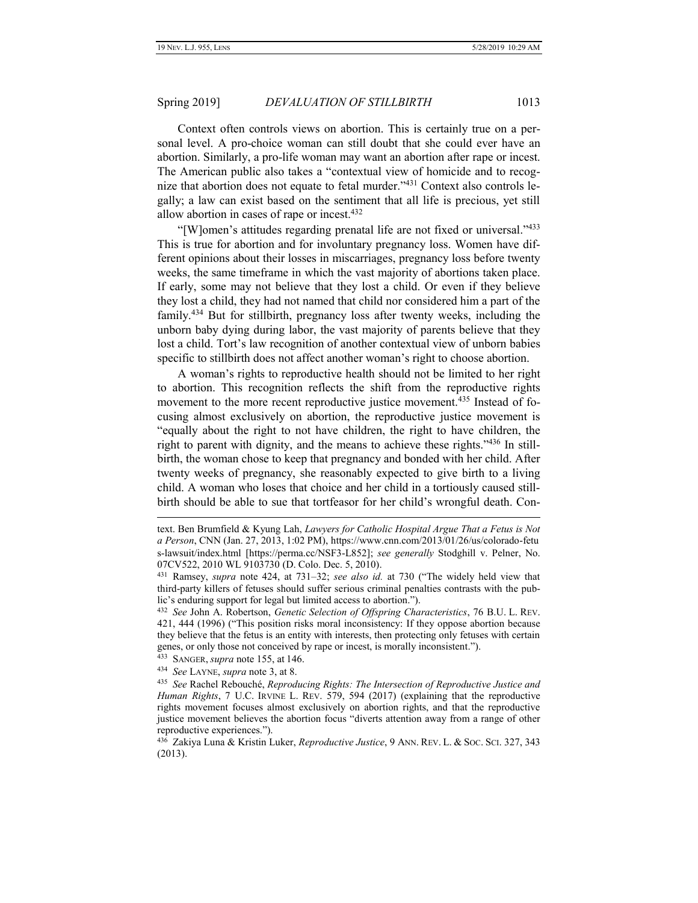Context often controls views on abortion. This is certainly true on a personal level. A pro-choice woman can still doubt that she could ever have an abortion. Similarly, a pro-life woman may want an abortion after rape or incest. The American public also takes a "contextual view of homicide and to recognize that abortion does not equate to fetal murder."<sup>431</sup> Context also controls legally; a law can exist based on the sentiment that all life is precious, yet still allow abortion in cases of rape or incest.<sup>432</sup>

"[W]omen's attitudes regarding prenatal life are not fixed or universal."<sup>433</sup> This is true for abortion and for involuntary pregnancy loss. Women have different opinions about their losses in miscarriages, pregnancy loss before twenty weeks, the same timeframe in which the vast majority of abortions taken place. If early, some may not believe that they lost a child. Or even if they believe they lost a child, they had not named that child nor considered him a part of the family.<sup>434</sup> But for stillbirth, pregnancy loss after twenty weeks, including the unborn baby dying during labor, the vast majority of parents believe that they lost a child. Tort's law recognition of another contextual view of unborn babies specific to stillbirth does not affect another woman's right to choose abortion.

A woman's rights to reproductive health should not be limited to her right to abortion. This recognition reflects the shift from the reproductive rights movement to the more recent reproductive justice movement.<sup>435</sup> Instead of focusing almost exclusively on abortion, the reproductive justice movement is "equally about the right to not have children, the right to have children, the right to parent with dignity, and the means to achieve these rights."<sup>436</sup> In stillbirth, the woman chose to keep that pregnancy and bonded with her child. After twenty weeks of pregnancy, she reasonably expected to give birth to a living child. A woman who loses that choice and her child in a tortiously caused stillbirth should be able to sue that tortfeasor for her child's wrongful death. Con-

text. Ben Brumfield & Kyung Lah, *Lawyers for Catholic Hospital Argue That a Fetus is Not a Person*, CNN (Jan. 27, 2013, 1:02 PM), https://www.cnn.com/2013/01/26/us/colorado-fetu s-lawsuit/index.html [https://perma.cc/NSF3-L852]; *see generally* Stodghill v. Pelner, No. 07CV522, 2010 WL 9103730 (D. Colo. Dec. 5, 2010).

<sup>431</sup> Ramsey, *supra* note 424, at 731–32; *see also id.* at 730 ("The widely held view that third-party killers of fetuses should suffer serious criminal penalties contrasts with the public's enduring support for legal but limited access to abortion.").

<sup>432</sup> *See* John A. Robertson, *Genetic Selection of Offspring Characteristics*, 76 B.U. L. REV. 421, 444 (1996) ("This position risks moral inconsistency: If they oppose abortion because they believe that the fetus is an entity with interests, then protecting only fetuses with certain genes, or only those not conceived by rape or incest, is morally inconsistent.").

<sup>433</sup> SANGER, *supra* note 155, at 146.

<sup>434</sup> *See* LAYNE, *supra* not[e 3,](#page-2-1) at 8.

<sup>435</sup> *See* Rachel Rebouché, *Reproducing Rights: The Intersection of Reproductive Justice and Human Rights*, 7 U.C. IRVINE L. REV. 579, 594 (2017) (explaining that the reproductive rights movement focuses almost exclusively on abortion rights, and that the reproductive justice movement believes the abortion focus "diverts attention away from a range of other reproductive experiences.").

<sup>436</sup> Zakiya Luna & Kristin Luker, *Reproductive Justice*, 9 ANN. REV. L. & SOC. SCI. 327, 343 (2013).